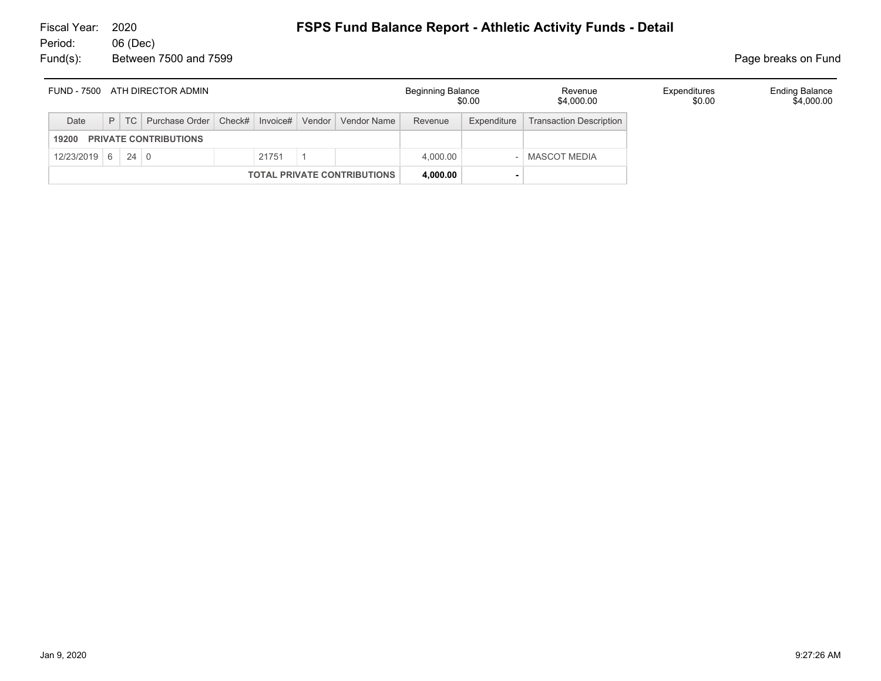| ATH DIRECTOR ADMIN<br>FUND - 7500     |  |  |                                                                    |  |       |  | <b>Beginning Balance</b><br>\$0.00 |             | Revenue<br>\$4,000.00          | Expenditures<br>\$0.00 | <b>Ending Balance</b><br>\$4,000.00 |
|---------------------------------------|--|--|--------------------------------------------------------------------|--|-------|--|------------------------------------|-------------|--------------------------------|------------------------|-------------------------------------|
| Date                                  |  |  | P   TC   Purchase Order   Check#   Invoice#   Vendor   Vendor Name |  |       |  | Revenue                            | Expenditure | <b>Transaction Description</b> |                        |                                     |
| <b>PRIVATE CONTRIBUTIONS</b><br>19200 |  |  |                                                                    |  |       |  |                                    |             |                                |                        |                                     |
| $12/23/2019$ 6 24 0                   |  |  |                                                                    |  | 21751 |  | 4.000.00                           |             | <b>MASCOT MEDIA</b>            |                        |                                     |
| <b>TOTAL PRIVATE CONTRIBUTIONS</b>    |  |  |                                                                    |  |       |  | 4,000.00                           |             |                                |                        |                                     |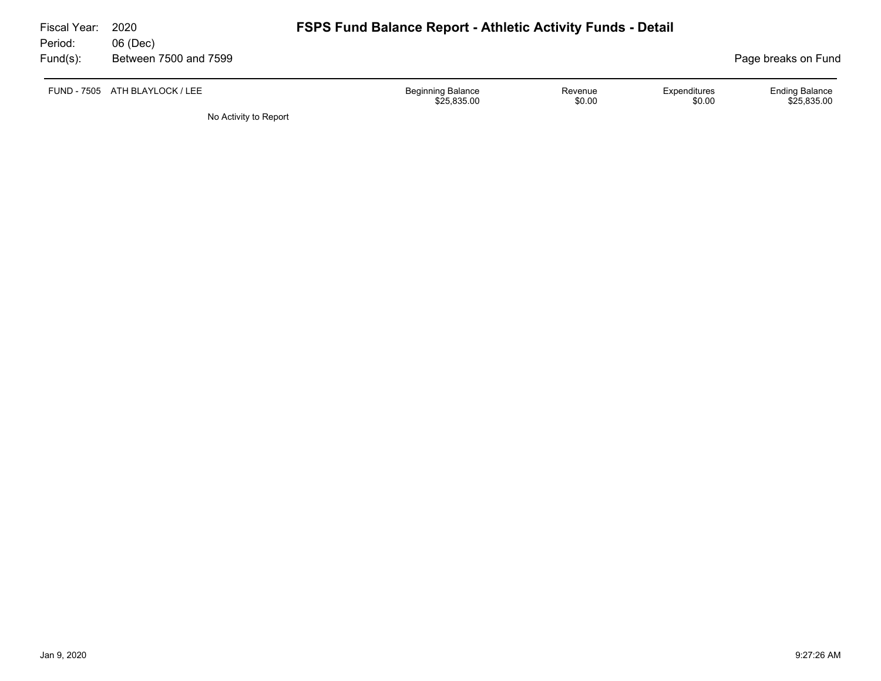| Fiscal Year:<br>Period: | 2020<br>06 (Dec)               | <b>FSPS Fund Balance Report - Athletic Activity Funds - Detail</b> |                   |                        |                                      |
|-------------------------|--------------------------------|--------------------------------------------------------------------|-------------------|------------------------|--------------------------------------|
| Fund(s):                | Between 7500 and 7599          |                                                                    |                   |                        | Page breaks on Fund                  |
|                         | FUND - 7505 ATH BLAYLOCK / LEE | <b>Beginning Balance</b><br>\$25,835.00                            | Revenue<br>\$0.00 | Expenditures<br>\$0.00 | <b>Ending Balance</b><br>\$25.835.00 |

No Activity to Report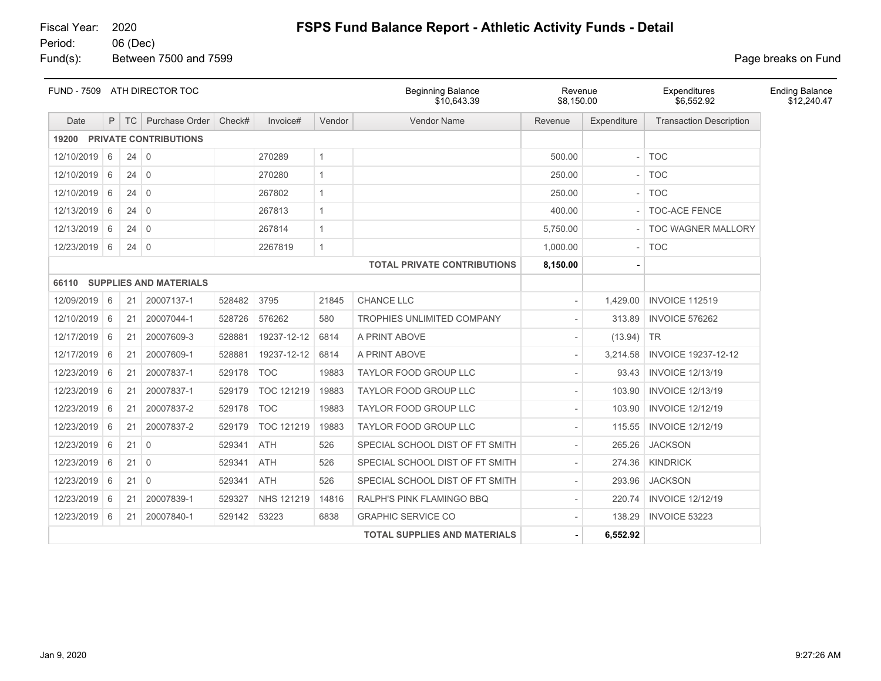Fund(s): Between 7500 and 7599 **Page breaks** on Fund

|              | FUND - 7509 ATH DIRECTOR TOC |             |                                     |        | <b>Beginning Balance</b><br>\$10.643.39 | Revenue<br>\$8,150.00 |                                     | Expenditures<br>\$6,552.92 | <b>Ending Balance</b><br>\$12,240.47 |                                |  |
|--------------|------------------------------|-------------|-------------------------------------|--------|-----------------------------------------|-----------------------|-------------------------------------|----------------------------|--------------------------------------|--------------------------------|--|
| Date         | P                            | <b>TC</b>   | Purchase Order                      | Check# | Invoice#                                | Vendor                | <b>Vendor Name</b>                  | Revenue                    | Expenditure                          | <b>Transaction Description</b> |  |
| 19200        |                              |             | <b>PRIVATE CONTRIBUTIONS</b>        |        |                                         |                       |                                     |                            |                                      |                                |  |
| 12/10/2019   | 6                            | $24 \mid 0$ |                                     |        | 270289                                  | $\mathbf{1}$          |                                     | 500.00                     |                                      | <b>TOC</b>                     |  |
| 12/10/2019   | 6                            | $24 \mid 0$ |                                     |        | 270280                                  | $\mathbf{1}$          |                                     | 250.00                     |                                      | <b>TOC</b>                     |  |
| 12/10/2019   | 6                            | 24          | $\overline{0}$                      |        | 267802                                  | $\mathbf{1}$          |                                     | 250.00                     |                                      | <b>TOC</b>                     |  |
| 12/13/2019   | 6                            | 24          | $\overline{0}$                      |        | 267813                                  | $\mathbf{1}$          |                                     | 400.00                     |                                      | <b>TOC-ACE FENCE</b>           |  |
| 12/13/2019   | 6                            | $24 \mid 0$ |                                     |        | 267814                                  | $\mathbf{1}$          |                                     | 5,750.00                   |                                      | TOC WAGNER MALLORY             |  |
| 12/23/2019   | 6                            | 24          | $\overline{0}$                      |        | 2267819                                 | $\mathbf{1}$          |                                     | 1,000.00                   |                                      | <b>TOC</b>                     |  |
|              |                              |             |                                     |        |                                         |                       | <b>TOTAL PRIVATE CONTRIBUTIONS</b>  | 8,150.00                   |                                      |                                |  |
|              |                              |             | <b>66110 SUPPLIES AND MATERIALS</b> |        |                                         |                       |                                     |                            |                                      |                                |  |
| 12/09/2019 6 |                              | 21          | 20007137-1                          | 528482 | 3795                                    | 21845                 | CHANCE LLC                          | $\sim$                     | 1,429.00                             | <b>INVOICE 112519</b>          |  |
| 12/10/2019   | 6                            | 21          | 20007044-1                          | 528726 | 576262                                  | 580                   | TROPHIES UNLIMITED COMPANY          |                            | 313.89                               | <b>INVOICE 576262</b>          |  |
| 12/17/2019   | 6                            | 21          | 20007609-3                          | 528881 | 19237-12-12                             | 6814                  | A PRINT ABOVE                       |                            | (13.94)                              | <b>TR</b>                      |  |
| 12/17/2019   | 6                            | 21          | 20007609-1                          | 528881 | 19237-12-12                             | 6814                  | A PRINT ABOVE                       |                            | 3,214.58                             | <b>INVOICE 19237-12-12</b>     |  |
| 12/23/2019   | 6                            | 21          | 20007837-1                          | 529178 | <b>TOC</b>                              | 19883                 | <b>TAYLOR FOOD GROUP LLC</b>        |                            | 93.43                                | <b>INVOICE 12/13/19</b>        |  |
| 12/23/2019   | 6                            | 21          | 20007837-1                          | 529179 | TOC 121219                              | 19883                 | <b>TAYLOR FOOD GROUP LLC</b>        |                            | 103.90                               | <b>INVOICE 12/13/19</b>        |  |
| 12/23/2019   | 6                            | 21          | 20007837-2                          | 529178 | <b>TOC</b>                              | 19883                 | <b>TAYLOR FOOD GROUP LLC</b>        |                            | 103.90                               | <b>INVOICE 12/12/19</b>        |  |
| 12/23/2019   | 6                            | 21          | 20007837-2                          | 529179 | TOC 121219                              | 19883                 | TAYLOR FOOD GROUP LLC               | $\overline{\phantom{a}}$   | 115.55                               | <b>INVOICE 12/12/19</b>        |  |
| 12/23/2019   | 6                            | 21          | $\overline{0}$                      | 529341 | <b>ATH</b>                              | 526                   | SPECIAL SCHOOL DIST OF FT SMITH     | $\overline{\phantom{a}}$   | 265.26                               | <b>JACKSON</b>                 |  |
| 12/23/2019   | 6                            | $21 \mid 0$ |                                     | 529341 | <b>ATH</b>                              | 526                   | SPECIAL SCHOOL DIST OF FT SMITH     | $\overline{\phantom{a}}$   | 274.36                               | <b>KINDRICK</b>                |  |
| 12/23/2019   | 6                            | $21$ 0      |                                     | 529341 | <b>ATH</b>                              | 526                   | SPECIAL SCHOOL DIST OF FT SMITH     |                            | 293.96                               | <b>JACKSON</b>                 |  |
| 12/23/2019   | 6                            | 21          | 20007839-1                          | 529327 | NHS 121219                              | 14816                 | RALPH'S PINK FLAMINGO BBQ           |                            | 220.74                               | <b>INVOICE 12/12/19</b>        |  |
| 12/23/2019   | 6                            | 21          | 20007840-1                          | 529142 | 53223                                   | 6838                  | <b>GRAPHIC SERVICE CO</b>           |                            | 138.29                               | INVOICE 53223                  |  |
|              |                              |             |                                     |        |                                         |                       | <b>TOTAL SUPPLIES AND MATERIALS</b> |                            | 6,552.92                             |                                |  |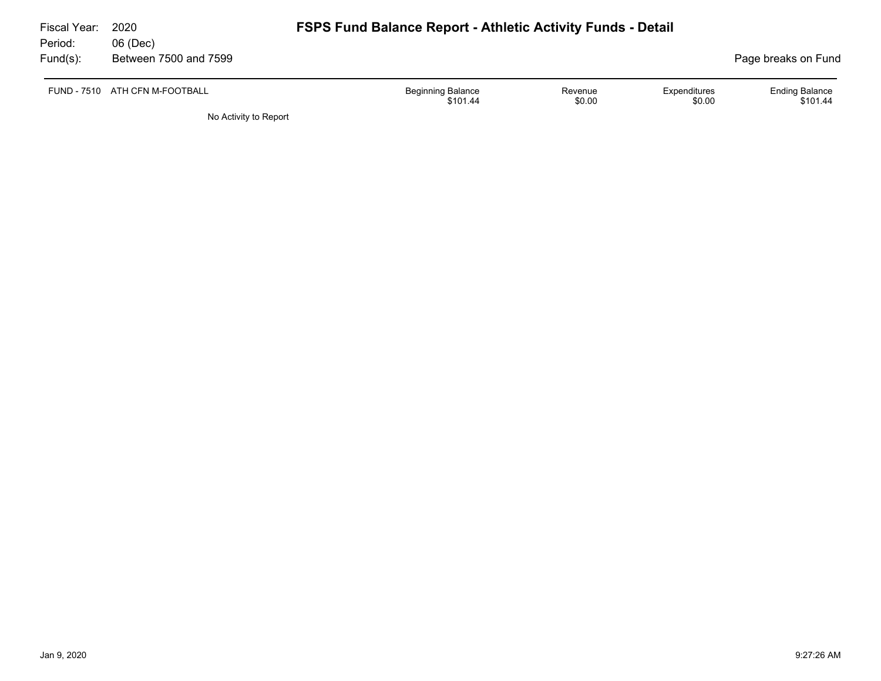| Fiscal Year:<br>Period: | 2020<br>06 (Dec)               | <b>FSPS Fund Balance Report - Athletic Activity Funds - Detail</b> |                                                             |
|-------------------------|--------------------------------|--------------------------------------------------------------------|-------------------------------------------------------------|
| $Fund(s)$ :             | Between 7500 and 7599          |                                                                    | Page breaks on Fund                                         |
|                         | FUND - 7510 ATH CFN M-FOOTBALL | <b>Beginning Balance</b><br>Revenue<br>\$0.00<br>\$101.44          | <b>Ending Balance</b><br>Expenditures<br>\$0.00<br>\$101.44 |
|                         | No Activity to Report          |                                                                    |                                                             |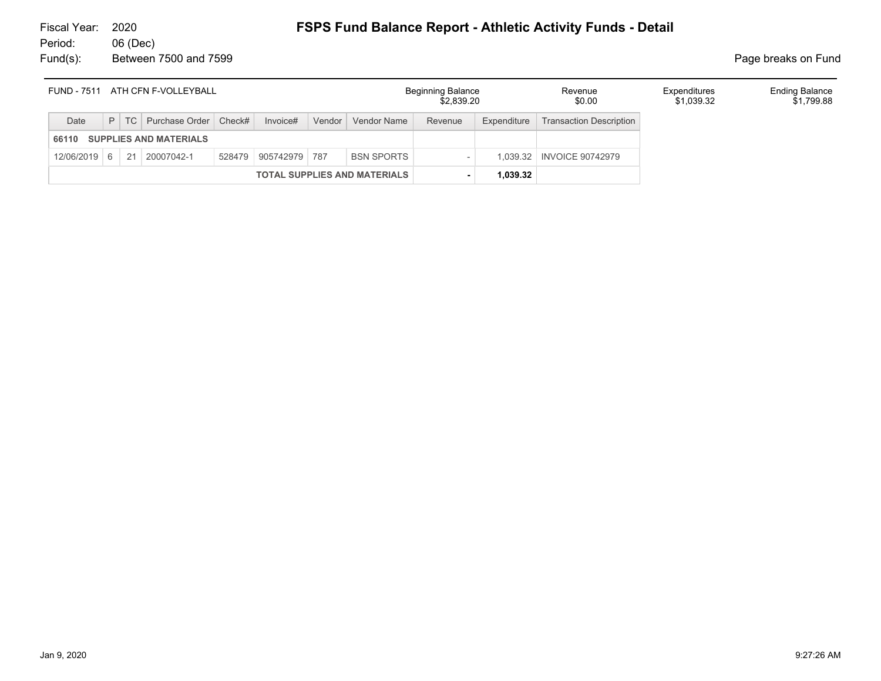| FUND - 7511 ATH CFN F-VOLLEYBALL |                                     |  |                                  |  |                      |        |                   | <b>Beginning Balance</b><br>Revenue<br>\$0.00<br>\$2,839.20 |             |                                | Expenditures<br>\$1,039.32 | <b>Ending Balance</b><br>\$1,799.88 |
|----------------------------------|-------------------------------------|--|----------------------------------|--|----------------------|--------|-------------------|-------------------------------------------------------------|-------------|--------------------------------|----------------------------|-------------------------------------|
| Date                             |                                     |  | P   TC   Purchase Order   Check# |  | Invoice#             | Vendor | Vendor Name       | Revenue                                                     | Expenditure | <b>Transaction Description</b> |                            |                                     |
| 66110                            | <b>SUPPLIES AND MATERIALS</b>       |  |                                  |  |                      |        |                   |                                                             |             |                                |                            |                                     |
| $12/06/2019$ 6                   |                                     |  | 21 20007042-1                    |  | 528479 905742979 787 |        | <b>BSN SPORTS</b> |                                                             | 1.039.32    | <b>INVOICE 90742979</b>        |                            |                                     |
|                                  | <b>TOTAL SUPPLIES AND MATERIALS</b> |  |                                  |  |                      |        |                   |                                                             | 1.039.32    |                                |                            |                                     |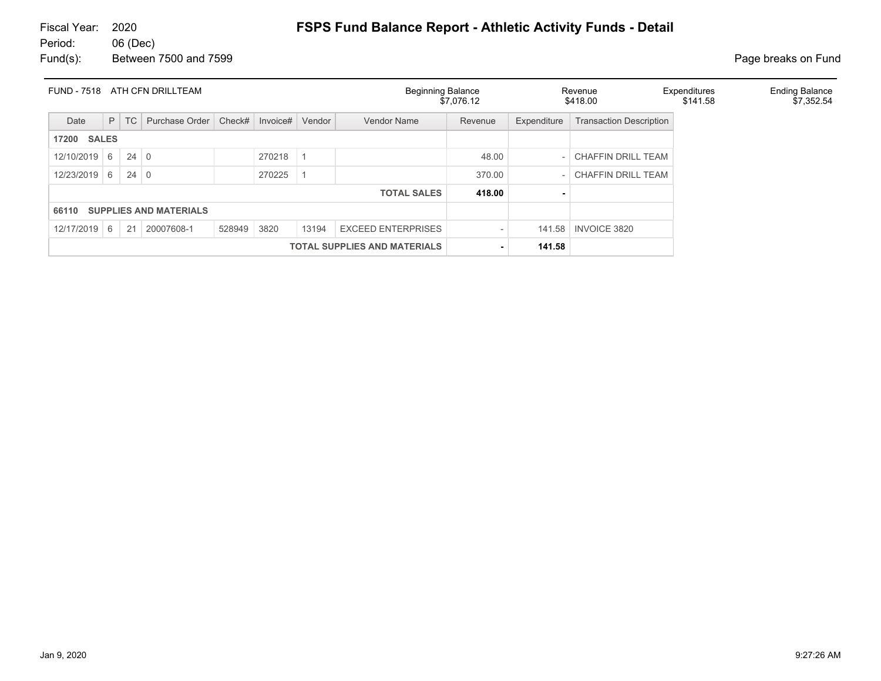| <b>FUND - 7518</b>    |   |             | ATH CFN DRILLTEAM             |        |          |           | <b>Beginning Balance</b>            | \$7.076.12               |             | Revenue<br>\$418.00            | Expenditures<br>\$141.58 | <b>Ending Balance</b><br>\$7,352.54 |
|-----------------------|---|-------------|-------------------------------|--------|----------|-----------|-------------------------------------|--------------------------|-------------|--------------------------------|--------------------------|-------------------------------------|
| Date                  | P | TC          | Purchase Order                | Check# | Invoice# | Vendor    | Vendor Name                         | Revenue                  | Expenditure | <b>Transaction Description</b> |                          |                                     |
| <b>SALES</b><br>17200 |   |             |                               |        |          |           |                                     |                          |             |                                |                          |                                     |
| 12/10/2019            | 6 | $24 \mid 0$ |                               |        | 270218   | $\vert$ 1 |                                     | 48.00                    |             | <b>CHAFFIN DRILL TEAM</b>      |                          |                                     |
| 12/23/2019            | 6 | $24 \mid 0$ |                               |        | 270225   |           |                                     | 370.00                   |             | <b>CHAFFIN DRILL TEAM</b>      |                          |                                     |
|                       |   |             |                               |        |          |           | <b>TOTAL SALES</b>                  | 418.00                   |             |                                |                          |                                     |
| 66110                 |   |             | <b>SUPPLIES AND MATERIALS</b> |        |          |           |                                     |                          |             |                                |                          |                                     |
| 12/17/2019            | 6 | 21          | 20007608-1                    | 528949 | 3820     | 13194     | <b>EXCEED ENTERPRISES</b>           | $\overline{\phantom{a}}$ | 141.58      | <b>INVOICE 3820</b>            |                          |                                     |
|                       |   |             |                               |        |          |           | <b>TOTAL SUPPLIES AND MATERIALS</b> |                          | 141.58      |                                |                          |                                     |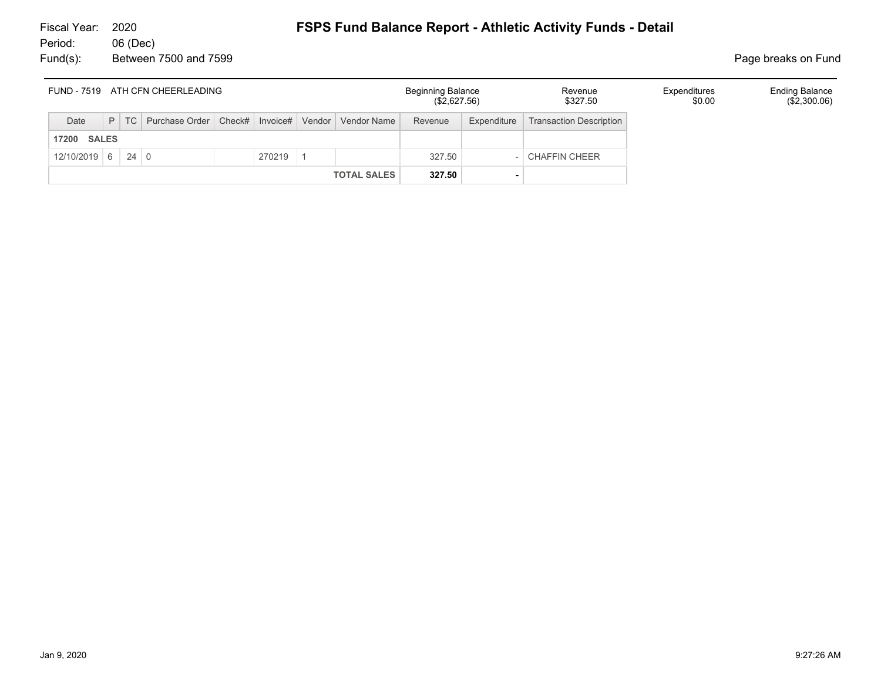| FUND - 7519 ATH CFN CHEERLEADING |  |        |                                                           |  |        |  |                    | <b>Beginning Balance</b><br>(\$2,627.56) |             | Revenue<br>\$327.50            | Expenditures<br>\$0.00 | <b>Ending Balance</b><br>(\$2,300.06) |
|----------------------------------|--|--------|-----------------------------------------------------------|--|--------|--|--------------------|------------------------------------------|-------------|--------------------------------|------------------------|---------------------------------------|
| Date                             |  | $P$ TC | Purchase Order   Check#   Invoice#   Vendor   Vendor Name |  |        |  |                    | Revenue                                  | Expenditure | <b>Transaction Description</b> |                        |                                       |
| <b>SALES</b><br>17200            |  |        |                                                           |  |        |  |                    |                                          |             |                                |                        |                                       |
| $12/10/2019$ 6 24 0              |  |        |                                                           |  | 270219 |  |                    | 327.50                                   |             | <b>CHAFFIN CHEER</b>           |                        |                                       |
|                                  |  |        |                                                           |  |        |  | <b>TOTAL SALES</b> | 327.50                                   |             |                                |                        |                                       |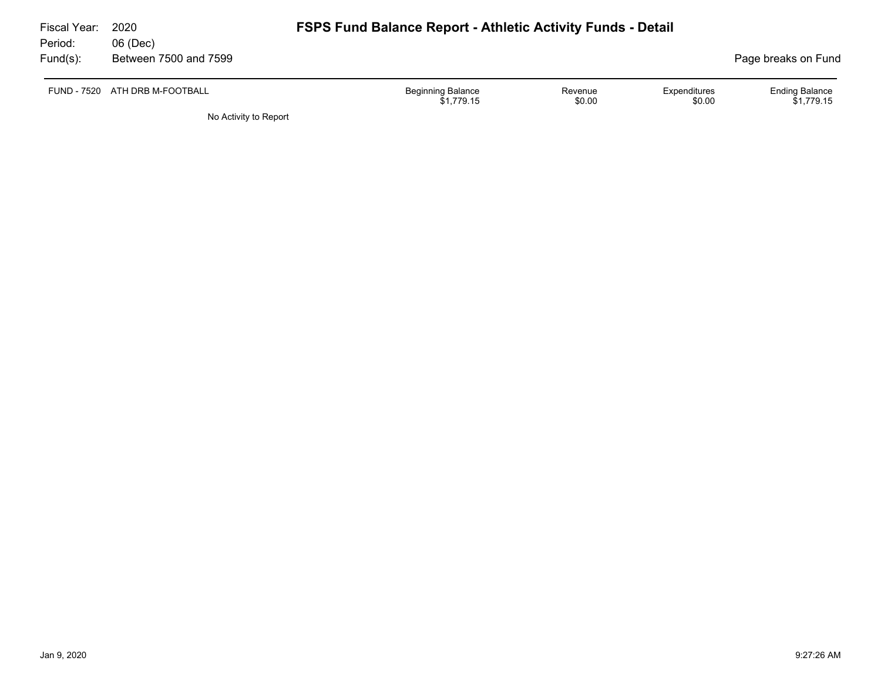| Fiscal Year:<br>Period: | 2020<br>06 (Dec)               | <b>FSPS Fund Balance Report - Athletic Activity Funds - Detail</b> |                        |                                     |
|-------------------------|--------------------------------|--------------------------------------------------------------------|------------------------|-------------------------------------|
| $Fund(s)$ :             | Between 7500 and 7599          |                                                                    |                        | Page breaks on Fund                 |
|                         | FUND - 7520 ATH DRB M-FOOTBALL | <b>Beginning Balance</b><br>Revenue<br>\$0.00<br>\$1.779.15        | Expenditures<br>\$0.00 | <b>Ending Balance</b><br>\$1,779.15 |
|                         | No Activity to Report          |                                                                    |                        |                                     |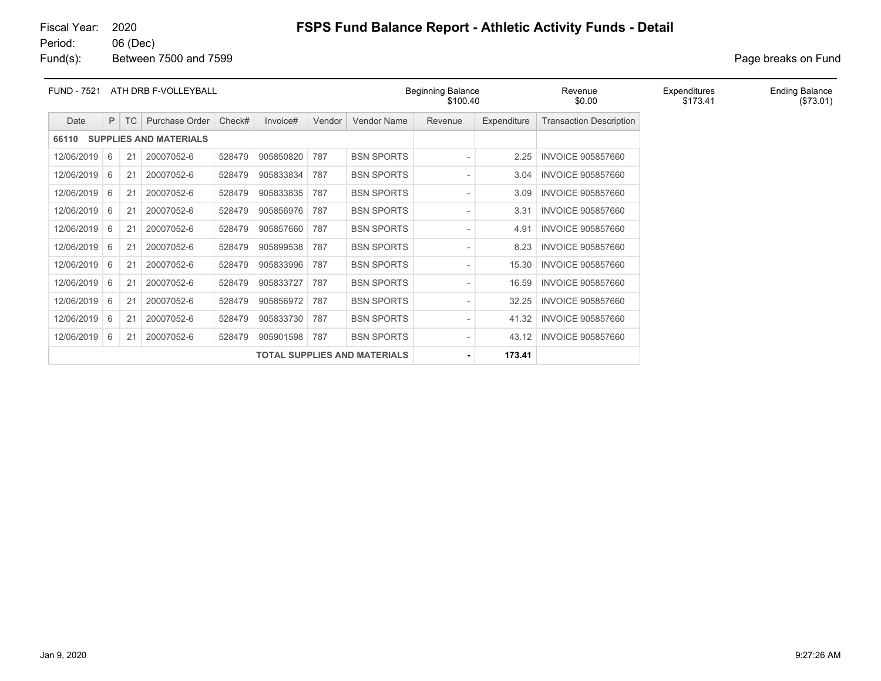Fund(s): Between 7500 and 7599 **Page breaks** on Fund

| <b>FUND - 7521</b>                  | ATH DRB F-VOLLEYBALL          |           |                |        |           |        |                   | Beginning Balance<br>\$100.40 |             | Revenue<br>\$0.00              | Expenditures<br>\$173.41 | <b>Ending Balance</b><br>(\$73.01) |
|-------------------------------------|-------------------------------|-----------|----------------|--------|-----------|--------|-------------------|-------------------------------|-------------|--------------------------------|--------------------------|------------------------------------|
| Date                                | P.                            | <b>TC</b> | Purchase Order | Check# | Invoice#  | Vendor | Vendor Name       | Revenue                       | Expenditure | <b>Transaction Description</b> |                          |                                    |
| 66110                               | <b>SUPPLIES AND MATERIALS</b> |           |                |        |           |        |                   |                               |             |                                |                          |                                    |
| 12/06/2019                          | - 6                           | 21        | 20007052-6     | 528479 | 905850820 | 787    | <b>BSN SPORTS</b> |                               | 2.25        | <b>INVOICE 905857660</b>       |                          |                                    |
| 12/06/2019                          | 6                             | 21        | 20007052-6     | 528479 | 905833834 | 787    | <b>BSN SPORTS</b> | $\overline{\phantom{a}}$      | 3.04        | <b>INVOICE 905857660</b>       |                          |                                    |
| 12/06/2019                          | 6                             | 21        | 20007052-6     | 528479 | 905833835 | 787    | <b>BSN SPORTS</b> | $\overline{\phantom{a}}$      | 3.09        | <b>INVOICE 905857660</b>       |                          |                                    |
| 12/06/2019                          | 6                             | 21        | 20007052-6     | 528479 | 905856976 | 787    | <b>BSN SPORTS</b> | $\overline{\phantom{a}}$      | 3.31        | <b>INVOICE 905857660</b>       |                          |                                    |
| 12/06/2019                          | 6                             | 21        | 20007052-6     | 528479 | 905857660 | 787    | <b>BSN SPORTS</b> | $\overline{\phantom{0}}$      | 4.91        | <b>INVOICE 905857660</b>       |                          |                                    |
| 12/06/2019                          | 6                             | 21        | 20007052-6     | 528479 | 905899538 | 787    | <b>BSN SPORTS</b> | $\overline{\phantom{a}}$      | 8.23        | <b>INVOICE 905857660</b>       |                          |                                    |
| 12/06/2019                          | 6                             | 21        | 20007052-6     | 528479 | 905833996 | 787    | <b>BSN SPORTS</b> | $\overline{\phantom{a}}$      | 15.30       | <b>INVOICE 905857660</b>       |                          |                                    |
| 12/06/2019                          | 6                             | 21        | 20007052-6     | 528479 | 905833727 | 787    | <b>BSN SPORTS</b> | $\overline{\phantom{0}}$      | 16.59       | <b>INVOICE 905857660</b>       |                          |                                    |
| 12/06/2019                          | 6                             | 21        | 20007052-6     | 528479 | 905856972 | 787    | <b>BSN SPORTS</b> |                               | 32.25       | <b>INVOICE 905857660</b>       |                          |                                    |
| 12/06/2019                          | 6                             | 21        | 20007052-6     | 528479 | 905833730 | 787    | <b>BSN SPORTS</b> | $\overline{\phantom{0}}$      | 41.32       | <b>INVOICE 905857660</b>       |                          |                                    |
| 12/06/2019                          | 6                             | 21        | 20007052-6     | 528479 | 905901598 | 787    | <b>BSN SPORTS</b> | $\overline{\phantom{a}}$      | 43.12       | <b>INVOICE 905857660</b>       |                          |                                    |
| <b>TOTAL SUPPLIES AND MATERIALS</b> |                               |           |                |        |           |        |                   | ٠                             | 173.41      |                                |                          |                                    |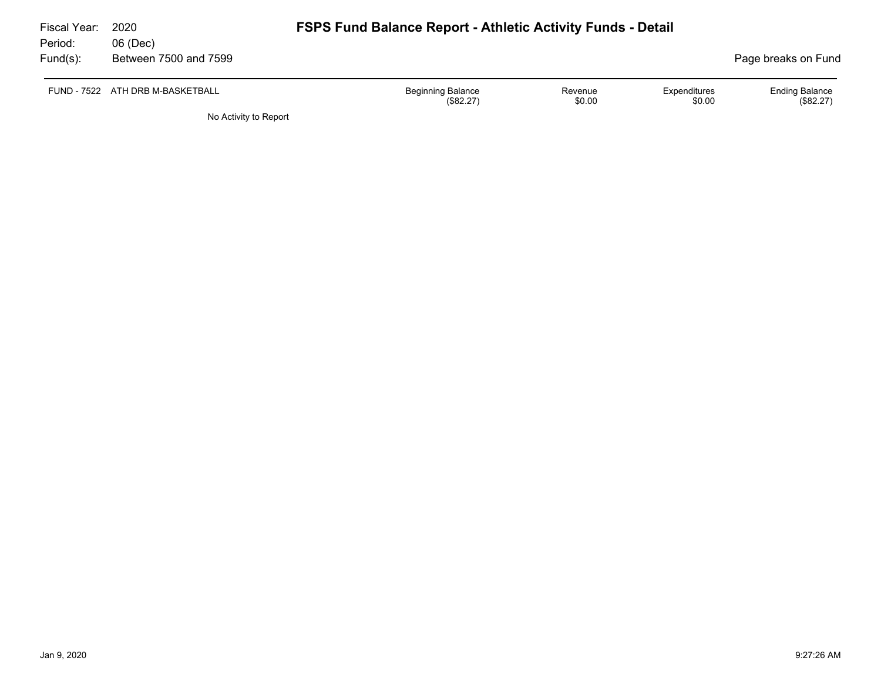| Fiscal Year:<br>Period: | 2020<br>06 (Dec)                 | <b>FSPS Fund Balance Report - Athletic Activity Funds - Detail</b> |                   |                        |                                    |
|-------------------------|----------------------------------|--------------------------------------------------------------------|-------------------|------------------------|------------------------------------|
| $Fund(s)$ :             | Between 7500 and 7599            |                                                                    |                   |                        | Page breaks on Fund                |
|                         | FUND - 7522 ATH DRB M-BASKETBALL | <b>Beginning Balance</b><br>(\$82.27)                              | Revenue<br>\$0.00 | Expenditures<br>\$0.00 | <b>Ending Balance</b><br>(\$82.27) |
|                         | No Activity to Report            |                                                                    |                   |                        |                                    |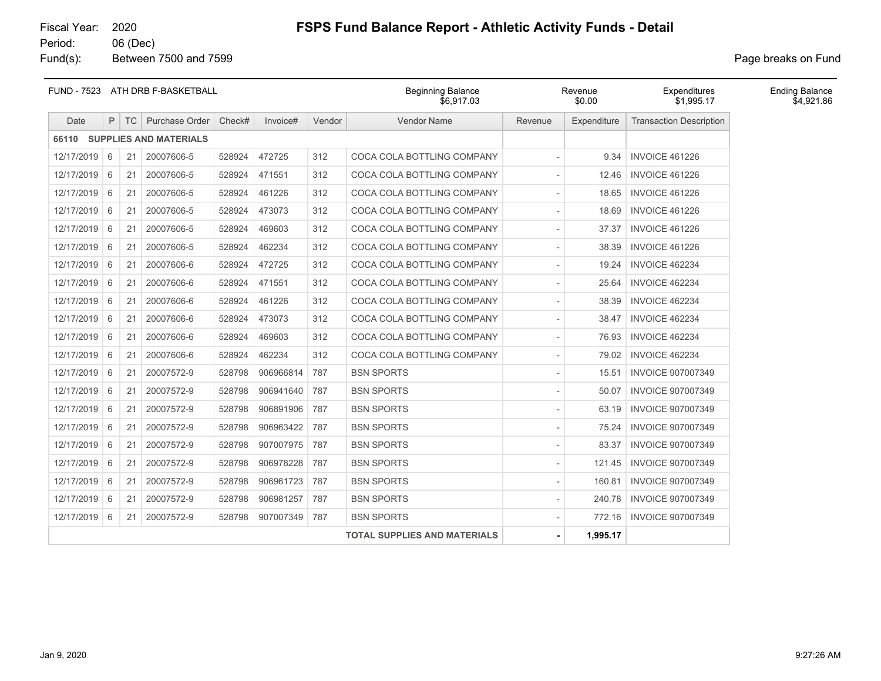### Fund(s): Between 7500 and 7599 **Page breaks** on Fund

|            | FUND - 7523 ATH DRB F-BASKETBALL |    |                              |        |           |        | \$6.917.03                          | <b>Beginning Balance</b><br>Revenue<br>\$0.00 |             |                                | <b>Ending Balance</b><br>\$4,921.86 |
|------------|----------------------------------|----|------------------------------|--------|-----------|--------|-------------------------------------|-----------------------------------------------|-------------|--------------------------------|-------------------------------------|
| Date       | P                                |    | TC Purchase Order            | Check# | Invoice#  | Vendor | <b>Vendor Name</b>                  | Revenue                                       | Expenditure | <b>Transaction Description</b> |                                     |
|            |                                  |    | 66110 SUPPLIES AND MATERIALS |        |           |        |                                     |                                               |             |                                |                                     |
| 12/17/2019 | 6                                | 21 | 20007606-5                   | 528924 | 472725    | 312    | COCA COLA BOTTLING COMPANY          |                                               | 9.34        | <b>INVOICE 461226</b>          |                                     |
| 12/17/2019 | 6                                | 21 | 20007606-5                   | 528924 | 471551    | 312    | COCA COLA BOTTLING COMPANY          |                                               | 12.46       | <b>INVOICE 461226</b>          |                                     |
| 12/17/2019 | 6                                | 21 | 20007606-5                   | 528924 | 461226    | 312    | COCA COLA BOTTLING COMPANY          |                                               | 18.65       | <b>INVOICE 461226</b>          |                                     |
| 12/17/2019 | 6                                | 21 | 20007606-5                   | 528924 | 473073    | 312    | COCA COLA BOTTLING COMPANY          |                                               | 18.69       | <b>INVOICE 461226</b>          |                                     |
| 12/17/2019 | 6                                | 21 | 20007606-5                   | 528924 | 469603    | 312    | COCA COLA BOTTLING COMPANY          | $\overline{a}$                                | 37.37       | <b>INVOICE 461226</b>          |                                     |
| 12/17/2019 | 6                                | 21 | 20007606-5                   | 528924 | 462234    | 312    | COCA COLA BOTTLING COMPANY          | $\overline{\phantom{a}}$                      | 38.39       | <b>INVOICE 461226</b>          |                                     |
| 12/17/2019 | 6                                | 21 | 20007606-6                   | 528924 | 472725    | 312    | COCA COLA BOTTLING COMPANY          | $\overline{\phantom{a}}$                      | 19.24       | <b>INVOICE 462234</b>          |                                     |
| 12/17/2019 | 6                                | 21 | 20007606-6                   | 528924 | 471551    | 312    | COCA COLA BOTTLING COMPANY          | $\overline{\phantom{a}}$                      | 25.64       | <b>INVOICE 462234</b>          |                                     |
| 12/17/2019 | 6                                | 21 | 20007606-6                   | 528924 | 461226    | 312    | COCA COLA BOTTLING COMPANY          | $\overline{\phantom{a}}$                      | 38.39       | INVOICE 462234                 |                                     |
| 12/17/2019 | 6                                | 21 | 20007606-6                   | 528924 | 473073    | 312    | COCA COLA BOTTLING COMPANY          | $\overline{\phantom{a}}$                      | 38.47       | <b>INVOICE 462234</b>          |                                     |
| 12/17/2019 | 6                                | 21 | 20007606-6                   | 528924 | 469603    | 312    | COCA COLA BOTTLING COMPANY          |                                               | 76.93       | <b>INVOICE 462234</b>          |                                     |
| 12/17/2019 | 6                                | 21 | 20007606-6                   | 528924 | 462234    | 312    | COCA COLA BOTTLING COMPANY          |                                               | 79.02       | <b>INVOICE 462234</b>          |                                     |
| 12/17/2019 | 6                                | 21 | 20007572-9                   | 528798 | 906966814 | 787    | <b>BSN SPORTS</b>                   |                                               | 15.51       | <b>INVOICE 907007349</b>       |                                     |
| 12/17/2019 | 6                                | 21 | 20007572-9                   | 528798 | 906941640 | 787    | <b>BSN SPORTS</b>                   |                                               | 50.07       | <b>INVOICE 907007349</b>       |                                     |
| 12/17/2019 | 6                                | 21 | 20007572-9                   | 528798 | 906891906 | 787    | <b>BSN SPORTS</b>                   |                                               | 63.19       | <b>INVOICE 907007349</b>       |                                     |
| 12/17/2019 | 6                                | 21 | 20007572-9                   | 528798 | 906963422 | 787    | <b>BSN SPORTS</b>                   |                                               | 75.24       | <b>INVOICE 907007349</b>       |                                     |
| 12/17/2019 | 6                                | 21 | 20007572-9                   | 528798 | 907007975 | 787    | <b>BSN SPORTS</b>                   |                                               | 83.37       | <b>INVOICE 907007349</b>       |                                     |
| 12/17/2019 | 6                                | 21 | 20007572-9                   | 528798 | 906978228 | 787    | <b>BSN SPORTS</b>                   |                                               | 121.45      | <b>INVOICE 907007349</b>       |                                     |
| 12/17/2019 | 6                                | 21 | 20007572-9                   | 528798 | 906961723 | 787    | <b>BSN SPORTS</b>                   |                                               | 160.81      | <b>INVOICE 907007349</b>       |                                     |
| 12/17/2019 | 6                                | 21 | 20007572-9                   | 528798 | 906981257 | 787    | <b>BSN SPORTS</b>                   |                                               | 240.78      | <b>INVOICE 907007349</b>       |                                     |
| 12/17/2019 | 6                                | 21 | 20007572-9                   | 528798 | 907007349 | 787    | <b>BSN SPORTS</b>                   | $\overline{\phantom{a}}$                      | 772.16      | <b>INVOICE 907007349</b>       |                                     |
|            |                                  |    |                              |        |           |        | <b>TOTAL SUPPLIES AND MATERIALS</b> |                                               | 1,995.17    |                                |                                     |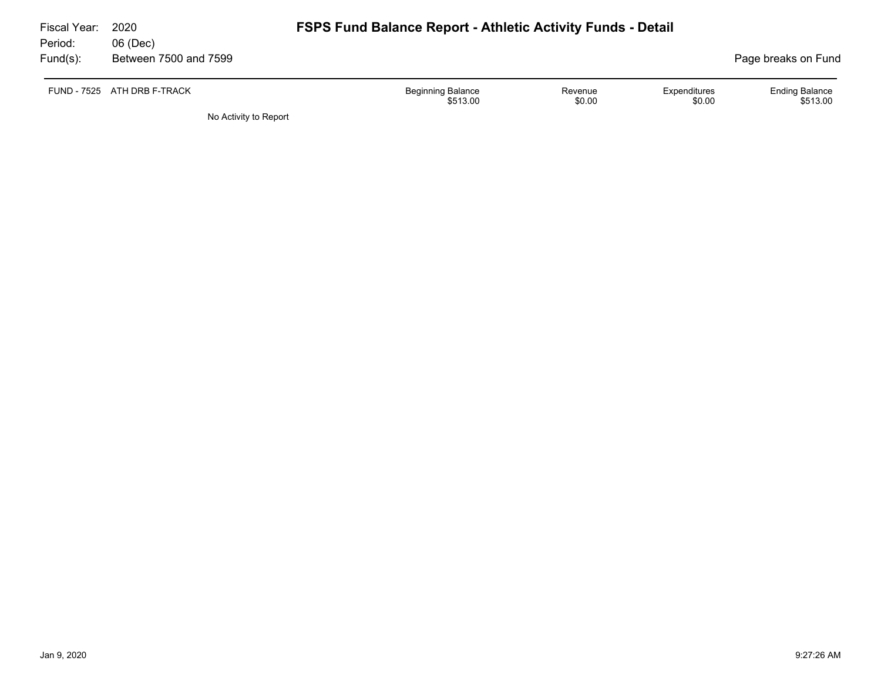| Fiscal Year: | 2020                        | <b>FSPS Fund Balance Report - Athletic Activity Funds - Detail</b>                  |                                   |
|--------------|-----------------------------|-------------------------------------------------------------------------------------|-----------------------------------|
| Period:      | 06 (Dec)                    |                                                                                     |                                   |
| $Fund(s)$ :  | Between 7500 and 7599       |                                                                                     | Page breaks on Fund               |
|              | FUND - 7525 ATH DRB F-TRACK | <b>Beginning Balance</b><br>Expenditures<br>Revenue<br>\$0.00<br>\$0.00<br>\$513.00 | <b>Ending Balance</b><br>\$513.00 |
|              | No Activity to Report       |                                                                                     |                                   |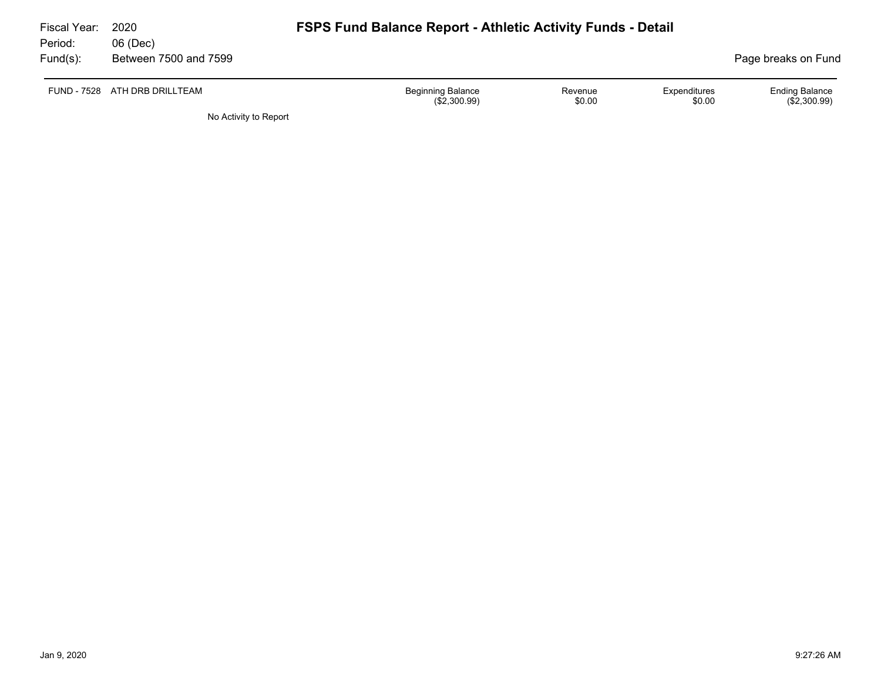| 2020<br>06 (Dec)      |                                          |                   |                        |                                                                    |
|-----------------------|------------------------------------------|-------------------|------------------------|--------------------------------------------------------------------|
| Between 7500 and 7599 |                                          |                   |                        | Page breaks on Fund                                                |
| ATH DRB DRILLTEAM     | <b>Beginning Balance</b><br>(\$2,300.99) | Revenue<br>\$0.00 | Expenditures<br>\$0.00 | <b>Ending Balance</b><br>$(\$2,300.99)$                            |
|                       |                                          | .                 |                        | <b>FSPS Fund Balance Report - Athletic Activity Funds - Detail</b> |

No Activity to Report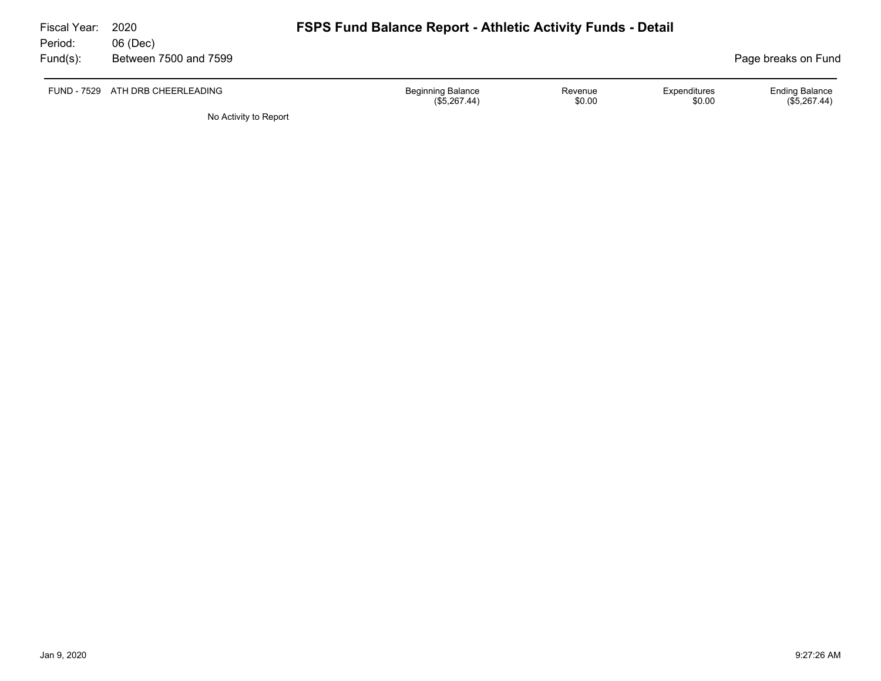| Fiscal Year:<br>Period: | 2020<br>06 (Dec)                 | <b>FSPS Fund Balance Report - Athletic Activity Funds - Detail</b> |                   |                        |                                       |
|-------------------------|----------------------------------|--------------------------------------------------------------------|-------------------|------------------------|---------------------------------------|
| Fund(s):                | Between 7500 and 7599            |                                                                    |                   |                        | Page breaks on Fund                   |
|                         | FUND - 7529 ATH DRB CHEERLEADING | <b>Beginning Balance</b><br>(\$5,267.44)                           | Revenue<br>\$0.00 | Expenditures<br>\$0.00 | <b>Ending Balance</b><br>(\$5,267.44) |

No Activity to Report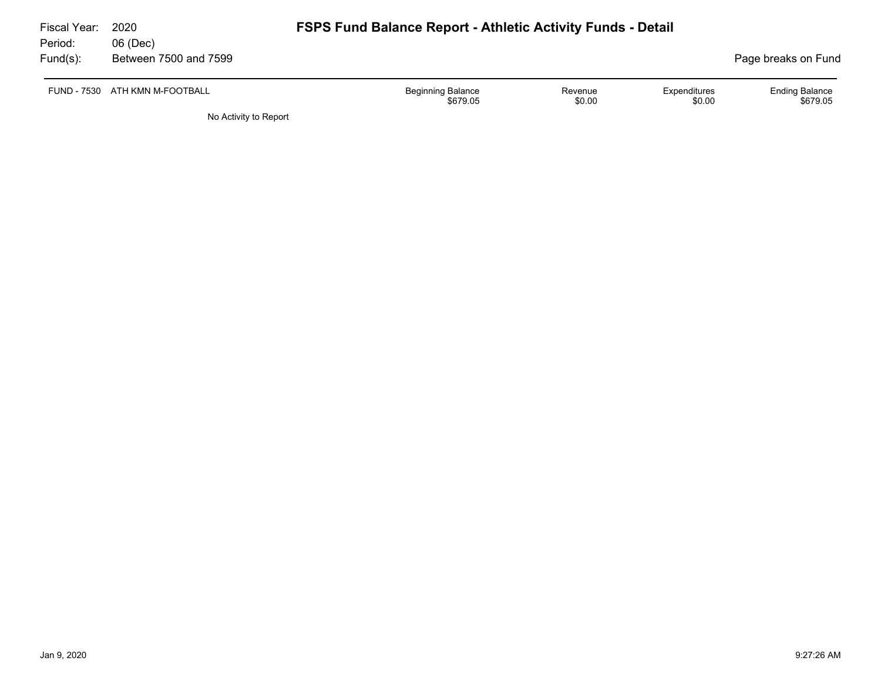| Fiscal Year:<br>Period:<br>Fund(s): | 2020<br>06 (Dec)<br>Between 7500 and 7599 | <b>FSPS Fund Balance Report - Athletic Activity Funds - Detail</b> |                   |                        | Page breaks on Fund               |
|-------------------------------------|-------------------------------------------|--------------------------------------------------------------------|-------------------|------------------------|-----------------------------------|
| FUND - 7530                         | ATH KMN M-FOOTBALL                        | <b>Beginning Balance</b><br>\$679.05                               | Revenue<br>\$0.00 | Expenditures<br>\$0.00 | <b>Ending Balance</b><br>\$679.05 |
|                                     | No Activity to Report                     |                                                                    |                   |                        |                                   |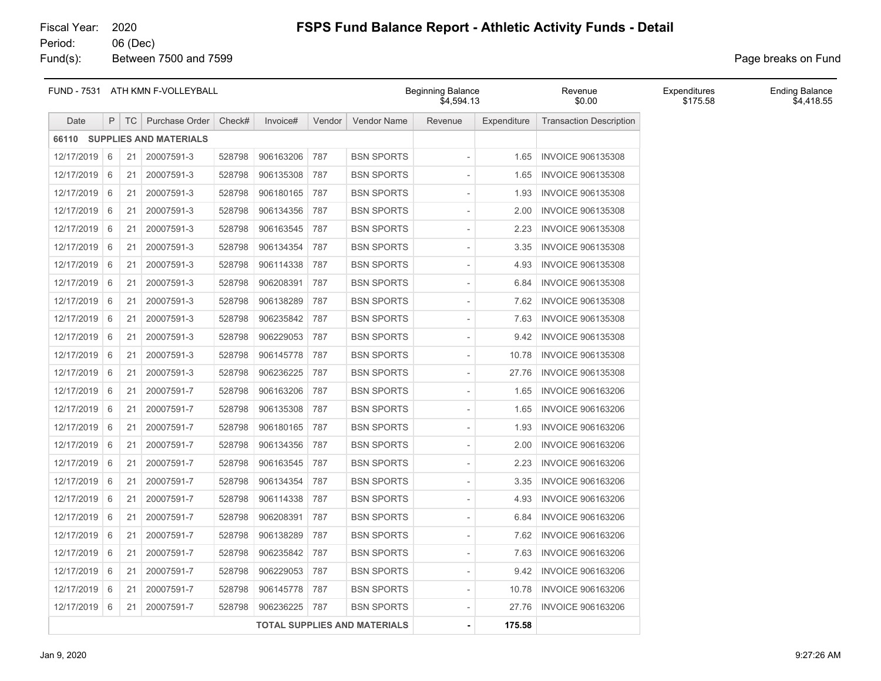Fund(s): Between 7500 and 7599 **Page breaks** on Fund

|            |                | FUND - 7531 ATH KMN F-VOLLEYBALL |                              |        |           |        |                                     | <b>Beginning Balance</b><br>Revenue<br>\$4,594.13<br>\$0.00 |             |                                | Expenditures<br>\$175.58 | <b>Ending Balance</b><br>\$4,418.55 |
|------------|----------------|----------------------------------|------------------------------|--------|-----------|--------|-------------------------------------|-------------------------------------------------------------|-------------|--------------------------------|--------------------------|-------------------------------------|
| Date       | P              | TC                               | Purchase Order               | Check# | Invoice#  | Vendor | Vendor Name                         | Revenue                                                     | Expenditure | <b>Transaction Description</b> |                          |                                     |
|            |                |                                  | 66110 SUPPLIES AND MATERIALS |        |           |        |                                     |                                                             |             |                                |                          |                                     |
| 12/17/2019 | 6              | 21                               | 20007591-3                   | 528798 | 906163206 | 787    | <b>BSN SPORTS</b>                   |                                                             | 1.65        | <b>INVOICE 906135308</b>       |                          |                                     |
| 12/17/2019 | 6              | 21                               | 20007591-3                   | 528798 | 906135308 | 787    | <b>BSN SPORTS</b>                   |                                                             | 1.65        | <b>INVOICE 906135308</b>       |                          |                                     |
| 12/17/2019 | 6              | 21                               | 20007591-3                   | 528798 | 906180165 | 787    | <b>BSN SPORTS</b>                   |                                                             | 1.93        | <b>INVOICE 906135308</b>       |                          |                                     |
| 12/17/2019 | 6              | 21                               | 20007591-3                   | 528798 | 906134356 | 787    | <b>BSN SPORTS</b>                   |                                                             | 2.00        | <b>INVOICE 906135308</b>       |                          |                                     |
| 12/17/2019 | 6              | 21                               | 20007591-3                   | 528798 | 906163545 | 787    | <b>BSN SPORTS</b>                   |                                                             | 2.23        | <b>INVOICE 906135308</b>       |                          |                                     |
| 12/17/2019 | 6              | 21                               | 20007591-3                   | 528798 | 906134354 | 787    | <b>BSN SPORTS</b>                   |                                                             | 3.35        | <b>INVOICE 906135308</b>       |                          |                                     |
| 12/17/2019 | $\overline{6}$ | 21                               | 20007591-3                   | 528798 | 906114338 | 787    | <b>BSN SPORTS</b>                   |                                                             | 4.93        | <b>INVOICE 906135308</b>       |                          |                                     |
| 12/17/2019 | 6              | 21                               | 20007591-3                   | 528798 | 906208391 | 787    | <b>BSN SPORTS</b>                   |                                                             | 6.84        | <b>INVOICE 906135308</b>       |                          |                                     |
| 12/17/2019 | 6              | 21                               | 20007591-3                   | 528798 | 906138289 | 787    | <b>BSN SPORTS</b>                   |                                                             | 7.62        | <b>INVOICE 906135308</b>       |                          |                                     |
| 12/17/2019 | 6              | 21                               | 20007591-3                   | 528798 | 906235842 | 787    | <b>BSN SPORTS</b>                   |                                                             | 7.63        | <b>INVOICE 906135308</b>       |                          |                                     |
| 12/17/2019 | 6              | 21                               | 20007591-3                   | 528798 | 906229053 | 787    | <b>BSN SPORTS</b>                   |                                                             | 9.42        | <b>INVOICE 906135308</b>       |                          |                                     |
| 12/17/2019 | $\sqrt{6}$     | 21                               | 20007591-3                   | 528798 | 906145778 | 787    | <b>BSN SPORTS</b>                   |                                                             | 10.78       | <b>INVOICE 906135308</b>       |                          |                                     |
| 12/17/2019 | 6              | 21                               | 20007591-3                   | 528798 | 906236225 | 787    | <b>BSN SPORTS</b>                   |                                                             | 27.76       | <b>INVOICE 906135308</b>       |                          |                                     |
| 12/17/2019 | 6              | 21                               | 20007591-7                   | 528798 | 906163206 | 787    | <b>BSN SPORTS</b>                   |                                                             | 1.65        | <b>INVOICE 906163206</b>       |                          |                                     |
| 12/17/2019 | 6              | 21                               | 20007591-7                   | 528798 | 906135308 | 787    | <b>BSN SPORTS</b>                   |                                                             | 1.65        | <b>INVOICE 906163206</b>       |                          |                                     |
| 12/17/2019 | 6              | 21                               | 20007591-7                   | 528798 | 906180165 | 787    | <b>BSN SPORTS</b>                   |                                                             | 1.93        | <b>INVOICE 906163206</b>       |                          |                                     |
| 12/17/2019 | $\sqrt{6}$     | 21                               | 20007591-7                   | 528798 | 906134356 | 787    | <b>BSN SPORTS</b>                   |                                                             | 2.00        | <b>INVOICE 906163206</b>       |                          |                                     |
| 12/17/2019 | 6              | 21                               | 20007591-7                   | 528798 | 906163545 | 787    | <b>BSN SPORTS</b>                   |                                                             | 2.23        | <b>INVOICE 906163206</b>       |                          |                                     |
| 12/17/2019 | 6              | 21                               | 20007591-7                   | 528798 | 906134354 | 787    | <b>BSN SPORTS</b>                   |                                                             | 3.35        | <b>INVOICE 906163206</b>       |                          |                                     |
| 12/17/2019 | 6              | 21                               | 20007591-7                   | 528798 | 906114338 | 787    | <b>BSN SPORTS</b>                   |                                                             | 4.93        | <b>INVOICE 906163206</b>       |                          |                                     |
| 12/17/2019 | 6              | 21                               | 20007591-7                   | 528798 | 906208391 | 787    | <b>BSN SPORTS</b>                   |                                                             | 6.84        | <b>INVOICE 906163206</b>       |                          |                                     |
| 12/17/2019 | $\vert 6$      | 21                               | 20007591-7                   | 528798 | 906138289 | 787    | <b>BSN SPORTS</b>                   |                                                             | 7.62        | <b>INVOICE 906163206</b>       |                          |                                     |
| 12/17/2019 | 6              | 21                               | 20007591-7                   | 528798 | 906235842 | 787    | <b>BSN SPORTS</b>                   |                                                             | 7.63        | <b>INVOICE 906163206</b>       |                          |                                     |
| 12/17/2019 | 6              | 21                               | 20007591-7                   | 528798 | 906229053 | 787    | <b>BSN SPORTS</b>                   |                                                             | 9.42        | <b>INVOICE 906163206</b>       |                          |                                     |
| 12/17/2019 | $\overline{6}$ | 21                               | 20007591-7                   | 528798 | 906145778 | 787    | <b>BSN SPORTS</b>                   |                                                             | 10.78       | <b>INVOICE 906163206</b>       |                          |                                     |
| 12/17/2019 | 6              | 21                               | 20007591-7                   | 528798 | 906236225 | 787    | <b>BSN SPORTS</b>                   |                                                             | 27.76       | <b>INVOICE 906163206</b>       |                          |                                     |
|            |                |                                  |                              |        |           |        | <b>TOTAL SUPPLIES AND MATERIALS</b> |                                                             | 175.58      |                                |                          |                                     |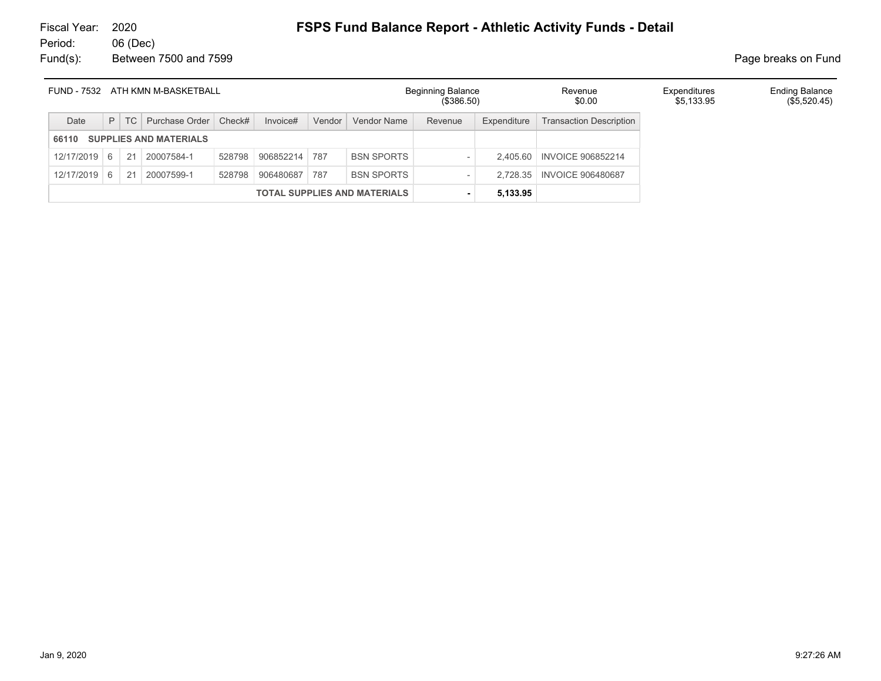| ATH KMN M-BASKETBALL<br>FUND - 7532 |   |    |                               |        |               |        |                                     | <b>Beginning Balance</b><br>(\$386.50) |             | Revenue<br>\$0.00              | Expenditures<br>\$5,133.95 | <b>Ending Balance</b><br>(\$5,520.45) |
|-------------------------------------|---|----|-------------------------------|--------|---------------|--------|-------------------------------------|----------------------------------------|-------------|--------------------------------|----------------------------|---------------------------------------|
| Date                                | P | TC | Purchase Order   Check#       |        | Invoice#      | Vendor | Vendor Name                         | Revenue                                | Expenditure | <b>Transaction Description</b> |                            |                                       |
| 66110                               |   |    | <b>SUPPLIES AND MATERIALS</b> |        |               |        |                                     |                                        |             |                                |                            |                                       |
| 12/17/2019 6                        |   | 21 | 20007584-1                    | 528798 | 906852214 787 |        | <b>BSN SPORTS</b>                   |                                        | 2.405.60    | <b>INVOICE 906852214</b>       |                            |                                       |
| $12/17/2019$ 6                      |   | 21 | 20007599-1                    | 528798 | 906480687     | 787    | <b>BSN SPORTS</b>                   |                                        | 2.728.35    | <b>INVOICE 906480687</b>       |                            |                                       |
|                                     |   |    |                               |        |               |        | <b>TOTAL SUPPLIES AND MATERIALS</b> |                                        | 5,133.95    |                                |                            |                                       |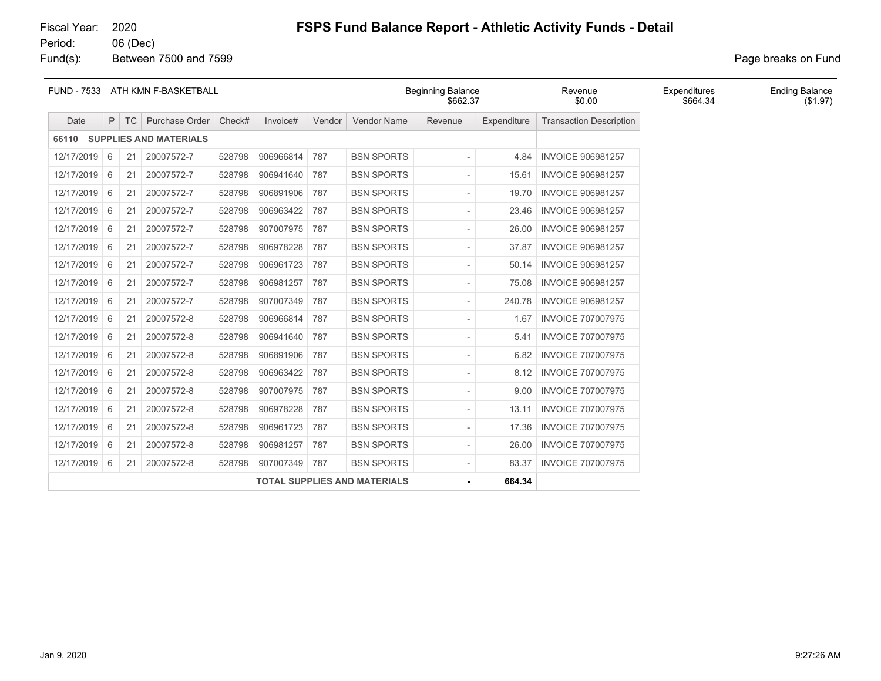Fund(s): Between 7500 and 7599 **Page breaks** on Fund

| <b>FUND - 7533</b> |     |           | ATH KMN F-BASKETBALL         |        |           |        |                                     | <b>Beginning Balance</b><br>\$662.37 |             | Revenue<br>\$0.00              | Expenditures<br>\$664.34 | <b>Ending Balance</b><br>(\$1.97) |
|--------------------|-----|-----------|------------------------------|--------|-----------|--------|-------------------------------------|--------------------------------------|-------------|--------------------------------|--------------------------|-----------------------------------|
| Date               | P   | <b>TC</b> | Purchase Order               | Check# | Invoice#  | Vendor | Vendor Name                         | Revenue                              | Expenditure | <b>Transaction Description</b> |                          |                                   |
|                    |     |           | 66110 SUPPLIES AND MATERIALS |        |           |        |                                     |                                      |             |                                |                          |                                   |
| 12/17/2019         | 6   | 21        | 20007572-7                   | 528798 | 906966814 | 787    | <b>BSN SPORTS</b>                   |                                      | 4.84        | <b>INVOICE 906981257</b>       |                          |                                   |
| 12/17/2019 6       |     | 21        | 20007572-7                   | 528798 | 906941640 | 787    | <b>BSN SPORTS</b>                   | $\overline{\phantom{a}}$             | 15.61       | <b>INVOICE 906981257</b>       |                          |                                   |
| 12/17/2019         | 6   | 21        | 20007572-7                   | 528798 | 906891906 | 787    | <b>BSN SPORTS</b>                   | $\overline{\phantom{a}}$             | 19.70       | <b>INVOICE 906981257</b>       |                          |                                   |
| 12/17/2019         | 6   | 21        | 20007572-7                   | 528798 | 906963422 | 787    | <b>BSN SPORTS</b>                   | $\overline{\phantom{a}}$             | 23.46       | <b>INVOICE 906981257</b>       |                          |                                   |
| 12/17/2019 6       |     | 21        | 20007572-7                   | 528798 | 907007975 | 787    | <b>BSN SPORTS</b>                   | $\overline{\phantom{a}}$             | 26.00       | <b>INVOICE 906981257</b>       |                          |                                   |
| 12/17/2019         | - 6 | 21        | 20007572-7                   | 528798 | 906978228 | 787    | <b>BSN SPORTS</b>                   | $\overline{\phantom{a}}$             | 37.87       | <b>INVOICE 906981257</b>       |                          |                                   |
| 12/17/2019         | 6   | 21        | 20007572-7                   | 528798 | 906961723 | 787    | <b>BSN SPORTS</b>                   | $\overline{\phantom{a}}$             | 50.14       | <b>INVOICE 906981257</b>       |                          |                                   |
| 12/17/2019 6       |     | 21        | 20007572-7                   | 528798 | 906981257 | 787    | <b>BSN SPORTS</b>                   | $\overline{\phantom{a}}$             | 75.08       | <b>INVOICE 906981257</b>       |                          |                                   |
| 12/17/2019         | - 6 | 21        | 20007572-7                   | 528798 | 907007349 | 787    | <b>BSN SPORTS</b>                   | $\overline{\phantom{a}}$             | 240.78      | <b>INVOICE 906981257</b>       |                          |                                   |
| 12/17/2019         | 6   | 21        | 20007572-8                   | 528798 | 906966814 | 787    | <b>BSN SPORTS</b>                   | $\overline{\phantom{a}}$             | 1.67        | <b>INVOICE 707007975</b>       |                          |                                   |
| 12/17/2019 6       |     | 21        | 20007572-8                   | 528798 | 906941640 | 787    | <b>BSN SPORTS</b>                   |                                      | 5.41        | <b>INVOICE 707007975</b>       |                          |                                   |
| 12/17/2019         | - 6 | 21        | 20007572-8                   | 528798 | 906891906 | 787    | <b>BSN SPORTS</b>                   | $\overline{\phantom{a}}$             | 6.82        | <b>INVOICE 707007975</b>       |                          |                                   |
| 12/17/2019         | 6   | 21        | 20007572-8                   | 528798 | 906963422 | 787    | <b>BSN SPORTS</b>                   | $\overline{\phantom{a}}$             | 8.12        | <b>INVOICE 707007975</b>       |                          |                                   |
| 12/17/2019         | -6  | 21        | 20007572-8                   | 528798 | 907007975 | 787    | <b>BSN SPORTS</b>                   | $\overline{\phantom{a}}$             | 9.00        | <b>INVOICE 707007975</b>       |                          |                                   |
| 12/17/2019         | - 6 | 21        | 20007572-8                   | 528798 | 906978228 | 787    | <b>BSN SPORTS</b>                   | $\overline{\phantom{a}}$             | 13.11       | <b>INVOICE 707007975</b>       |                          |                                   |
| 12/17/2019         | 6   | 21        | 20007572-8                   | 528798 | 906961723 | 787    | <b>BSN SPORTS</b>                   | $\overline{\phantom{a}}$             | 17.36       | <b>INVOICE 707007975</b>       |                          |                                   |
| 12/17/2019         | -6  | 21        | 20007572-8                   | 528798 | 906981257 | 787    | <b>BSN SPORTS</b>                   | $\overline{\phantom{a}}$             | 26.00       | <b>INVOICE 707007975</b>       |                          |                                   |
| 12/17/2019         | 6   | 21        | 20007572-8                   | 528798 | 907007349 | 787    | <b>BSN SPORTS</b>                   | $\overline{\phantom{a}}$             | 83.37       | <b>INVOICE 707007975</b>       |                          |                                   |
|                    |     |           |                              |        |           |        | <b>TOTAL SUPPLIES AND MATERIALS</b> | $\sim$                               | 664.34      |                                |                          |                                   |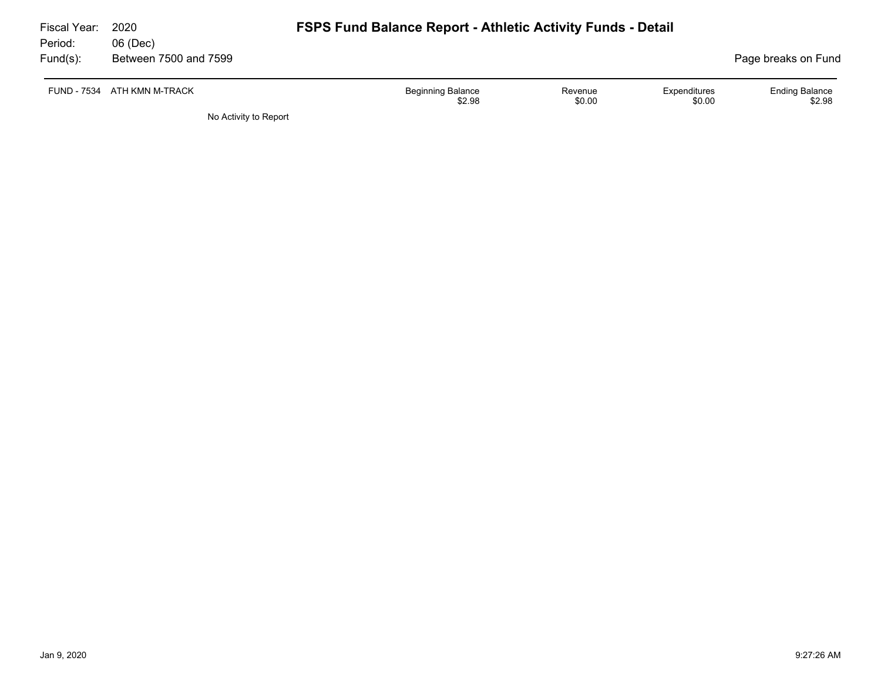| Fiscal Year: | <b>FSPS Fund Balance Report - Athletic Activity Funds - Detail</b><br>2020 |                          |         |              |                       |  |  |  |
|--------------|----------------------------------------------------------------------------|--------------------------|---------|--------------|-----------------------|--|--|--|
| Period:      | 06 (Dec)                                                                   |                          |         |              |                       |  |  |  |
| $Fund(s)$ :  | Between 7500 and 7599                                                      |                          |         |              | Page breaks on Fund   |  |  |  |
|              |                                                                            |                          |         |              |                       |  |  |  |
|              | FUND - 7534 ATH KMN M-TRACK                                                | <b>Beginning Balance</b> | Revenue | Expenditures | <b>Ending Balance</b> |  |  |  |
|              |                                                                            | \$2.98                   | \$0.00  | \$0.00       | \$2.98                |  |  |  |
|              | No Activity to Report                                                      |                          |         |              |                       |  |  |  |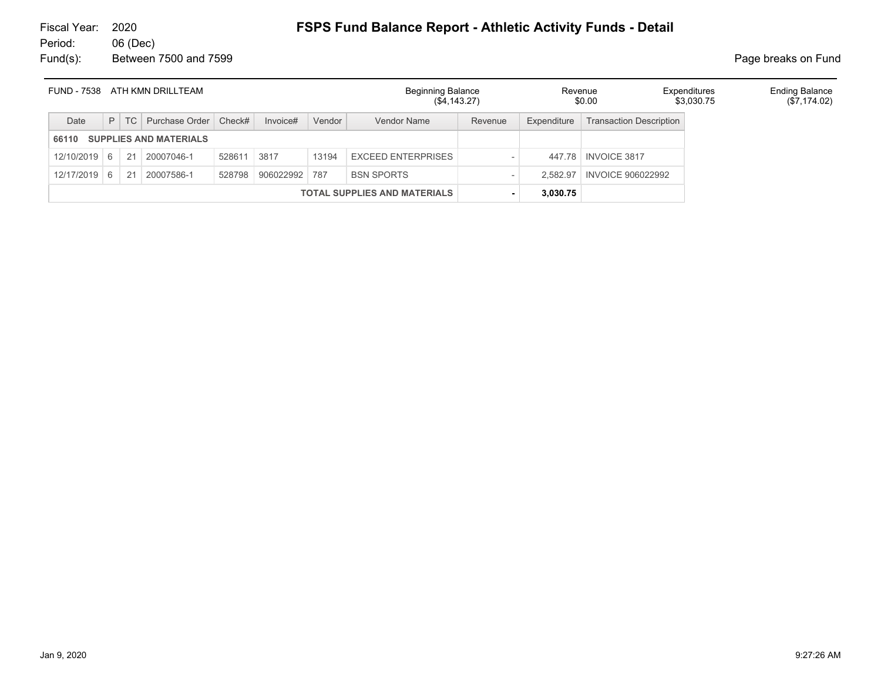# Fiscal Year: 2020 **FSPS Fund Balance Report - Athletic Activity Funds - Detail**

06 (Dec) Fund(s): Between 7500 and 7599 **Page breaks** on Fund

|            | FUND - 7538 ATH KMN DRILLTEAM |    |                               |             | <b>Beginning Balance</b><br>$(\$4,143.27)$ |        | Revenue<br>\$0.00                   | Expenditures<br>\$3.030.75 | <b>Ending Balance</b><br>(\$7,174.02) |                                |  |  |
|------------|-------------------------------|----|-------------------------------|-------------|--------------------------------------------|--------|-------------------------------------|----------------------------|---------------------------------------|--------------------------------|--|--|
| Date       | P                             | TC | Purchase Order                | Check#      | Invoice#                                   | Vendor | Vendor Name                         | Revenue                    | Expenditure                           | <b>Transaction Description</b> |  |  |
| 66110      |                               |    | <b>SUPPLIES AND MATERIALS</b> |             |                                            |        |                                     |                            |                                       |                                |  |  |
| 12/10/2019 | 6                             | 21 | 20007046-1                    | 528611 3817 |                                            | 13194  | <b>EXCEED ENTERPRISES</b>           |                            | 447.78                                | <b>INVOICE 3817</b>            |  |  |
| 12/17/2019 | 6                             | 21 | 20007586-1                    | 528798      | 906022992 787                              |        | <b>BSN SPORTS</b>                   |                            | 2.582.97                              | <b>INVOICE 906022992</b>       |  |  |
|            |                               |    |                               |             |                                            |        | <b>TOTAL SUPPLIES AND MATERIALS</b> |                            | 3,030.75                              |                                |  |  |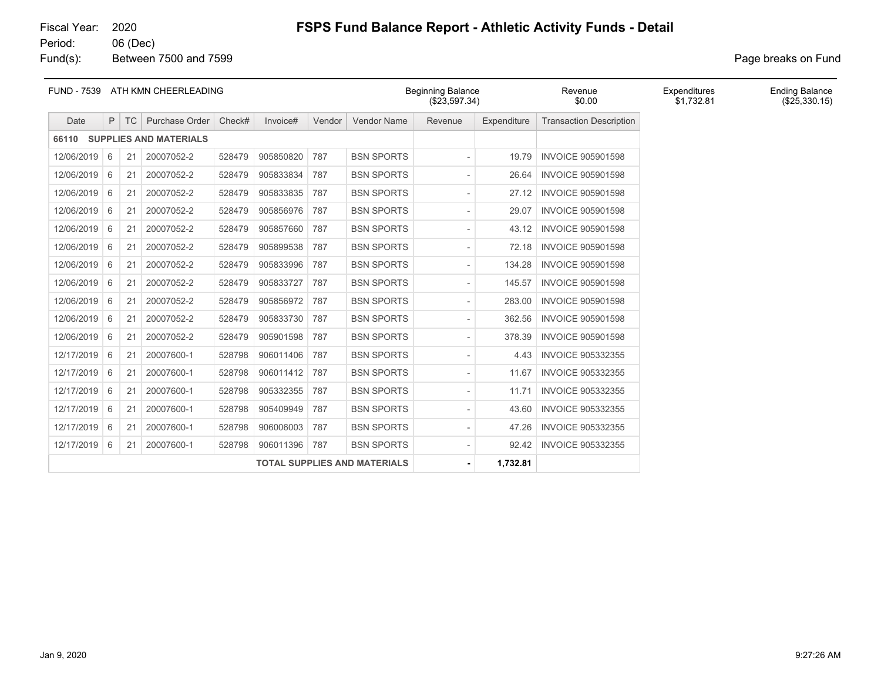Fund(s): Between 7500 and 7599 **Page breaks** on Fund

| <b>FUND - 7539</b> |   |        | ATH KMN CHEERLEADING          |        |           |        |                                     | <b>Beginning Balance</b><br>(\$23,597.34) |             | Revenue<br>\$0.00              | Expenditures<br>\$1,732.81 | <b>Ending Balance</b><br>(\$25,330.15) |
|--------------------|---|--------|-------------------------------|--------|-----------|--------|-------------------------------------|-------------------------------------------|-------------|--------------------------------|----------------------------|----------------------------------------|
| Date               |   | $P$ TC | Purchase Order                | Check# | Invoice#  | Vendor | Vendor Name                         | Revenue                                   | Expenditure | <b>Transaction Description</b> |                            |                                        |
| 66110              |   |        | <b>SUPPLIES AND MATERIALS</b> |        |           |        |                                     |                                           |             |                                |                            |                                        |
| 12/06/2019         | 6 | 21     | 20007052-2                    | 528479 | 905850820 | 787    | <b>BSN SPORTS</b>                   |                                           | 19.79       | <b>INVOICE 905901598</b>       |                            |                                        |
| 12/06/2019         | 6 | 21     | 20007052-2                    | 528479 | 905833834 | 787    | <b>BSN SPORTS</b>                   | $\overline{\phantom{a}}$                  | 26.64       | <b>INVOICE 905901598</b>       |                            |                                        |
| 12/06/2019 6       |   | 21     | 20007052-2                    | 528479 | 905833835 | 787    | <b>BSN SPORTS</b>                   | $\overline{\phantom{0}}$                  | 27.12       | <b>INVOICE 905901598</b>       |                            |                                        |
| 12/06/2019         | 6 | 21     | 20007052-2                    | 528479 | 905856976 | 787    | <b>BSN SPORTS</b>                   | $\overline{\phantom{a}}$                  | 29.07       | <b>INVOICE 905901598</b>       |                            |                                        |
| 12/06/2019         | 6 | 21     | 20007052-2                    | 528479 | 905857660 | 787    | <b>BSN SPORTS</b>                   | $\overline{\phantom{a}}$                  | 43.12       | <b>INVOICE 905901598</b>       |                            |                                        |
| 12/06/2019         | 6 | 21     | 20007052-2                    | 528479 | 905899538 | 787    | <b>BSN SPORTS</b>                   | $\overline{\phantom{a}}$                  | 72.18       | <b>INVOICE 905901598</b>       |                            |                                        |
| 12/06/2019 6       |   | 21     | 20007052-2                    | 528479 | 905833996 | 787    | <b>BSN SPORTS</b>                   | $\overline{\phantom{a}}$                  | 134.28      | <b>INVOICE 905901598</b>       |                            |                                        |
| 12/06/2019         | 6 | 21     | 20007052-2                    | 528479 | 905833727 | 787    | <b>BSN SPORTS</b>                   | $\overline{\phantom{a}}$                  | 145.57      | <b>INVOICE 905901598</b>       |                            |                                        |
| 12/06/2019         | 6 | 21     | 20007052-2                    | 528479 | 905856972 | 787    | <b>BSN SPORTS</b>                   | $\overline{\phantom{a}}$                  | 283.00      | <b>INVOICE 905901598</b>       |                            |                                        |
| 12/06/2019         | 6 | 21     | 20007052-2                    | 528479 | 905833730 | 787    | <b>BSN SPORTS</b>                   | $\overline{\phantom{a}}$                  | 362.56      | <b>INVOICE 905901598</b>       |                            |                                        |
| 12/06/2019 6       |   | 21     | 20007052-2                    | 528479 | 905901598 | 787    | <b>BSN SPORTS</b>                   | $\overline{\phantom{a}}$                  | 378.39      | <b>INVOICE 905901598</b>       |                            |                                        |
| 12/17/2019         | 6 | 21     | 20007600-1                    | 528798 | 906011406 | 787    | <b>BSN SPORTS</b>                   | $\overline{\phantom{a}}$                  | 4.43        | <b>INVOICE 905332355</b>       |                            |                                        |
| 12/17/2019         | 6 | 21     | 20007600-1                    | 528798 | 906011412 | 787    | <b>BSN SPORTS</b>                   | $\overline{\phantom{a}}$                  | 11.67       | <b>INVOICE 905332355</b>       |                            |                                        |
| 12/17/2019         | 6 | 21     | 20007600-1                    | 528798 | 905332355 | 787    | <b>BSN SPORTS</b>                   | $\overline{\phantom{a}}$                  | 11.71       | <b>INVOICE 905332355</b>       |                            |                                        |
| 12/17/2019 6       |   | 21     | 20007600-1                    | 528798 | 905409949 | 787    | <b>BSN SPORTS</b>                   | $\overline{\phantom{0}}$                  | 43.60       | <b>INVOICE 905332355</b>       |                            |                                        |
| 12/17/2019         | 6 | 21     | 20007600-1                    | 528798 | 906006003 | 787    | <b>BSN SPORTS</b>                   | $\overline{\phantom{a}}$                  | 47.26       | <b>INVOICE 905332355</b>       |                            |                                        |
| 12/17/2019 6       |   | 21     | 20007600-1                    | 528798 | 906011396 | 787    | <b>BSN SPORTS</b>                   | $\overline{\phantom{a}}$                  | 92.42       | <b>INVOICE 905332355</b>       |                            |                                        |
|                    |   |        |                               |        |           |        | <b>TOTAL SUPPLIES AND MATERIALS</b> | ٠                                         | 1,732.81    |                                |                            |                                        |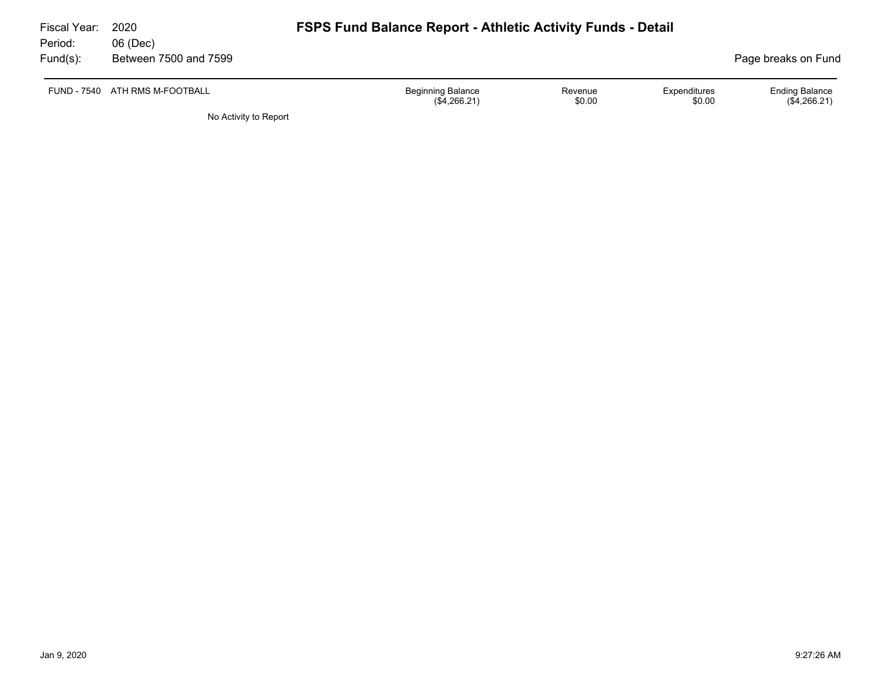| Fiscal Year:<br>Period: | 2020<br>06 (Dec)               | <b>FSPS Fund Balance Report - Athletic Activity Funds - Detail</b> |                   |                        |                                         |
|-------------------------|--------------------------------|--------------------------------------------------------------------|-------------------|------------------------|-----------------------------------------|
| Fund(s):                | Between 7500 and 7599          |                                                                    |                   |                        | Page breaks on Fund                     |
|                         | FUND - 7540 ATH RMS M-FOOTBALL | <b>Beginning Balance</b><br>(\$4,266.21)                           | Revenue<br>\$0.00 | Expenditures<br>\$0.00 | <b>Ending Balance</b><br>$(\$4,266.21)$ |

No Activity to Report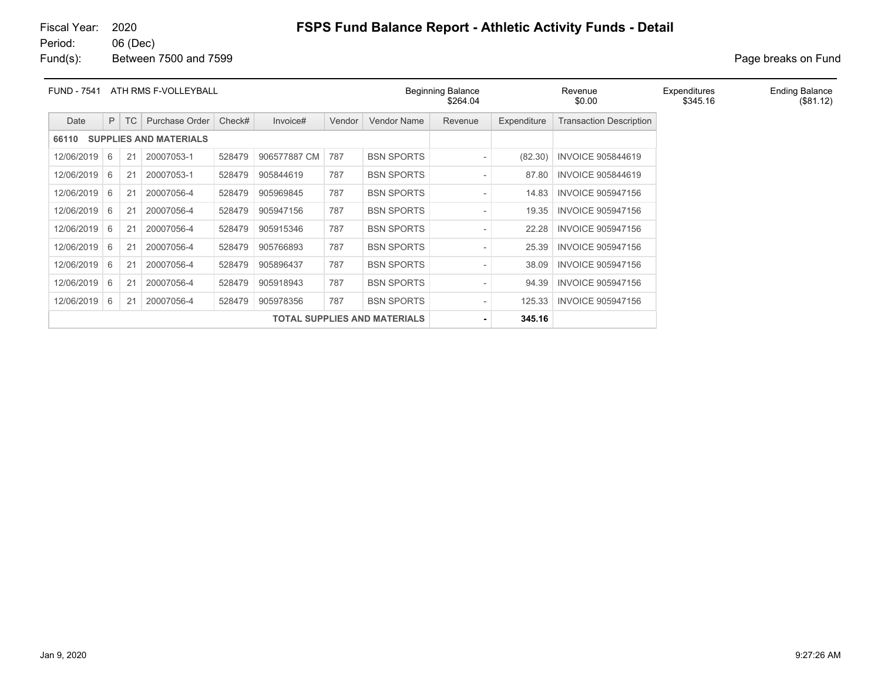Fund(s): Between 7500 and 7599 **Page breaks** on Fund

| ATH RMS F-VOLLEYBALL<br><b>FUND - 7541</b> |    |           |                               |        |              |        |                                     | <b>Beginning Balance</b><br>Revenue<br>\$264.04<br>\$0.00 |             |                                | Expenditures<br>\$345.16 | <b>Ending Balance</b><br>(\$81.12) |
|--------------------------------------------|----|-----------|-------------------------------|--------|--------------|--------|-------------------------------------|-----------------------------------------------------------|-------------|--------------------------------|--------------------------|------------------------------------|
| Date                                       | P  | <b>TC</b> | Purchase Order                | Check# | Invoice#     | Vendor | <b>Vendor Name</b>                  | Revenue                                                   | Expenditure | <b>Transaction Description</b> |                          |                                    |
| 66110                                      |    |           | <b>SUPPLIES AND MATERIALS</b> |        |              |        |                                     |                                                           |             |                                |                          |                                    |
| 12/06/2019                                 | -6 | 21        | 20007053-1                    | 528479 | 906577887 CM | 787    | <b>BSN SPORTS</b>                   |                                                           | (82.30)     | <b>INVOICE 905844619</b>       |                          |                                    |
| 12/06/2019                                 | 6  | 21        | 20007053-1                    | 528479 | 905844619    | 787    | <b>BSN SPORTS</b>                   |                                                           | 87.80       | <b>INVOICE 905844619</b>       |                          |                                    |
| 12/06/2019                                 | -6 | 21        | 20007056-4                    | 528479 | 905969845    | 787    | <b>BSN SPORTS</b>                   |                                                           | 14.83       | <b>INVOICE 905947156</b>       |                          |                                    |
| 12/06/2019                                 | 6  | 21        | 20007056-4                    | 528479 | 905947156    | 787    | <b>BSN SPORTS</b>                   |                                                           | 19.35       | <b>INVOICE 905947156</b>       |                          |                                    |
| 12/06/2019                                 | -6 | 21        | 20007056-4                    | 528479 | 905915346    | 787    | <b>BSN SPORTS</b>                   |                                                           | 22.28       | <b>INVOICE 905947156</b>       |                          |                                    |
| 12/06/2019                                 | 6  | 21        | 20007056-4                    | 528479 | 905766893    | 787    | <b>BSN SPORTS</b>                   |                                                           | 25.39       | <b>INVOICE 905947156</b>       |                          |                                    |
| 12/06/2019                                 | -6 | 21        | 20007056-4                    | 528479 | 905896437    | 787    | <b>BSN SPORTS</b>                   |                                                           | 38.09       | <b>INVOICE 905947156</b>       |                          |                                    |
| 12/06/2019                                 | -6 | 21        | 20007056-4                    | 528479 | 905918943    | 787    | <b>BSN SPORTS</b>                   |                                                           | 94.39       | <b>INVOICE 905947156</b>       |                          |                                    |
| 12/06/2019                                 | -6 | 21        | 20007056-4                    | 528479 | 905978356    | 787    | <b>BSN SPORTS</b>                   |                                                           | 125.33      | <b>INVOICE 905947156</b>       |                          |                                    |
|                                            |    |           |                               |        |              |        | <b>TOTAL SUPPLIES AND MATERIALS</b> |                                                           | 345.16      |                                |                          |                                    |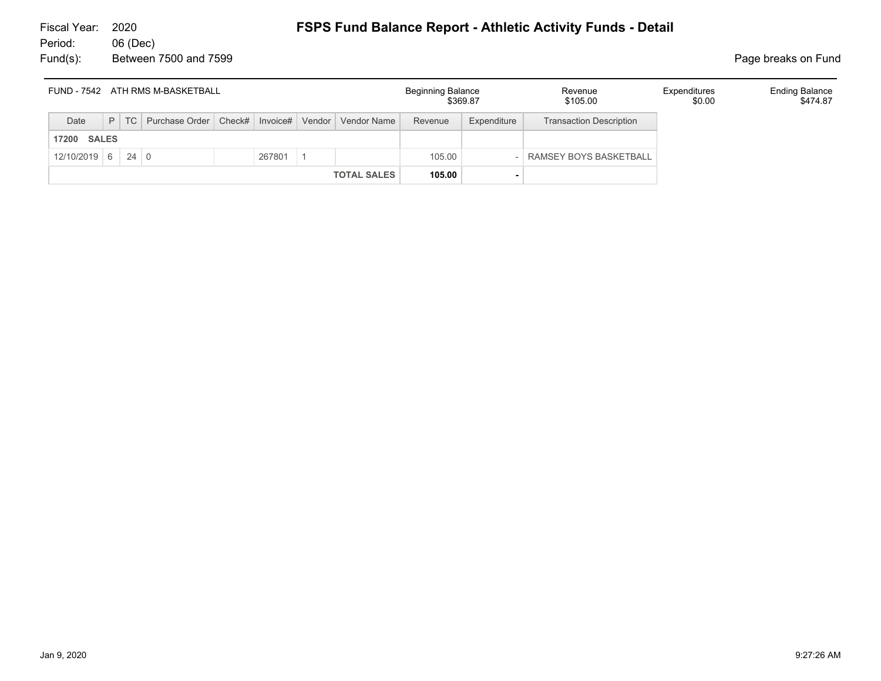|                       | FUND - 7542 ATH RMS M-BASKETBALL<br>P   TC   Purchase Order   Check#   Invoice#   Vendor   Vendor Name |  |  |  |        |  |                    | <b>Beginning Balance</b> | \$369.87    | Revenue<br>\$105.00            | Expenditures<br>\$0.00 | <b>Ending Balance</b><br>\$474.87 |
|-----------------------|--------------------------------------------------------------------------------------------------------|--|--|--|--------|--|--------------------|--------------------------|-------------|--------------------------------|------------------------|-----------------------------------|
| Date                  |                                                                                                        |  |  |  |        |  |                    | Revenue                  | Expenditure | <b>Transaction Description</b> |                        |                                   |
| <b>SALES</b><br>17200 |                                                                                                        |  |  |  |        |  |                    |                          |             |                                |                        |                                   |
| $12/10/2019$ 6 24 0   |                                                                                                        |  |  |  | 267801 |  |                    | 105.00                   |             | RAMSEY BOYS BASKETBALL         |                        |                                   |
|                       |                                                                                                        |  |  |  |        |  | <b>TOTAL SALES</b> | 105.00                   |             |                                |                        |                                   |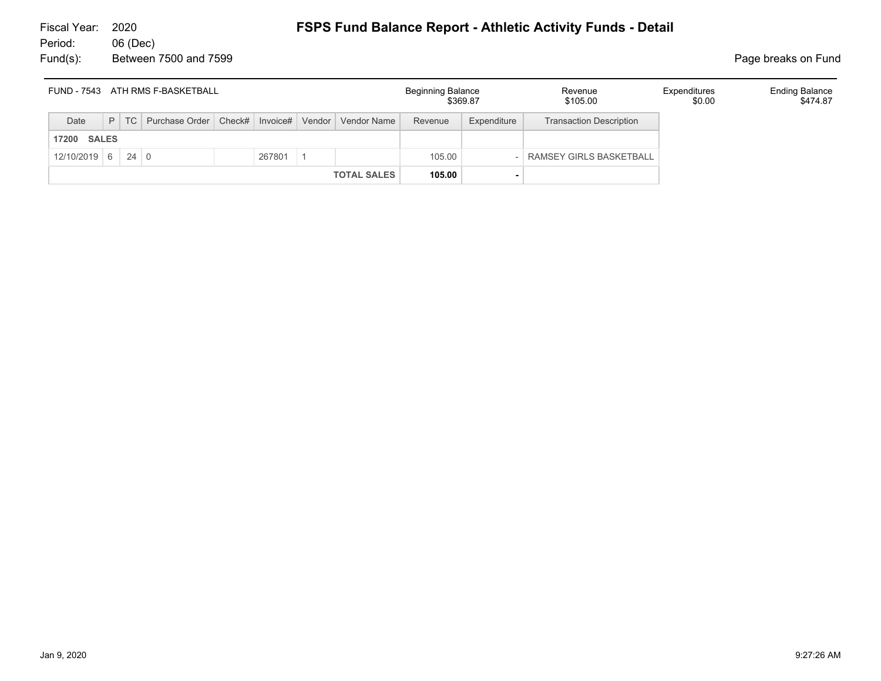|      |                               |  | FUND - 7543 ATH RMS F-BASKETBALL                                   |  |  |  |                    | <b>Beginning Balance</b> | \$369.87    | Revenue<br>\$105.00            | Expenditures<br>\$0.00 | <b>Ending Balance</b><br>\$474.87 |
|------|-------------------------------|--|--------------------------------------------------------------------|--|--|--|--------------------|--------------------------|-------------|--------------------------------|------------------------|-----------------------------------|
| Date |                               |  | P   TC   Purchase Order   Check#   Invoice#   Vendor   Vendor Name |  |  |  |                    | Revenue                  | Expenditure | <b>Transaction Description</b> |                        |                                   |
|      | <b>17200 SALES</b>            |  |                                                                    |  |  |  |                    |                          |             |                                |                        |                                   |
|      | $12/10/2019$ 6 24 0<br>267801 |  |                                                                    |  |  |  |                    | 105.00                   |             | RAMSEY GIRLS BASKETBALL        |                        |                                   |
|      |                               |  |                                                                    |  |  |  | <b>TOTAL SALES</b> | 105.00                   |             |                                |                        |                                   |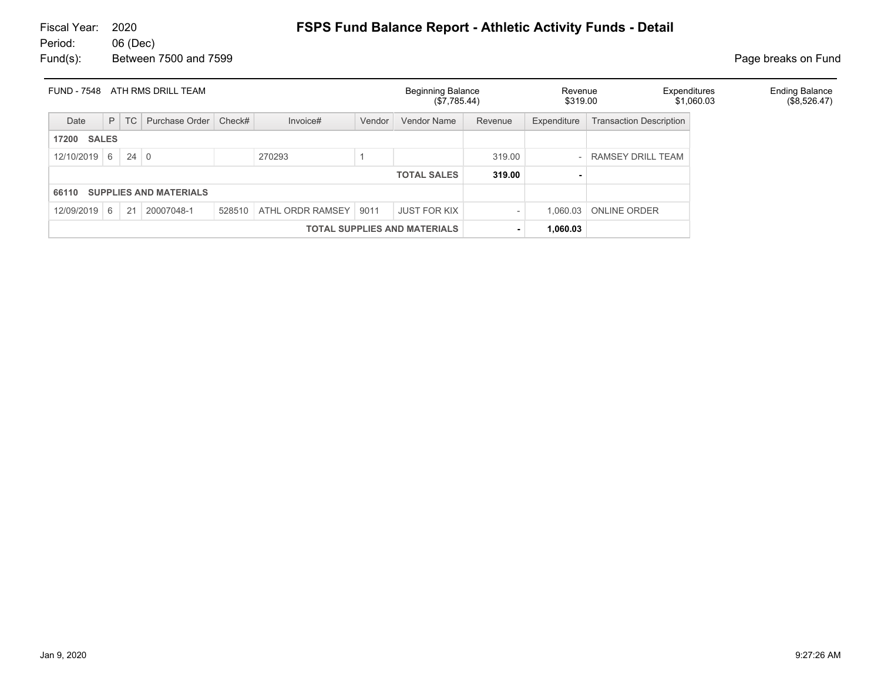# Fiscal Year: 2020 **FSPS Fund Balance Report - Athletic Activity Funds - Detail**

06 (Dec) Fund(s): Between 7500 and 7599 **Page breaks** on Fund

| <b>FUND - 7548</b> |                                     |             | ATH RMS DRILL TEAM            |                    |                  |        | <b>Beginning Balance</b><br>(\$7,785.44) |         | Revenue<br>\$319.00 | Expenditures                   | \$1,060.03 | <b>Ending Balance</b><br>(\$8,526.47) |  |
|--------------------|-------------------------------------|-------------|-------------------------------|--------------------|------------------|--------|------------------------------------------|---------|---------------------|--------------------------------|------------|---------------------------------------|--|
| Date               |                                     | $P$ TC      | Purchase Order                | Check#<br>Invoice# |                  | Vendor | <b>Vendor Name</b>                       | Revenue | Expenditure         | <b>Transaction Description</b> |            |                                       |  |
| <b>17200 SALES</b> |                                     |             |                               |                    |                  |        |                                          |         |                     |                                |            |                                       |  |
| $12/10/2019$ 6     |                                     | $24 \mid 0$ |                               | 270293             |                  |        |                                          | 319.00  |                     | RAMSEY DRILL TEAM              |            |                                       |  |
|                    |                                     |             |                               |                    |                  |        | <b>TOTAL SALES</b>                       | 319.00  |                     |                                |            |                                       |  |
| 66110              |                                     |             | <b>SUPPLIES AND MATERIALS</b> |                    |                  |        |                                          |         |                     |                                |            |                                       |  |
| 12/09/2019 6       |                                     | 21          | 20007048-1                    | 528510             | ATHL ORDR RAMSEY | 9011   | <b>JUST FOR KIX</b>                      |         | 1.060.03            | <b>ONLINE ORDER</b>            |            |                                       |  |
|                    | <b>TOTAL SUPPLIES AND MATERIALS</b> |             |                               |                    |                  |        |                                          |         | 1,060.03            |                                |            |                                       |  |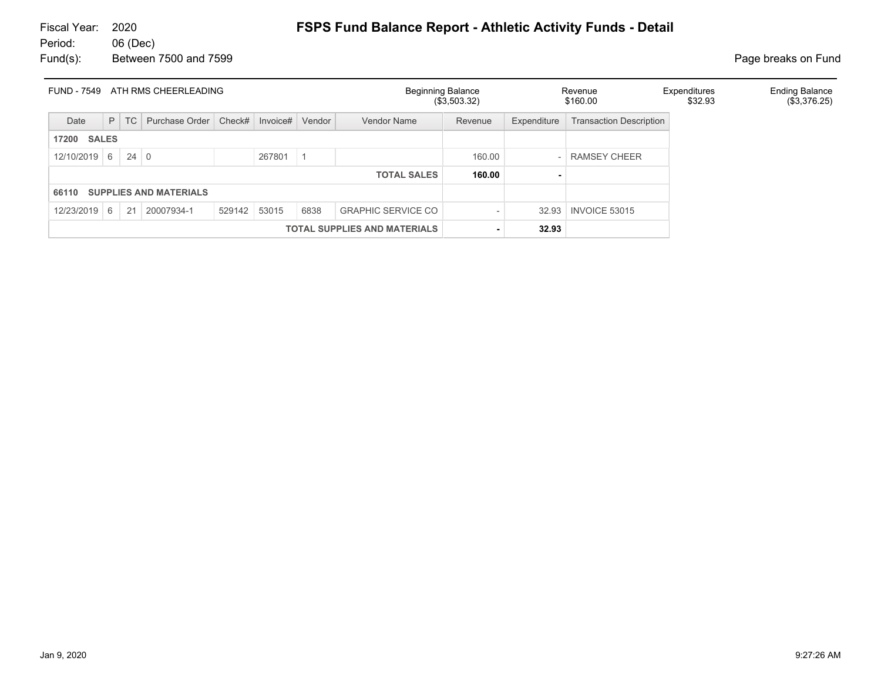# Fiscal Year: 2020 **FSPS Fund Balance Report - Athletic Activity Funds - Detail**

06 (Dec) Fund(s): Between 7500 and 7599 **Page breaks** on Fund

| FUND - 7549                                                                                 |                                     |    | ATH RMS CHEERLEADING          |        |                 |  |                    | <b>Beginning Balance</b><br>(\$3,503.32) |             | Revenue<br>\$160.00            | Expenditures<br>\$32.93 | <b>Ending Balance</b><br>(\$3,376.25) |
|---------------------------------------------------------------------------------------------|-------------------------------------|----|-------------------------------|--------|-----------------|--|--------------------|------------------------------------------|-------------|--------------------------------|-------------------------|---------------------------------------|
| Date                                                                                        | P                                   | TC | Purchase Order                | Check# | Invoice# Vendor |  | Vendor Name        | Revenue                                  | Expenditure | <b>Transaction Description</b> |                         |                                       |
| 17200                                                                                       | <b>SALES</b>                        |    |                               |        |                 |  |                    |                                          |             |                                |                         |                                       |
| 12/10/2019                                                                                  | $24 \mid 0$<br>267801<br>6          |    |                               |        |                 |  |                    | 160.00                                   |             | <b>RAMSEY CHEER</b>            |                         |                                       |
|                                                                                             |                                     |    |                               |        |                 |  | <b>TOTAL SALES</b> | 160.00                                   | ٠           |                                |                         |                                       |
| 66110                                                                                       |                                     |    | <b>SUPPLIES AND MATERIALS</b> |        |                 |  |                    |                                          |             |                                |                         |                                       |
| 6838<br><b>GRAPHIC SERVICE CO</b><br>20007934-1<br>529142<br>12/23/2019<br>21<br>53015<br>6 |                                     |    |                               |        |                 |  |                    |                                          | 32.93       | <b>INVOICE 53015</b>           |                         |                                       |
|                                                                                             | <b>TOTAL SUPPLIES AND MATERIALS</b> |    |                               |        |                 |  |                    |                                          | 32.93       |                                |                         |                                       |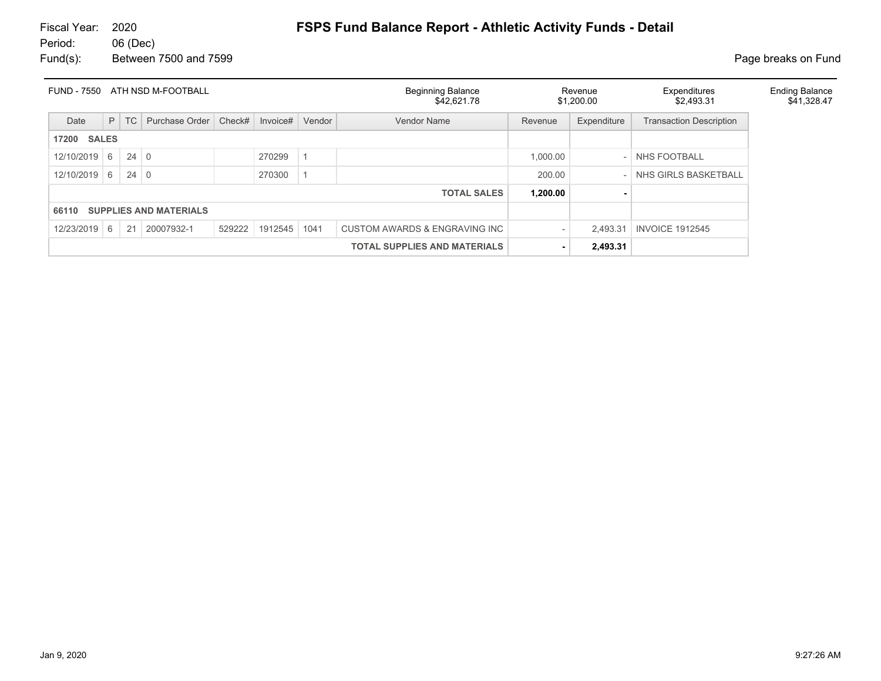| FUND - 7550                                                                                       |                                     |             | ATH NSD M-FOOTBALL |        |          |          | <b>Beginning Balance</b><br>\$42,621.78 |          | Revenue<br>\$1,200.00 | Expenditures<br>\$2.493.31     | <b>Ending Balance</b><br>\$41,328.47 |
|---------------------------------------------------------------------------------------------------|-------------------------------------|-------------|--------------------|--------|----------|----------|-----------------------------------------|----------|-----------------------|--------------------------------|--------------------------------------|
| Date                                                                                              | P                                   | TC          | Purchase Order     | Check# | Invoice# | Vendor   | Vendor Name                             | Revenue  | Expenditure           | <b>Transaction Description</b> |                                      |
| <b>SALES</b><br>17200                                                                             |                                     |             |                    |        |          |          |                                         |          |                       |                                |                                      |
| 12/10/2019                                                                                        | 6                                   | $24 \mid 0$ |                    |        | 270299   |          |                                         | 1,000.00 |                       | - NHS FOOTBALL                 |                                      |
| 12/10/2019                                                                                        | $24 \mid 0$<br>270300<br>6          |             |                    |        |          |          |                                         | 200.00   |                       | NHS GIRLS BASKETBALL           |                                      |
|                                                                                                   |                                     |             |                    |        |          |          | <b>TOTAL SALES</b>                      | 1,200.00 |                       |                                |                                      |
| <b>SUPPLIES AND MATERIALS</b><br>66110                                                            |                                     |             |                    |        |          |          |                                         |          |                       |                                |                                      |
| 12/23/2019<br>20007932-1<br>1912545<br>CUSTOM AWARDS & ENGRAVING INC<br>21<br>529222<br>1041<br>6 |                                     |             |                    |        |          | 2.493.31 | <b>INVOICE 1912545</b>                  |          |                       |                                |                                      |
|                                                                                                   | <b>TOTAL SUPPLIES AND MATERIALS</b> |             |                    |        |          |          |                                         |          | 2,493.31              |                                |                                      |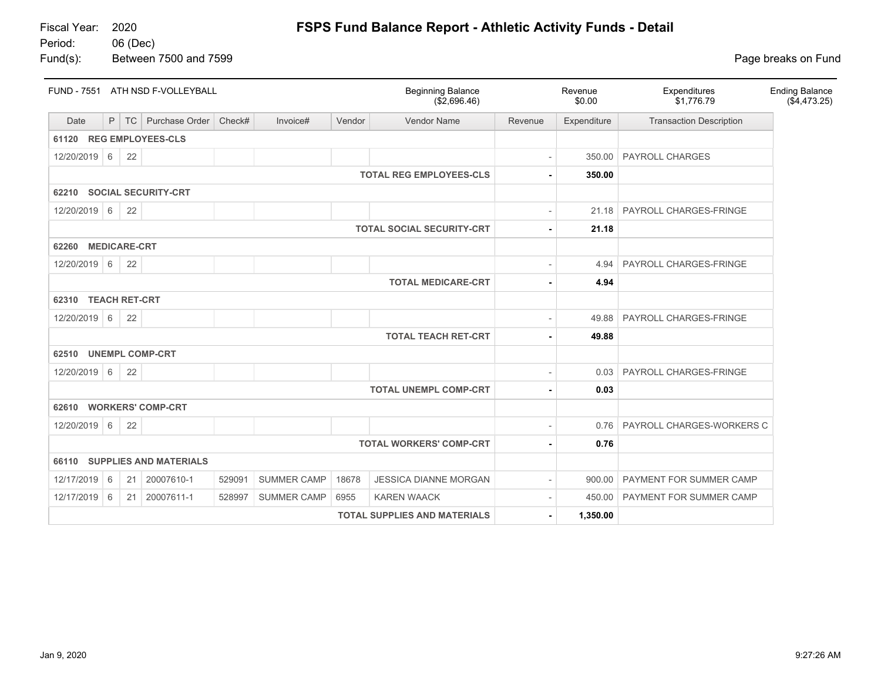Fund(s): Between 7500 and 7599 **Page breaks** on Fund

|                                                                                                           | FUND - 7551 ATH NSD F-VOLLEYBALL |                     |                               |        |                    |        | <b>Beginning Balance</b><br>(\$2,696.46) |         | Revenue<br>\$0.00 | Expenditures<br>\$1,776.79     | <b>Ending Balance</b><br>(\$4,473.25) |  |
|-----------------------------------------------------------------------------------------------------------|----------------------------------|---------------------|-------------------------------|--------|--------------------|--------|------------------------------------------|---------|-------------------|--------------------------------|---------------------------------------|--|
| Date                                                                                                      | P                                | TC                  | Purchase Order                | Check# | Invoice#           | Vendor | <b>Vendor Name</b>                       | Revenue | Expenditure       | <b>Transaction Description</b> |                                       |  |
| 61120 REG EMPLOYEES-CLS                                                                                   |                                  |                     |                               |        |                    |        |                                          |         |                   |                                |                                       |  |
| 12/20/2019 6                                                                                              |                                  | 22                  |                               |        |                    |        |                                          |         | 350.00            | <b>PAYROLL CHARGES</b>         |                                       |  |
|                                                                                                           |                                  |                     |                               |        |                    |        | <b>TOTAL REG EMPLOYEES-CLS</b>           |         | 350.00            |                                |                                       |  |
| 62210                                                                                                     |                                  |                     | <b>SOCIAL SECURITY-CRT</b>    |        |                    |        |                                          |         |                   |                                |                                       |  |
| 12/20/2019 6                                                                                              |                                  | 22                  |                               |        |                    |        |                                          |         | 21.18             | PAYROLL CHARGES-FRINGE         |                                       |  |
|                                                                                                           |                                  |                     |                               |        |                    |        | <b>TOTAL SOCIAL SECURITY-CRT</b>         |         | 21.18             |                                |                                       |  |
| 62260                                                                                                     |                                  | <b>MEDICARE-CRT</b> |                               |        |                    |        |                                          |         |                   |                                |                                       |  |
| 12/20/2019 6                                                                                              |                                  | 22                  |                               |        |                    |        |                                          |         | 4.94              | PAYROLL CHARGES-FRINGE         |                                       |  |
| <b>TOTAL MEDICARE-CRT</b><br>4.94                                                                         |                                  |                     |                               |        |                    |        |                                          |         |                   |                                |                                       |  |
| 62310 TEACH RET-CRT                                                                                       |                                  |                     |                               |        |                    |        |                                          |         |                   |                                |                                       |  |
| 12/20/2019 6                                                                                              |                                  | 22                  |                               |        |                    |        |                                          |         | 49.88             | PAYROLL CHARGES-FRINGE         |                                       |  |
|                                                                                                           |                                  |                     |                               |        |                    |        | <b>TOTAL TEACH RET-CRT</b>               |         | 49.88             |                                |                                       |  |
| 62510 UNEMPL COMP-CRT                                                                                     |                                  |                     |                               |        |                    |        |                                          |         |                   |                                |                                       |  |
| 12/20/2019 6                                                                                              |                                  | 22                  |                               |        |                    |        |                                          |         | 0.03              | PAYROLL CHARGES-FRINGE         |                                       |  |
|                                                                                                           |                                  |                     |                               |        |                    |        | <b>TOTAL UNEMPL COMP-CRT</b>             |         | 0.03              |                                |                                       |  |
| 62610 WORKERS' COMP-CRT                                                                                   |                                  |                     |                               |        |                    |        |                                          |         |                   |                                |                                       |  |
| 12/20/2019 6                                                                                              |                                  | 22                  |                               |        |                    |        |                                          |         | 0.76              | PAYROLL CHARGES-WORKERS C      |                                       |  |
|                                                                                                           |                                  |                     |                               |        |                    |        | <b>TOTAL WORKERS' COMP-CRT</b>           |         | 0.76              |                                |                                       |  |
| 66110                                                                                                     |                                  |                     | <b>SUPPLIES AND MATERIALS</b> |        |                    |        |                                          |         |                   |                                |                                       |  |
| <b>SUMMER CAMP</b><br>12/17/2019 6<br>21<br>20007610-1<br>529091<br>18678<br><b>JESSICA DIANNE MORGAN</b> |                                  |                     |                               |        |                    |        |                                          |         | 900.00            | PAYMENT FOR SUMMER CAMP        |                                       |  |
| 12/17/2019                                                                                                | 6                                | 21                  | 20007611-1                    | 528997 | <b>SUMMER CAMP</b> | 6955   | <b>KAREN WAACK</b>                       |         | 450.00            | PAYMENT FOR SUMMER CAMP        |                                       |  |
|                                                                                                           |                                  |                     |                               |        |                    |        | <b>TOTAL SUPPLIES AND MATERIALS</b>      |         | 1,350.00          |                                |                                       |  |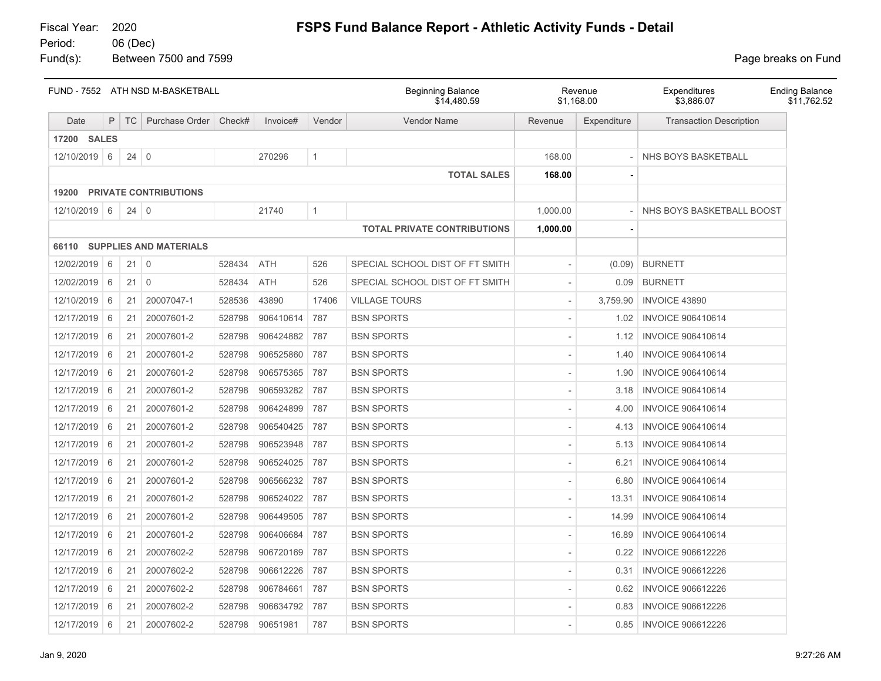Fund(s): Between 7500 and 7599 **Page breaks** on Fund

|              | FUND - 7552 ATH NSD M-BASKETBALL<br>P<br><b>TC</b><br>Purchase Order<br>Check#<br>Invoice# |             |                              |        |            |              | <b>Beginning Balance</b><br>\$14,480.59 |          | Revenue<br>\$1,168.00 | Expenditures<br>\$3,886.07     | <b>Ending Balance</b><br>\$11,762.52 |
|--------------|--------------------------------------------------------------------------------------------|-------------|------------------------------|--------|------------|--------------|-----------------------------------------|----------|-----------------------|--------------------------------|--------------------------------------|
| Date         |                                                                                            |             |                              |        |            | Vendor       | <b>Vendor Name</b>                      | Revenue  | Expenditure           | <b>Transaction Description</b> |                                      |
| 17200 SALES  |                                                                                            |             |                              |        |            |              |                                         |          |                       |                                |                                      |
| 12/10/2019 6 |                                                                                            | $24 \mid 0$ |                              |        | 270296     | $\mathbf{1}$ |                                         | 168.00   |                       | NHS BOYS BASKETBALL            |                                      |
|              |                                                                                            |             |                              |        |            |              | <b>TOTAL SALES</b>                      | 168.00   |                       |                                |                                      |
| 19200        |                                                                                            |             | <b>PRIVATE CONTRIBUTIONS</b> |        |            |              |                                         |          |                       |                                |                                      |
| 12/10/2019 6 |                                                                                            | $24 \mid 0$ |                              |        | 21740      | $\mathbf{1}$ |                                         | 1,000.00 |                       | NHS BOYS BASKETBALL BOOST      |                                      |
|              |                                                                                            |             |                              |        |            |              | <b>TOTAL PRIVATE CONTRIBUTIONS</b>      | 1,000.00 |                       |                                |                                      |
|              |                                                                                            |             | 66110 SUPPLIES AND MATERIALS |        |            |              |                                         |          |                       |                                |                                      |
| 12/02/2019   | 6                                                                                          | $21 \mid 0$ |                              | 528434 | <b>ATH</b> | 526          | SPECIAL SCHOOL DIST OF FT SMITH         |          | (0.09)                | <b>BURNETT</b>                 |                                      |
| 12/02/2019   | 6                                                                                          | $21 \mid 0$ |                              | 528434 | ATH        | 526          | SPECIAL SCHOOL DIST OF FT SMITH         |          | 0.09                  | <b>BURNETT</b>                 |                                      |
| 12/10/2019   | 6                                                                                          | 21          | 20007047-1                   | 528536 | 43890      | 17406        | <b>VILLAGE TOURS</b>                    |          | 3,759.90              | INVOICE 43890                  |                                      |
| 12/17/2019   | 6                                                                                          | 21          | 20007601-2                   | 528798 | 906410614  | 787          | <b>BSN SPORTS</b>                       |          | 1.02                  | <b>INVOICE 906410614</b>       |                                      |
| 12/17/2019   | 6                                                                                          | 21          | 20007601-2                   | 528798 | 906424882  | 787          | <b>BSN SPORTS</b>                       |          | 1.12                  | <b>INVOICE 906410614</b>       |                                      |
| 12/17/2019   | 6                                                                                          | 21          | 20007601-2                   | 528798 | 906525860  | 787          | <b>BSN SPORTS</b>                       |          | 1.40                  | <b>INVOICE 906410614</b>       |                                      |
| 12/17/2019   | 6                                                                                          | 21          | 20007601-2                   | 528798 | 906575365  | 787          | <b>BSN SPORTS</b>                       |          | 1.90                  | <b>INVOICE 906410614</b>       |                                      |
| 12/17/2019   | 6                                                                                          | 21          | 20007601-2                   | 528798 | 906593282  | 787          | <b>BSN SPORTS</b>                       |          | 3.18                  | <b>INVOICE 906410614</b>       |                                      |
| 12/17/2019   | 6                                                                                          | 21          | 20007601-2                   | 528798 | 906424899  | 787          | <b>BSN SPORTS</b>                       |          | 4.00                  | <b>INVOICE 906410614</b>       |                                      |
| 12/17/2019   | 6                                                                                          | 21          | 20007601-2                   | 528798 | 906540425  | 787          | <b>BSN SPORTS</b>                       |          | 4.13                  | <b>INVOICE 906410614</b>       |                                      |
| 12/17/2019   | 6                                                                                          | 21          | 20007601-2                   | 528798 | 906523948  | 787          | <b>BSN SPORTS</b>                       |          | 5.13                  | <b>INVOICE 906410614</b>       |                                      |
| 12/17/2019   | 6                                                                                          | 21          | 20007601-2                   | 528798 | 906524025  | 787          | <b>BSN SPORTS</b>                       |          | 6.21                  | <b>INVOICE 906410614</b>       |                                      |
| 12/17/2019   | 6                                                                                          | 21          | 20007601-2                   | 528798 | 906566232  | 787          | <b>BSN SPORTS</b>                       |          | 6.80                  | <b>INVOICE 906410614</b>       |                                      |
| 12/17/2019   | 6                                                                                          | 21          | 20007601-2                   | 528798 | 906524022  | 787          | <b>BSN SPORTS</b>                       |          | 13.31                 | <b>INVOICE 906410614</b>       |                                      |
| 12/17/2019   | 6                                                                                          | 21          | 20007601-2                   | 528798 | 906449505  | 787          | <b>BSN SPORTS</b>                       |          | 14.99                 | <b>INVOICE 906410614</b>       |                                      |
| 12/17/2019   | 6                                                                                          | 21          | 20007601-2                   | 528798 | 906406684  | 787          | <b>BSN SPORTS</b>                       |          | 16.89                 | <b>INVOICE 906410614</b>       |                                      |
| 12/17/2019   | 6                                                                                          | 21          | 20007602-2                   | 528798 | 906720169  | 787          | <b>BSN SPORTS</b>                       |          | 0.22                  | <b>INVOICE 906612226</b>       |                                      |
| 12/17/2019   | 6                                                                                          | 21          | 20007602-2                   | 528798 | 906612226  | 787          | <b>BSN SPORTS</b>                       |          | 0.31                  | <b>INVOICE 906612226</b>       |                                      |
| 12/17/2019   | 6                                                                                          | 21          | 20007602-2                   | 528798 | 906784661  | 787          | <b>BSN SPORTS</b>                       |          | 0.62                  | <b>INVOICE 906612226</b>       |                                      |
| 12/17/2019   | 6                                                                                          | 21          | 20007602-2                   | 528798 | 906634792  | 787          | <b>BSN SPORTS</b>                       |          | 0.83                  | <b>INVOICE 906612226</b>       |                                      |
| 12/17/2019   | 6                                                                                          | 21          | 20007602-2                   | 528798 | 90651981   | 787          | <b>BSN SPORTS</b>                       |          | 0.85                  | <b>INVOICE 906612226</b>       |                                      |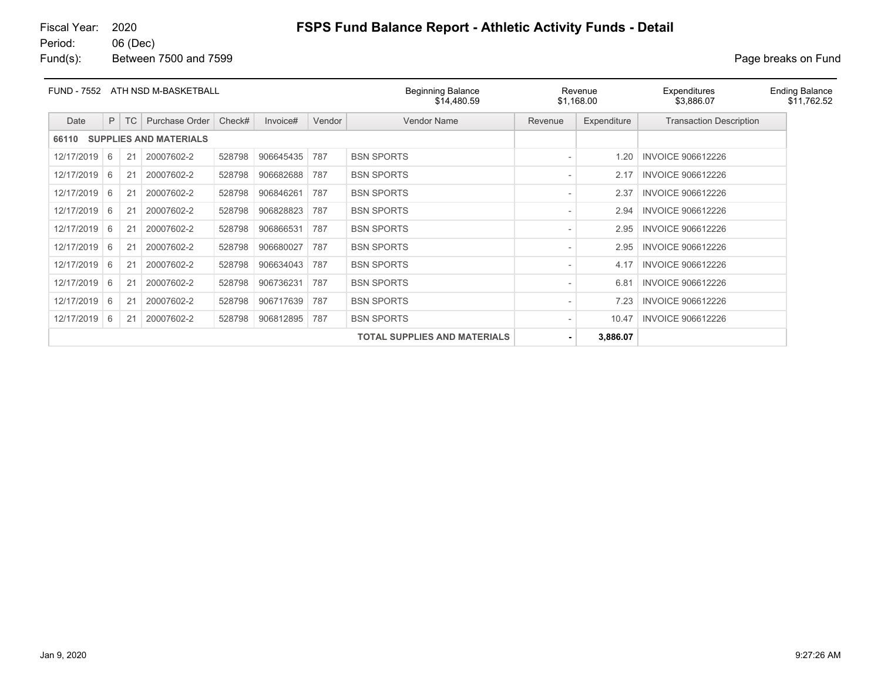Fund(s): Between 7500 and 7599 **Page breaks** on Fund

| <b>FUND - 7552</b> |                                                     |           | ATH NSD M-BASKETBALL          |        |           |        | <b>Beginning Balance</b><br>\$14,480.59 |         | Revenue<br>\$1,168.00 | Expenditures<br>\$3,886.07     | <b>Ending Balance</b><br>\$11,762.52 |
|--------------------|-----------------------------------------------------|-----------|-------------------------------|--------|-----------|--------|-----------------------------------------|---------|-----------------------|--------------------------------|--------------------------------------|
| Date               | P                                                   | <b>TC</b> | Purchase Order                | Check# | Invoice#  | Vendor | <b>Vendor Name</b>                      | Revenue | Expenditure           | <b>Transaction Description</b> |                                      |
| 66110              |                                                     |           | <b>SUPPLIES AND MATERIALS</b> |        |           |        |                                         |         |                       |                                |                                      |
| 12/17/2019         | 6                                                   | 21        | 20007602-2                    | 528798 | 906645435 | 787    | <b>BSN SPORTS</b>                       |         | 1.20                  | <b>INVOICE 906612226</b>       |                                      |
| 12/17/2019         | 6                                                   | 21        | 20007602-2                    | 528798 | 906682688 | 787    | <b>BSN SPORTS</b>                       |         | 2.17                  | <b>INVOICE 906612226</b>       |                                      |
| 12/17/2019         | 6                                                   | 21        | 20007602-2                    | 528798 | 906846261 | 787    | <b>BSN SPORTS</b>                       |         | 2.37                  | <b>INVOICE 906612226</b>       |                                      |
| 12/17/2019         | 6                                                   | 21        | 20007602-2                    | 528798 | 906828823 | 787    | <b>BSN SPORTS</b>                       |         | 2.94                  | <b>INVOICE 906612226</b>       |                                      |
| 12/17/2019         | 6                                                   | 21        | 20007602-2                    | 528798 | 906866531 | 787    | <b>BSN SPORTS</b>                       |         | 2.95                  | <b>INVOICE 906612226</b>       |                                      |
| 12/17/2019         | 6                                                   | 21        | 20007602-2                    | 528798 | 906680027 | 787    | <b>BSN SPORTS</b>                       |         | 2.95                  | <b>INVOICE 906612226</b>       |                                      |
| 12/17/2019         | 6                                                   | 21        | 20007602-2                    | 528798 | 906634043 | 787    | <b>BSN SPORTS</b>                       |         | 4.17                  | <b>INVOICE 906612226</b>       |                                      |
| 12/17/2019         | 20007602-2<br>528798<br>906736231<br>787<br>6<br>21 |           |                               |        |           |        | <b>BSN SPORTS</b>                       |         | 6.81                  | <b>INVOICE 906612226</b>       |                                      |
| 12/17/2019         | 6                                                   | 21        | 20007602-2                    | 528798 | 906717639 | 787    | <b>BSN SPORTS</b>                       |         | 7.23                  | <b>INVOICE 906612226</b>       |                                      |
| 12/17/2019         | 6                                                   | 21        | 20007602-2                    | 528798 | 906812895 | 787    | <b>BSN SPORTS</b>                       |         | 10.47                 | <b>INVOICE 906612226</b>       |                                      |
|                    | <b>TOTAL SUPPLIES AND MATERIALS</b>                 |           |                               |        |           |        |                                         |         | 3,886.07              |                                |                                      |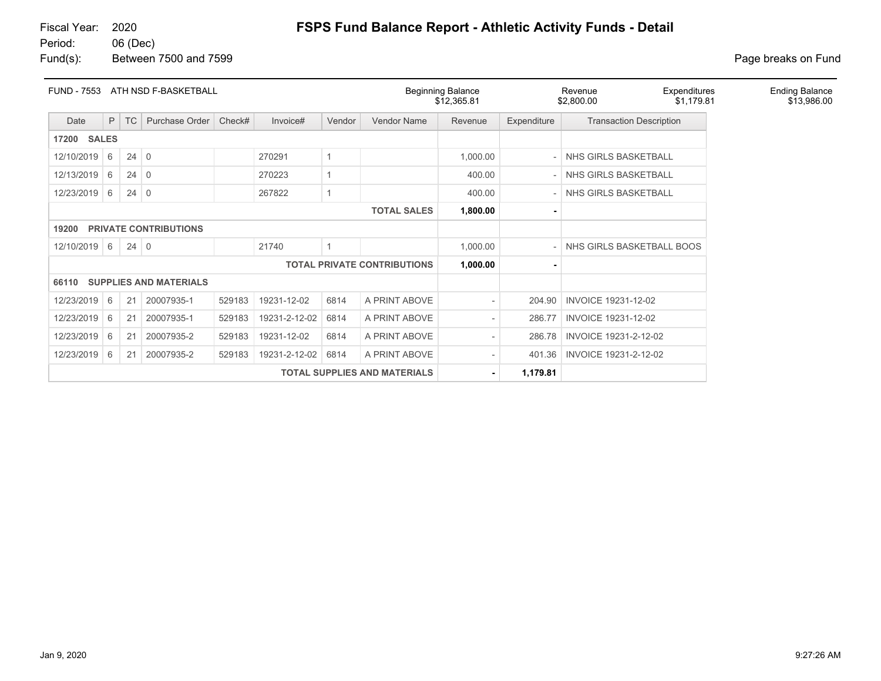# Fiscal Year: 2020 **FSPS Fund Balance Report - Athletic Activity Funds - Detail**

### Fund(s): Between 7500 and 7599 **Page breaks** on Fund

| <b>FUND - 7553</b> | ATH NSD F-BASKETBALL |             |                               |        |               |        | <b>Beginning Balance</b><br>\$12,365.81 |                          | Revenue<br>\$2,800.00 | Expenditures<br>\$1,179.81     | <b>Ending Balance</b><br>\$13,986.00 |  |
|--------------------|----------------------|-------------|-------------------------------|--------|---------------|--------|-----------------------------------------|--------------------------|-----------------------|--------------------------------|--------------------------------------|--|
| Date               | P.                   | <b>TC</b>   | Purchase Order                | Check# | Invoice#      | Vendor | <b>Vendor Name</b>                      | Revenue                  | Expenditure           | <b>Transaction Description</b> |                                      |  |
|                    | <b>17200 SALES</b>   |             |                               |        |               |        |                                         |                          |                       |                                |                                      |  |
| 12/10/2019 6       |                      | $24 \mid 0$ |                               |        | 270291        |        |                                         | 1,000.00                 |                       | NHS GIRLS BASKETBALL           |                                      |  |
| 12/13/2019         | 6                    | 24          | $\Omega$                      |        | 270223        |        |                                         | 400.00                   |                       | NHS GIRLS BASKETBALL           |                                      |  |
| 12/23/2019 6       |                      | $24 \mid 0$ |                               |        | 267822        |        |                                         | 400.00                   |                       | NHS GIRLS BASKETBALL           |                                      |  |
|                    |                      |             |                               |        |               |        | <b>TOTAL SALES</b>                      | 1,800.00                 |                       |                                |                                      |  |
| 19200              |                      |             | <b>PRIVATE CONTRIBUTIONS</b>  |        |               |        |                                         |                          |                       |                                |                                      |  |
| 12/10/2019 6       |                      | $24 \mid 0$ |                               |        | 21740         |        |                                         | 1,000.00                 |                       | NHS GIRLS BASKETBALL BOOS      |                                      |  |
|                    |                      |             |                               |        |               |        | <b>TOTAL PRIVATE CONTRIBUTIONS</b>      | 1,000.00                 |                       |                                |                                      |  |
| 66110              |                      |             | <b>SUPPLIES AND MATERIALS</b> |        |               |        |                                         |                          |                       |                                |                                      |  |
| 12/23/2019         | 6                    | 21          | 20007935-1                    | 529183 | 19231-12-02   | 6814   | A PRINT ABOVE                           | $\overline{\phantom{a}}$ | 204.90                | <b>INVOICE 19231-12-02</b>     |                                      |  |
| 12/23/2019         | 6                    | 21          | 20007935-1                    | 529183 | 19231-2-12-02 | 6814   | A PRINT ABOVE                           | $\overline{\phantom{a}}$ | 286.77                | INVOICE 19231-12-02            |                                      |  |
| 12/23/2019         | 6                    | 21          | 20007935-2                    | 529183 | 19231-12-02   | 6814   | A PRINT ABOVE                           | $\overline{\phantom{a}}$ | 286.78                | INVOICE 19231-2-12-02          |                                      |  |
| 12/23/2019         | 6                    | 21          | 20007935-2                    | 529183 | 19231-2-12-02 | 6814   | A PRINT ABOVE                           |                          | 401.36                | INVOICE 19231-2-12-02          |                                      |  |
|                    |                      |             |                               |        |               |        | <b>TOTAL SUPPLIES AND MATERIALS</b>     | $\blacksquare$           | 1,179.81              |                                |                                      |  |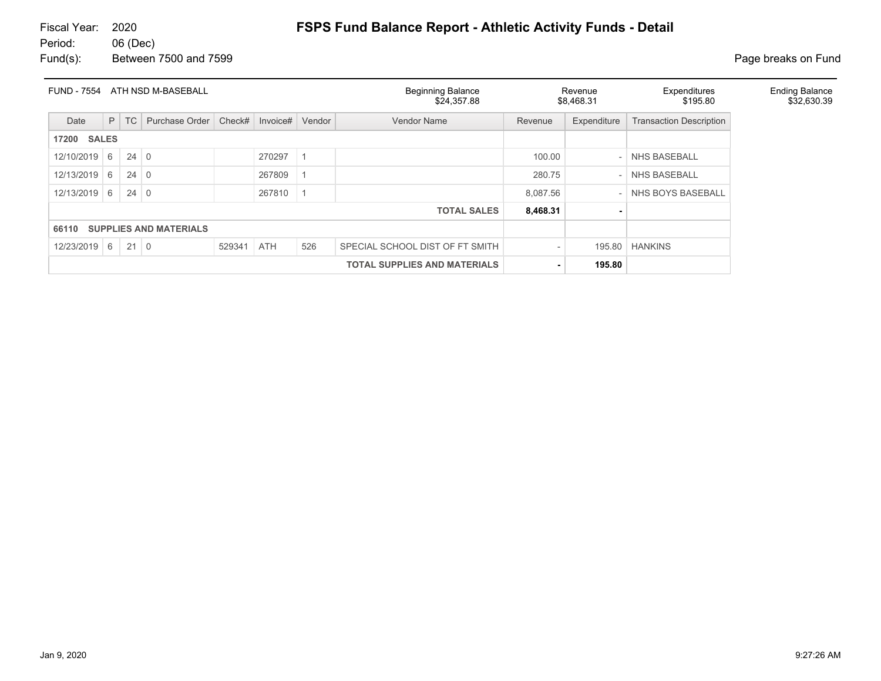| <b>FUND - 7554</b>                     |                            |             | ATH NSD M-BASEBALL |            |          |        | <b>Beginning Balance</b><br>\$24,357.88 |          | Revenue<br>\$8,468.31 | Expenditures<br>\$195.80       | <b>Ending Balance</b><br>\$32,630.39 |
|----------------------------------------|----------------------------|-------------|--------------------|------------|----------|--------|-----------------------------------------|----------|-----------------------|--------------------------------|--------------------------------------|
| Date                                   | P                          | TC          | Purchase Order     | Check#     | Invoice# | Vendor | <b>Vendor Name</b>                      | Revenue  | Expenditure           | <b>Transaction Description</b> |                                      |
| <b>17200 SALES</b>                     |                            |             |                    |            |          |        |                                         |          |                       |                                |                                      |
| 12/10/2019                             | $24 \mid 0$<br>270297<br>6 |             |                    |            |          |        |                                         |          |                       | <b>NHS BASEBALL</b>            |                                      |
| 12/13/2019                             | 6                          | $24 \mid 0$ |                    |            | 267809   |        |                                         | 280.75   |                       | <b>NHS BASEBALL</b>            |                                      |
| 12/13/2019                             | 6                          | $24 \mid 0$ |                    |            | 267810   |        |                                         | 8,087.56 |                       | NHS BOYS BASEBALL              |                                      |
|                                        |                            |             |                    |            |          |        | <b>TOTAL SALES</b>                      | 8,468.31 |                       |                                |                                      |
| <b>SUPPLIES AND MATERIALS</b><br>66110 |                            |             |                    |            |          |        |                                         |          |                       |                                |                                      |
| 12/23/2019                             | 6                          | $21 \mid 0$ |                    | 529341 ATH |          | 526    | SPECIAL SCHOOL DIST OF FT SMITH         |          | 195.80                | <b>HANKINS</b>                 |                                      |
|                                        |                            |             |                    |            |          |        | <b>TOTAL SUPPLIES AND MATERIALS</b>     |          | 195.80                |                                |                                      |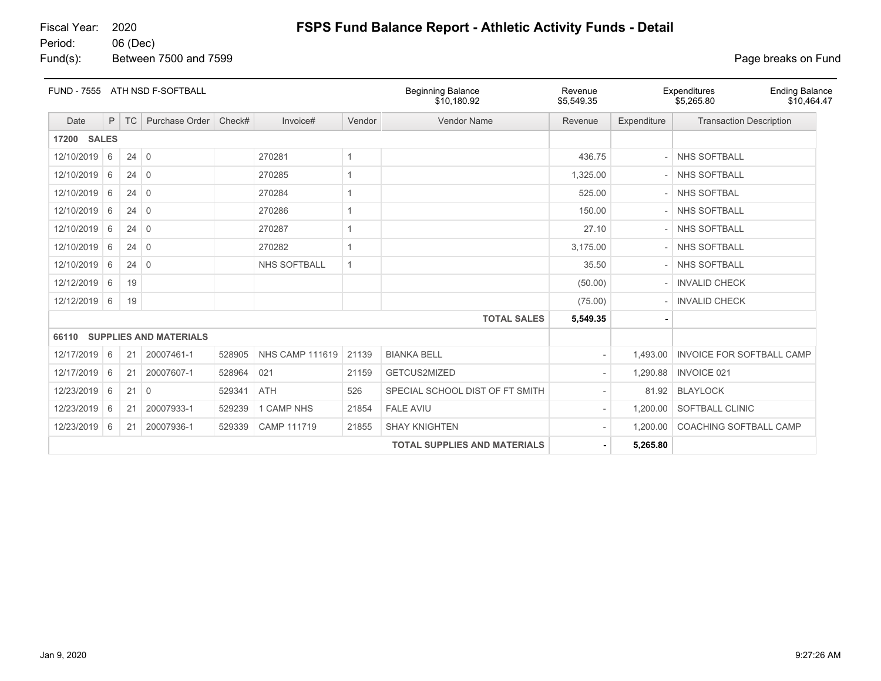# Fiscal Year: 2020 **FSPS Fund Balance Report - Athletic Activity Funds - Detail**

06 (Dec) Fund(s): Between 7500 and 7599 **Page breaks** on Fund

| <b>FUND - 7555</b>    |   |             | ATH NSD F-SOFTBALL            |        |                        |              | <b>Beginning Balance</b><br>\$10.180.92 | Revenue<br>\$5,549.35 |             | Expenditures<br><b>Ending Balance</b><br>\$5,265.80<br>\$10,464.47 |
|-----------------------|---|-------------|-------------------------------|--------|------------------------|--------------|-----------------------------------------|-----------------------|-------------|--------------------------------------------------------------------|
| Date                  | P | TC          | Purchase Order                | Check# | Invoice#               | Vendor       | Vendor Name                             | Revenue               | Expenditure | <b>Transaction Description</b>                                     |
| <b>SALES</b><br>17200 |   |             |                               |        |                        |              |                                         |                       |             |                                                                    |
| 12/10/2019            | 6 | $24 \mid 0$ |                               |        | 270281                 | $\mathbf{1}$ |                                         | 436.75                |             | <b>NHS SOFTBALL</b>                                                |
| 12/10/2019            | 6 | $24 \mid 0$ |                               |        | 270285                 | 1            |                                         | 1,325.00              |             | <b>NHS SOFTBALL</b>                                                |
| 12/10/2019            | 6 | 24          | $\overline{0}$                |        | 270284                 | 1            |                                         | 525.00                |             | <b>NHS SOFTBAL</b>                                                 |
| 12/10/2019            | 6 | $24 \mid 0$ |                               |        | 270286                 | 1            |                                         | 150.00                |             | <b>NHS SOFTBALL</b>                                                |
| 12/10/2019            | 6 | $24 \mid 0$ |                               |        | 270287                 | $\mathbf{1}$ |                                         | 27.10                 |             | <b>NHS SOFTBALL</b>                                                |
| 12/10/2019            | 6 | $24 \mid 0$ |                               |        | 270282                 |              |                                         | 3,175.00              |             | <b>NHS SOFTBALL</b>                                                |
| 12/10/2019            | 6 | $24 \mid 0$ |                               |        | <b>NHS SOFTBALL</b>    | $\mathbf{1}$ |                                         | 35.50                 |             | <b>NHS SOFTBALL</b>                                                |
| 12/12/2019            | 6 | 19          |                               |        |                        |              |                                         | (50.00)               |             | <b>INVALID CHECK</b>                                               |
| 12/12/2019            | 6 | 19          |                               |        |                        |              |                                         | (75.00)               |             | <b>INVALID CHECK</b>                                               |
|                       |   |             |                               |        |                        |              | <b>TOTAL SALES</b>                      | 5,549.35              |             |                                                                    |
| 66110                 |   |             | <b>SUPPLIES AND MATERIALS</b> |        |                        |              |                                         |                       |             |                                                                    |
| 12/17/2019 6          |   | 21          | 20007461-1                    | 528905 | <b>NHS CAMP 111619</b> | 21139        | <b>BIANKA BELL</b>                      |                       | 1,493.00    | <b>INVOICE FOR SOFTBALL CAMP</b>                                   |
| 12/17/2019            | 6 | 21          | 20007607-1                    | 528964 | 021                    | 21159        | GETCUS2MIZED                            |                       | 1,290.88    | <b>INVOICE 021</b>                                                 |
| 12/23/2019            | 6 | 21          | $\overline{0}$                | 529341 | <b>ATH</b>             | 526          | SPECIAL SCHOOL DIST OF FT SMITH         |                       | 81.92       | <b>BLAYLOCK</b>                                                    |
| 12/23/2019            | 6 | 21          | 20007933-1                    | 529239 | 1 CAMP NHS             | 21854        | <b>FALE AVIU</b>                        |                       | 1,200.00    | <b>SOFTBALL CLINIC</b>                                             |
| 12/23/2019            | 6 | 21          | 20007936-1                    | 529339 | CAMP 111719            | 21855        | <b>SHAY KNIGHTEN</b>                    |                       | 1,200.00    | <b>COACHING SOFTBALL CAMP</b>                                      |
|                       |   |             |                               |        |                        |              | <b>TOTAL SUPPLIES AND MATERIALS</b>     |                       | 5,265.80    |                                                                    |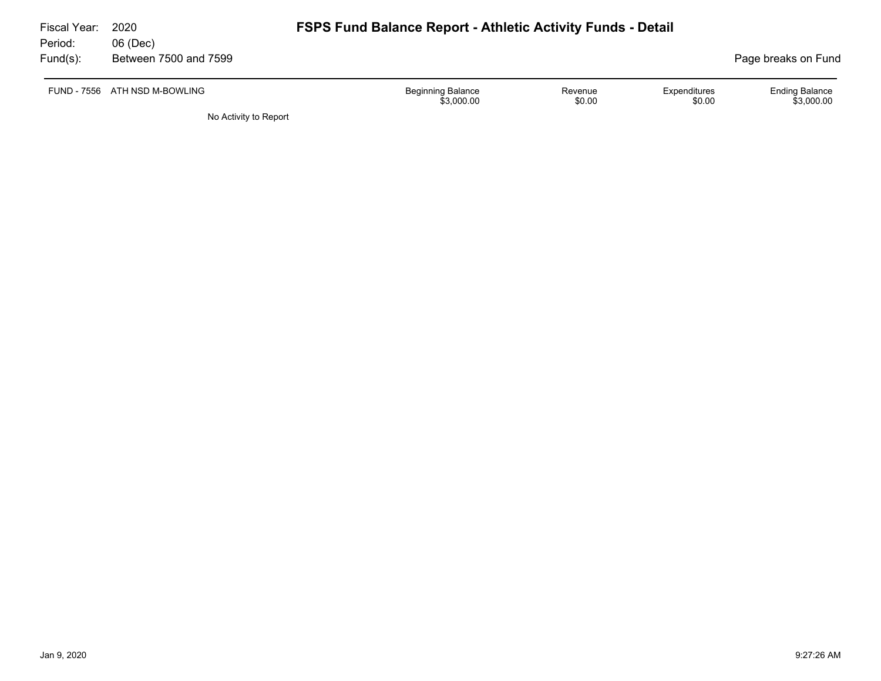| Fiscal Year:<br>Period: | 2020<br>06 (Dec)              | <b>FSPS Fund Balance Report - Athletic Activity Funds - Detail</b> |                   |                        |                                     |
|-------------------------|-------------------------------|--------------------------------------------------------------------|-------------------|------------------------|-------------------------------------|
| $Fund(s)$ :             | Between 7500 and 7599         |                                                                    |                   |                        | Page breaks on Fund                 |
|                         | FUND - 7556 ATH NSD M-BOWLING | <b>Beginning Balance</b><br>\$3,000.00                             | Revenue<br>\$0.00 | Expenditures<br>\$0.00 | <b>Ending Balance</b><br>\$3,000.00 |
|                         | No Activity to Report         |                                                                    |                   |                        |                                     |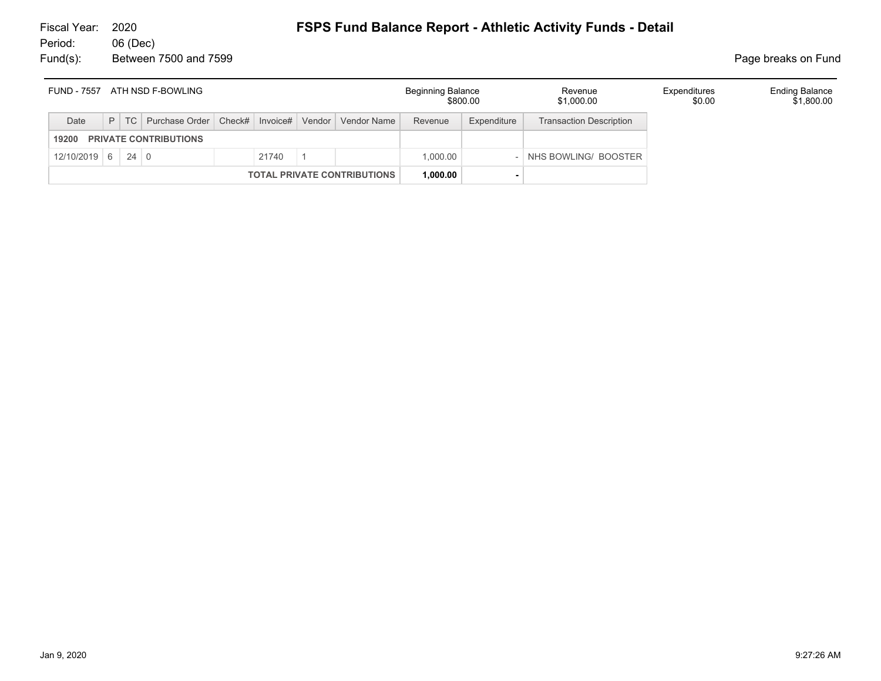### Fiscal Year: 2020 **FSPS Fund Balance Report - Athletic Activity Funds - Detail** 06 (Dec)

Fund(s): Between 7500 and 7599 **Page breaks** on Fund

| <b>FUND - 7557</b> |             | ATH NSD F-BOWLING                                                  |       |                                    | Beginning Balance | \$800.00    | Revenue<br>\$1,000.00          | Expenditures<br>\$0.00 | <b>Ending Balance</b><br>\$1,800.00 |
|--------------------|-------------|--------------------------------------------------------------------|-------|------------------------------------|-------------------|-------------|--------------------------------|------------------------|-------------------------------------|
| Date               |             | P   TC   Purchase Order   Check#   Invoice#   Vendor   Vendor Name |       |                                    | Revenue           | Expenditure | <b>Transaction Description</b> |                        |                                     |
| 19200              |             | <b>PRIVATE CONTRIBUTIONS</b>                                       |       |                                    |                   |             |                                |                        |                                     |
| $12/10/2019$ 6     | $24 \mid 0$ |                                                                    | 21740 |                                    | 1.000.00          |             | NHS BOWLING/ BOOSTER           |                        |                                     |
|                    |             |                                                                    |       | <b>TOTAL PRIVATE CONTRIBUTIONS</b> | 1.000.00          |             |                                |                        |                                     |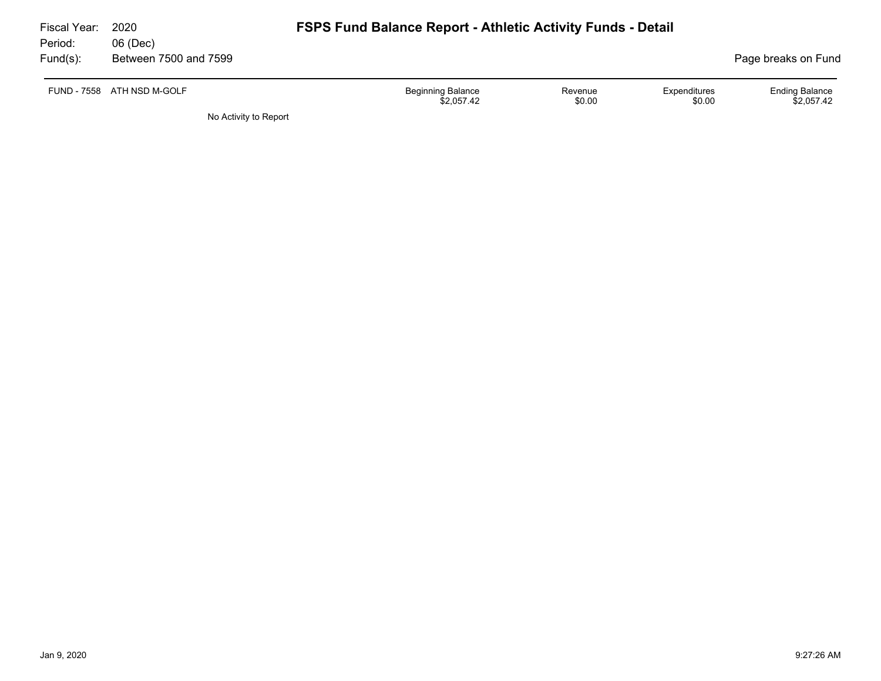| Fiscal Year:<br>Period: | 2020<br>06 (Dec)           | <b>FSPS Fund Balance Report - Athletic Activity Funds - Detail</b>                    |                                     |  |
|-------------------------|----------------------------|---------------------------------------------------------------------------------------|-------------------------------------|--|
| $Fund(s)$ :             | Between 7500 and 7599      |                                                                                       | Page breaks on Fund                 |  |
|                         | FUND - 7558 ATH NSD M-GOLF | <b>Beginning Balance</b><br>Expenditures<br>Revenue<br>\$0.00<br>\$0.00<br>\$2.057.42 | <b>Ending Balance</b><br>\$2.057.42 |  |
|                         | No Activity to Report      |                                                                                       |                                     |  |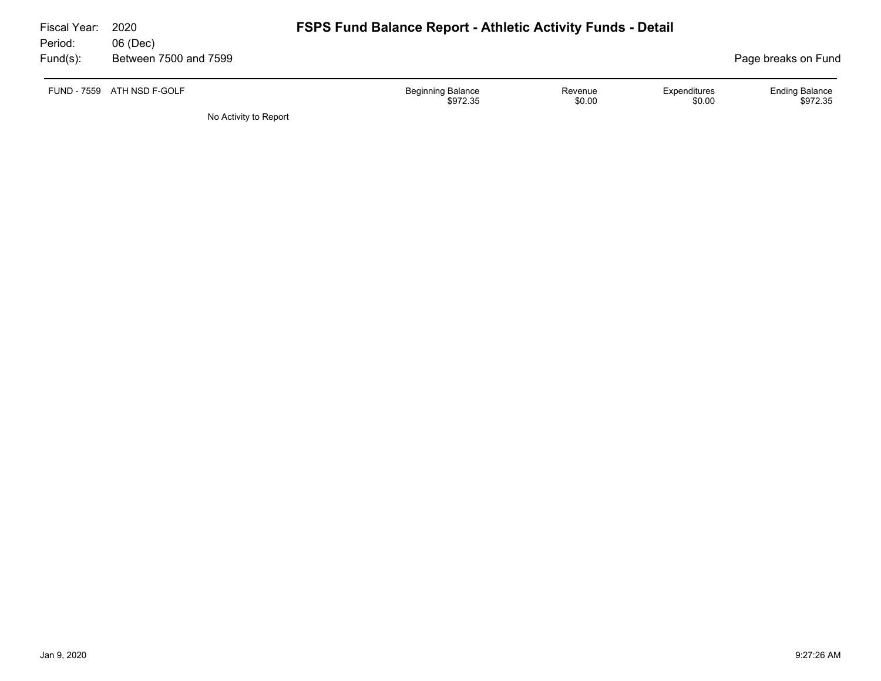| Fiscal Year:<br>Period: | 2020<br>06 (Dec)           | <b>FSPS Fund Balance Report - Athletic Activity Funds - Detail</b>           |                                   |
|-------------------------|----------------------------|------------------------------------------------------------------------------|-----------------------------------|
| $Fund(s)$ :             | Between 7500 and 7599      |                                                                              | Page breaks on Fund               |
|                         | FUND - 7559 ATH NSD F-GOLF | Beginning Balance<br>Expenditures<br>Revenue<br>\$0.00<br>\$972.35<br>\$0.00 | <b>Ending Balance</b><br>\$972.35 |
|                         | No Activity to Report      |                                                                              |                                   |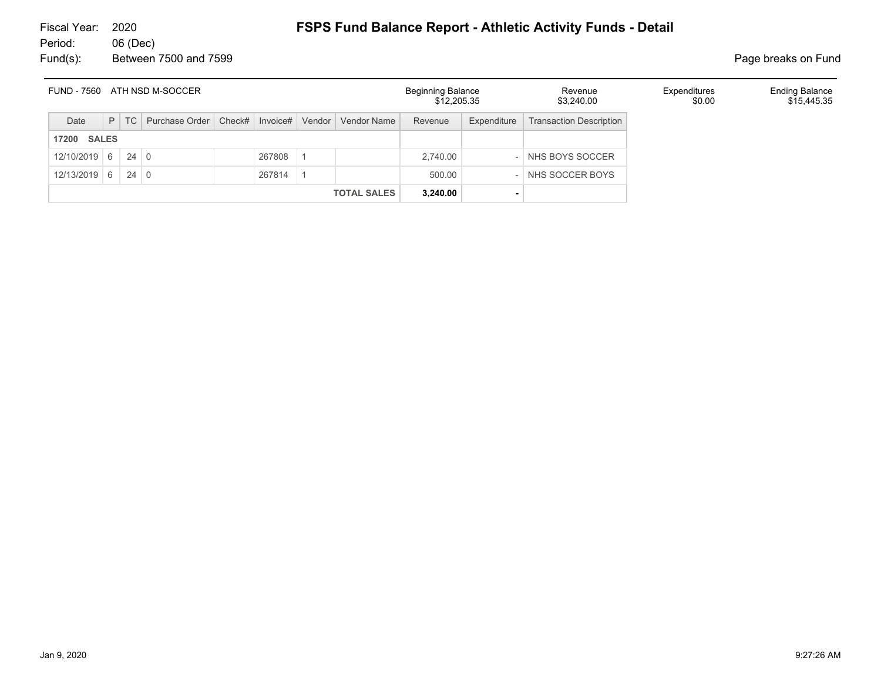| ATH NSD M-SOCCER<br><b>FUND - 7560</b> |  |        |                                             |  |        |                    | <b>Beginning Balance</b><br>\$12,205.35 |             | Revenue<br>\$3,240.00          | Expenditures<br>\$0.00 | <b>Ending Balance</b><br>\$15,445.35 |
|----------------------------------------|--|--------|---------------------------------------------|--|--------|--------------------|-----------------------------------------|-------------|--------------------------------|------------------------|--------------------------------------|
| Date                                   |  | $P$ TC | Purchase Order   Check#   Invoice#   Vendor |  |        | Vendor Name        | Revenue                                 | Expenditure | <b>Transaction Description</b> |                        |                                      |
| <b>17200 SALES</b>                     |  |        |                                             |  |        |                    |                                         |             |                                |                        |                                      |
| $12/10/2019$ 6 24 0                    |  |        |                                             |  | 267808 |                    | 2,740.00                                |             | NHS BOYS SOCCER                |                        |                                      |
| $12/13/2019$ 6 24 0                    |  |        |                                             |  | 267814 |                    | 500.00                                  |             | NHS SOCCER BOYS                |                        |                                      |
|                                        |  |        |                                             |  |        | <b>TOTAL SALES</b> | 3,240.00                                |             |                                |                        |                                      |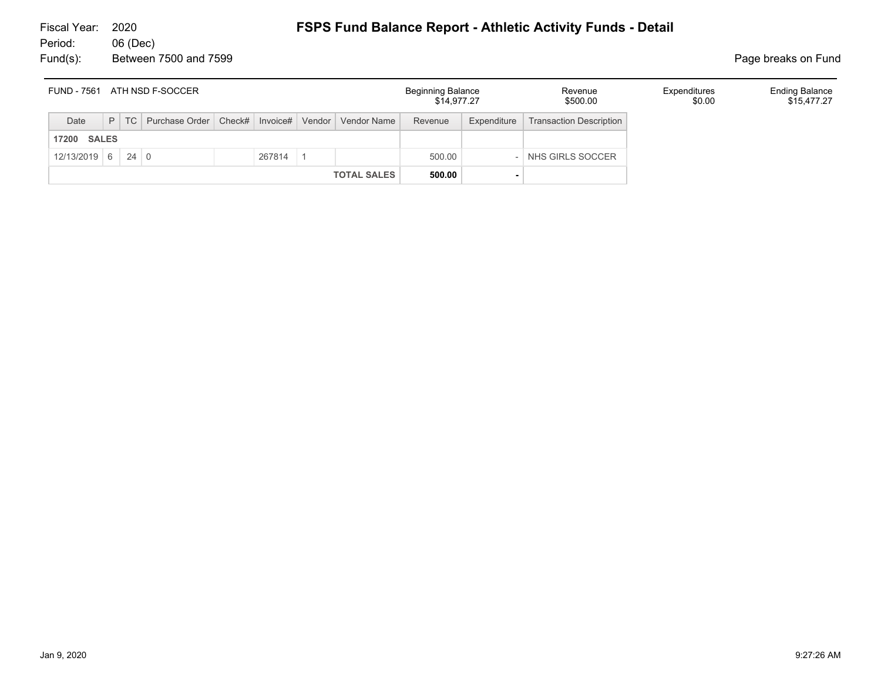| <b>FUND - 7561</b><br>ATH NSD F-SOCCER |  |  |                                                                    |  |        |                    | <b>Beginning Balance</b><br>\$14,977.27 |             | Revenue<br>\$500.00     | Expenditures<br>\$0.00 | <b>Ending Balance</b><br>\$15,477.27 |
|----------------------------------------|--|--|--------------------------------------------------------------------|--|--------|--------------------|-----------------------------------------|-------------|-------------------------|------------------------|--------------------------------------|
| Date                                   |  |  | P   TC   Purchase Order   Check#   Invoice#   Vendor   Vendor Name |  |        |                    | Revenue                                 | Expenditure | Transaction Description |                        |                                      |
| <b>SALES</b><br>17200                  |  |  |                                                                    |  |        |                    |                                         |             |                         |                        |                                      |
| $12/13/2019$ 6 24 0                    |  |  |                                                                    |  | 267814 |                    | 500.00                                  |             | NHS GIRLS SOCCER        |                        |                                      |
|                                        |  |  |                                                                    |  |        | <b>TOTAL SALES</b> | 500.00                                  |             |                         |                        |                                      |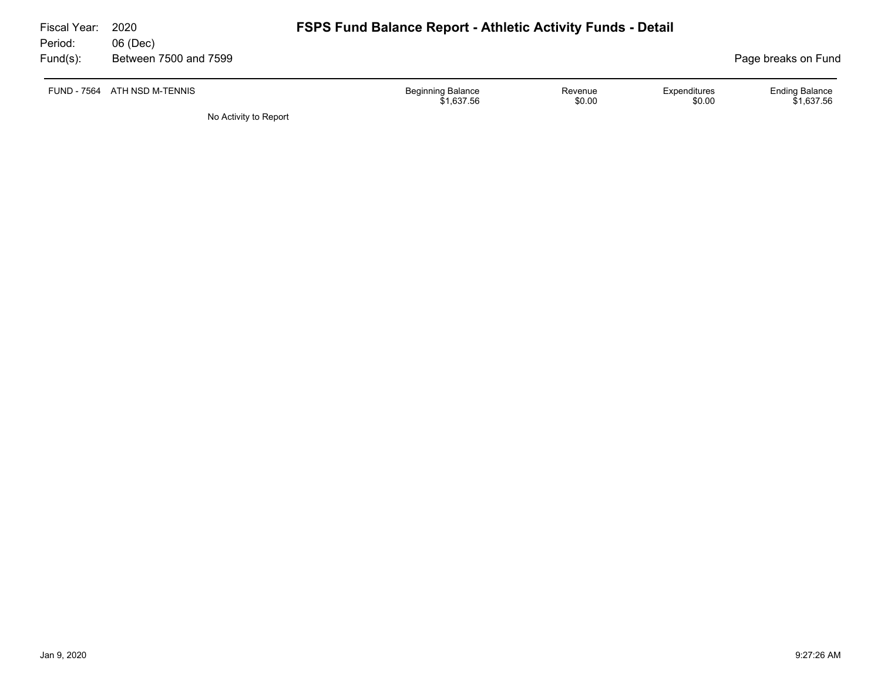| Fiscal Year:<br>Period: | 2020<br>06 (Dec)      | <b>FSPS Fund Balance Report - Athletic Activity Funds - Detail</b>                    |                                     |  |
|-------------------------|-----------------------|---------------------------------------------------------------------------------------|-------------------------------------|--|
| Fund(s):                | Between 7500 and 7599 |                                                                                       | Page breaks on Fund                 |  |
| FUND - 7564             | ATH NSD M-TENNIS      | <b>Beginning Balance</b><br>Expenditures<br>Revenue<br>\$0.00<br>\$0.00<br>\$1,637.56 | <b>Ending Balance</b><br>\$1.637.56 |  |
|                         | No Activity to Report |                                                                                       |                                     |  |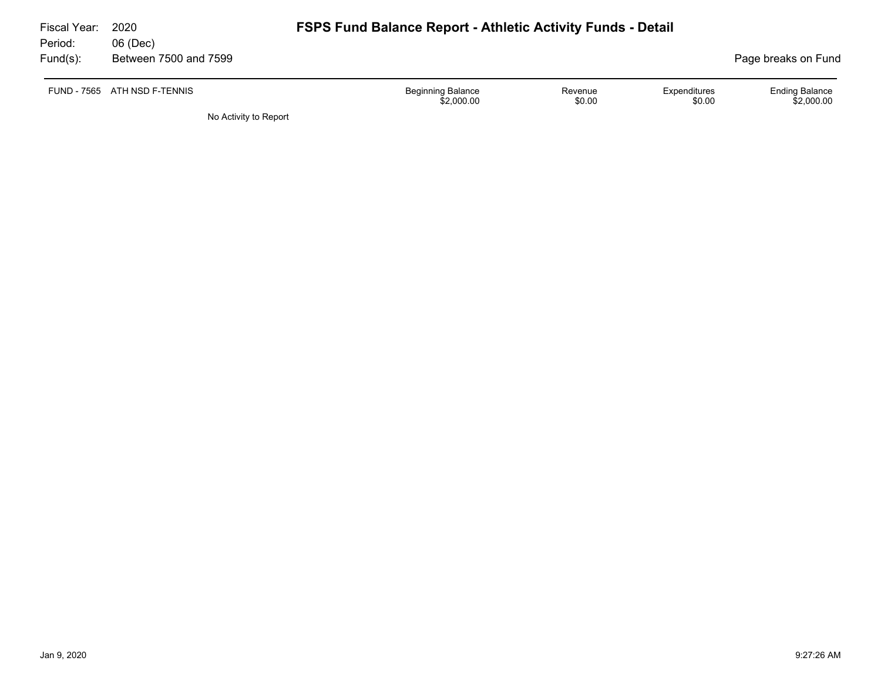| Fiscal Year:<br>Period: | 2020<br>06 (Dec)             | <b>FSPS Fund Balance Report - Athletic Activity Funds - Detail</b>                    |                                     |
|-------------------------|------------------------------|---------------------------------------------------------------------------------------|-------------------------------------|
| $Fund(s)$ :             | Between 7500 and 7599        |                                                                                       | Page breaks on Fund                 |
|                         | FUND - 7565 ATH NSD F-TENNIS | <b>Beginning Balance</b><br>Expenditures<br>Revenue<br>\$2,000.00<br>\$0.00<br>\$0.00 | <b>Ending Balance</b><br>\$2,000.00 |
|                         | No Activity to Report        |                                                                                       |                                     |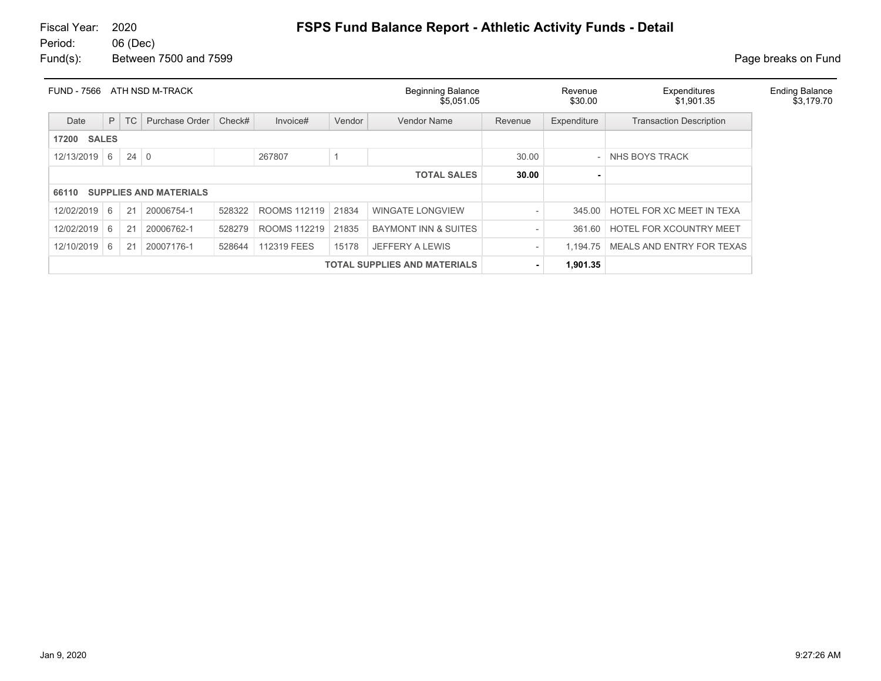| <b>FUND - 7566</b> |              |             | ATH NSD M-TRACK               |        |              |                                     | <b>Beginning Balance</b><br>\$5,051.05 |                          | Revenue<br>\$30.00 | Expenditures<br>\$1,901.35     | <b>Ending Balance</b><br>\$3,179.70 |
|--------------------|--------------|-------------|-------------------------------|--------|--------------|-------------------------------------|----------------------------------------|--------------------------|--------------------|--------------------------------|-------------------------------------|
| Date               | P            | TC          | Purchase Order                | Check# | Invoice#     | Vendor                              | <b>Vendor Name</b>                     | Revenue                  | Expenditure        | <b>Transaction Description</b> |                                     |
| 17200              | <b>SALES</b> |             |                               |        |              |                                     |                                        |                          |                    |                                |                                     |
| 12/13/2019         | 6            | $24 \mid 0$ |                               |        | 267807       |                                     |                                        | 30.00                    |                    | NHS BOYS TRACK                 |                                     |
|                    |              |             |                               |        |              |                                     | <b>TOTAL SALES</b>                     | 30.00                    |                    |                                |                                     |
| 66110              |              |             | <b>SUPPLIES AND MATERIALS</b> |        |              |                                     |                                        |                          |                    |                                |                                     |
| 12/02/2019         | 6            | 21          | 20006754-1                    | 528322 | ROOMS 112119 | 21834                               | <b>WINGATE LONGVIEW</b>                | $\overline{\phantom{0}}$ | 345.00             | HOTEL FOR XC MEET IN TEXA      |                                     |
| 12/02/2019         | 6            | 21          | 20006762-1                    | 528279 | ROOMS 112219 | 21835                               | <b>BAYMONT INN &amp; SUITES</b>        | $\overline{\phantom{a}}$ | 361.60             | <b>HOTEL FOR XCOUNTRY MEET</b> |                                     |
| 12/10/2019         | 6            | 21          | 20007176-1                    | 528644 | 112319 FEES  | 15178                               | <b>JEFFERY A LEWIS</b>                 | $\overline{\phantom{a}}$ | 1,194.75           | MEALS AND ENTRY FOR TEXAS      |                                     |
|                    |              |             |                               |        |              | <b>TOTAL SUPPLIES AND MATERIALS</b> | ٠                                      | 1,901.35                 |                    |                                |                                     |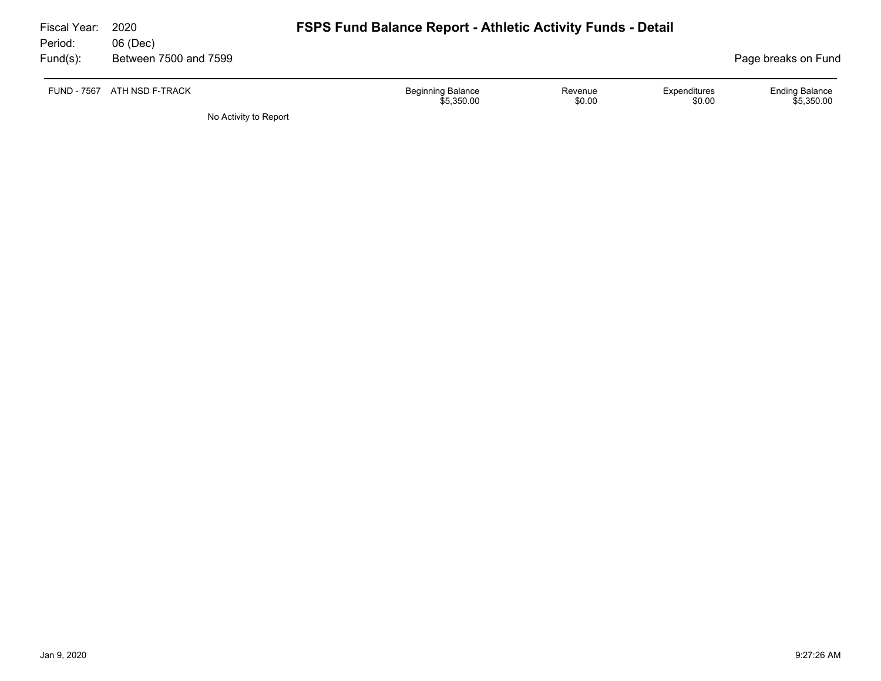| Fiscal Year:        | 2020                              | <b>FSPS Fund Balance Report - Athletic Activity Funds - Detail</b> |                   |                        |                                     |
|---------------------|-----------------------------------|--------------------------------------------------------------------|-------------------|------------------------|-------------------------------------|
| Period:<br>Fund(s): | 06 (Dec)<br>Between 7500 and 7599 |                                                                    |                   |                        | Page breaks on Fund                 |
|                     | FUND - 7567 ATH NSD F-TRACK       | <b>Beginning Balance</b><br>\$5.350.00                             | Revenue<br>\$0.00 | Expenditures<br>\$0.00 | <b>Ending Balance</b><br>\$5.350.00 |
|                     | No Activity to Report             |                                                                    |                   |                        |                                     |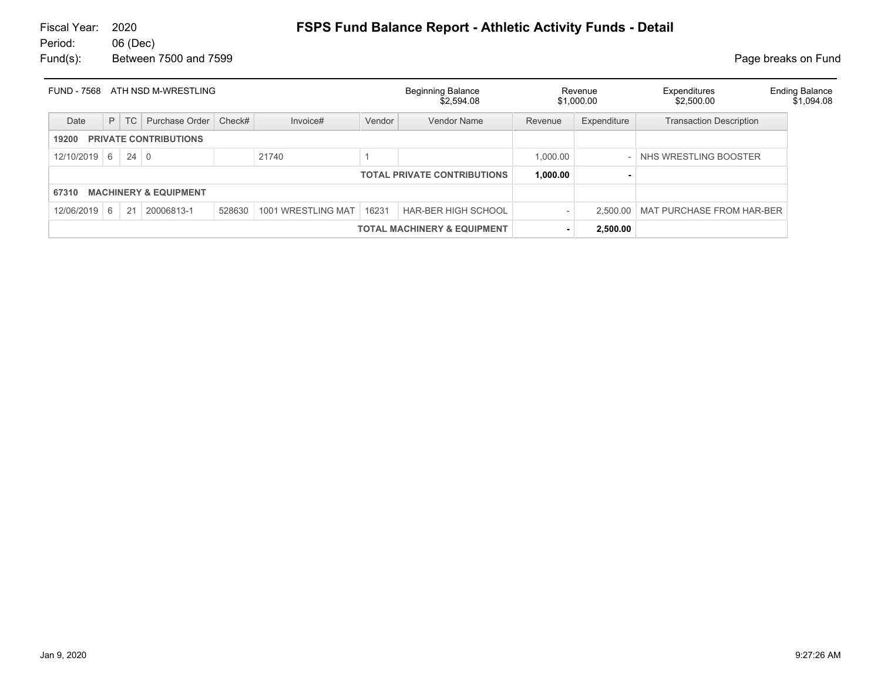| ATH NSD M-WRESTLING<br><b>FUND - 7568</b> |                                                                |           |                                  |        |                    |        | <b>Beginning Balance</b><br>\$2,594.08 |          | Revenue<br>\$1,000.00 | Expenditures<br>\$2,500.00           | <b>Ending Balance</b><br>\$1,094.08 |
|-------------------------------------------|----------------------------------------------------------------|-----------|----------------------------------|--------|--------------------|--------|----------------------------------------|----------|-----------------------|--------------------------------------|-------------------------------------|
| Date                                      | P                                                              | <b>TC</b> | Purchase Order                   | Check# | Invoice#           | Vendor | Vendor Name                            | Revenue  | Expenditure           | <b>Transaction Description</b>       |                                     |
| <b>PRIVATE CONTRIBUTIONS</b><br>19200     |                                                                |           |                                  |        |                    |        |                                        |          |                       |                                      |                                     |
| 12/10/2019                                | $24 \mid 0$<br>6<br>21740<br>1,000.00<br>NHS WRESTLING BOOSTER |           |                                  |        |                    |        |                                        |          |                       |                                      |                                     |
|                                           |                                                                |           |                                  |        |                    |        | <b>TOTAL PRIVATE CONTRIBUTIONS</b>     | 1,000.00 |                       |                                      |                                     |
| 67310                                     |                                                                |           | <b>MACHINERY &amp; EQUIPMENT</b> |        |                    |        |                                        |          |                       |                                      |                                     |
| 12/06/2019                                | 6                                                              | 21        | 20006813-1                       | 528630 | 1001 WRESTLING MAT | 16231  | <b>HAR-BER HIGH SCHOOL</b>             |          |                       | 2,500.00   MAT PURCHASE FROM HAR-BER |                                     |
|                                           | <b>TOTAL MACHINERY &amp; EQUIPMENT</b>                         |           |                                  |        |                    |        |                                        |          |                       |                                      |                                     |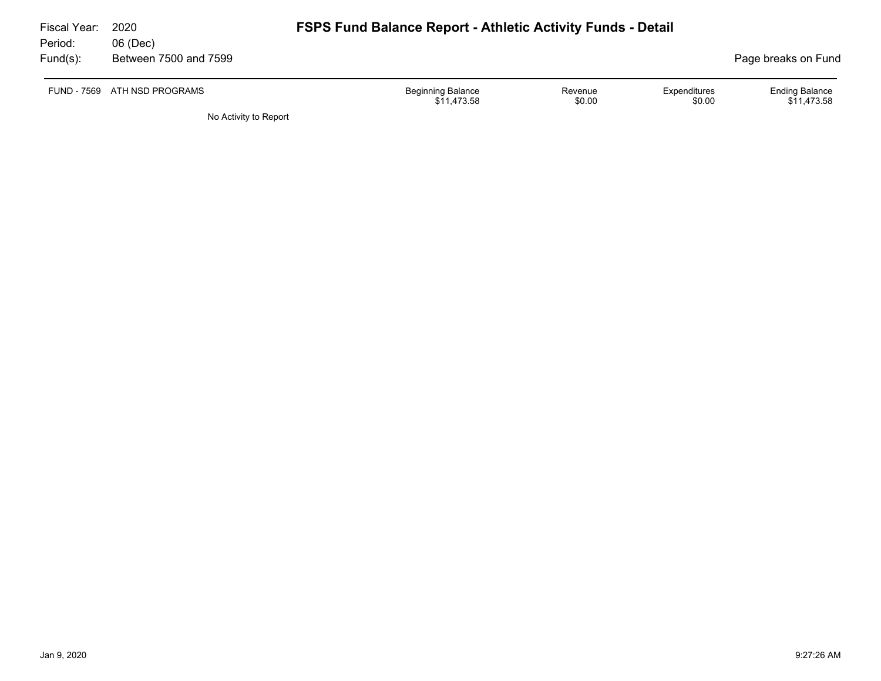| Fiscal Year:<br>Period: | 2020<br>06 (Dec)             | <b>FSPS Fund Balance Report - Athletic Activity Funds - Detail</b> |                   |                        |                                      |
|-------------------------|------------------------------|--------------------------------------------------------------------|-------------------|------------------------|--------------------------------------|
| $Fund(s)$ :             | Between 7500 and 7599        |                                                                    |                   |                        | Page breaks on Fund                  |
|                         | FUND - 7569 ATH NSD PROGRAMS | <b>Beginning Balance</b><br>\$11.473.58                            | Revenue<br>\$0.00 | Expenditures<br>\$0.00 | <b>Ending Balance</b><br>\$11.473.58 |

No Activity to Report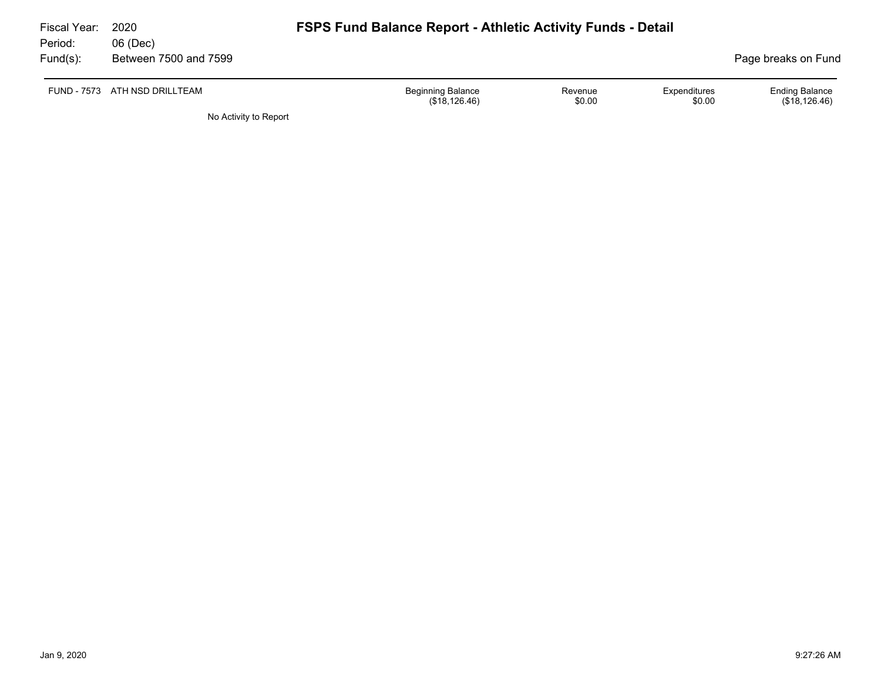| Fiscal Year:<br>Period: | 2020<br>06 (Dec)      | <b>FSPS Fund Balance Report - Athletic Activity Funds - Detail</b>                              |                                        |
|-------------------------|-----------------------|-------------------------------------------------------------------------------------------------|----------------------------------------|
| Fund(s):                | Between 7500 and 7599 |                                                                                                 | Page breaks on Fund                    |
| FUND - 7573             | ATH NSD DRILLTEAM     | <b>Beginning Balance</b><br><b>Expenditures</b><br>Revenue<br>\$0.00<br>(\$18,126.46)<br>\$0.00 | <b>Ending Balance</b><br>(\$18,126.46) |
|                         | No Activity to Report |                                                                                                 |                                        |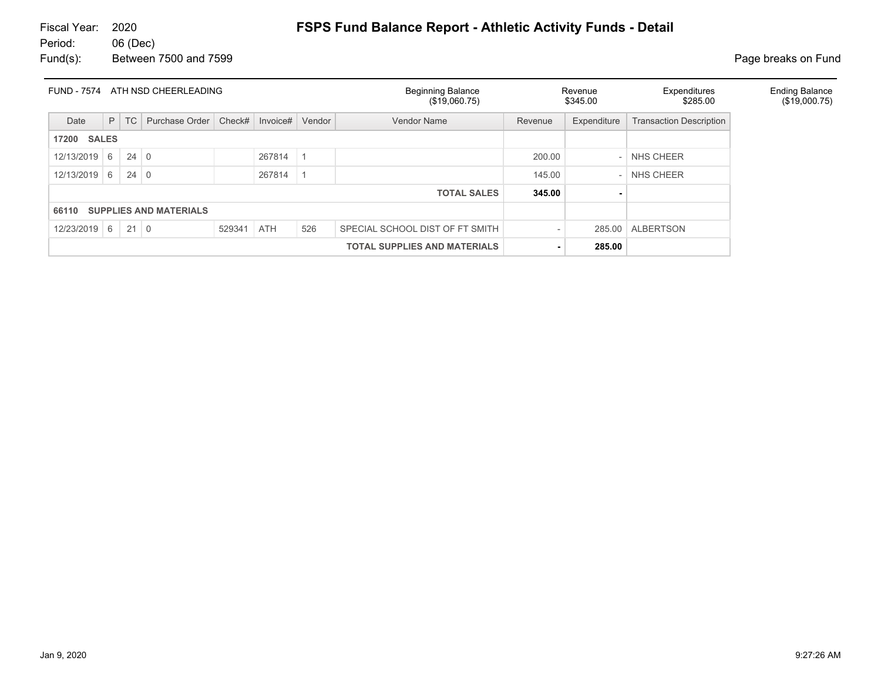| ATH NSD CHEERLEADING<br><b>FUND - 7574</b> |                                     |             |                         |        |            |           | <b>Beginning Balance</b><br>(\$19,060.75) | Revenue<br>\$345.00 |                          | Expenditures<br>\$285.00       | <b>Ending Balance</b><br>(\$19,000.75) |
|--------------------------------------------|-------------------------------------|-------------|-------------------------|--------|------------|-----------|-------------------------------------------|---------------------|--------------------------|--------------------------------|----------------------------------------|
| Date                                       | P                                   | TC          | Purchase Order   Check# |        | Invoice#   | Vendor    | Vendor Name                               | Revenue             | Expenditure              | <b>Transaction Description</b> |                                        |
| <b>SALES</b><br>17200                      |                                     |             |                         |        |            |           |                                           |                     |                          |                                |                                        |
| 12/13/2019                                 | 6                                   | $24 \mid 0$ |                         |        | 267814     | $\vert$ 1 |                                           | 200.00              | $\overline{\phantom{a}}$ | NHS CHEER                      |                                        |
| 12/13/2019                                 | 6                                   | $24 \mid 0$ |                         |        | 267814     | $\vert$ 1 |                                           | 145.00              |                          | NHS CHEER                      |                                        |
|                                            |                                     |             |                         |        |            |           | <b>TOTAL SALES</b>                        | 345.00              |                          |                                |                                        |
| <b>SUPPLIES AND MATERIALS</b><br>66110     |                                     |             |                         |        |            |           |                                           |                     |                          |                                |                                        |
| $12/23/2019$ 6                             |                                     | $21 \mid 0$ |                         | 529341 | <b>ATH</b> | 526       | SPECIAL SCHOOL DIST OF FT SMITH           |                     | 285.00                   | <b>ALBERTSON</b>               |                                        |
|                                            | <b>TOTAL SUPPLIES AND MATERIALS</b> |             |                         |        |            |           |                                           |                     |                          |                                |                                        |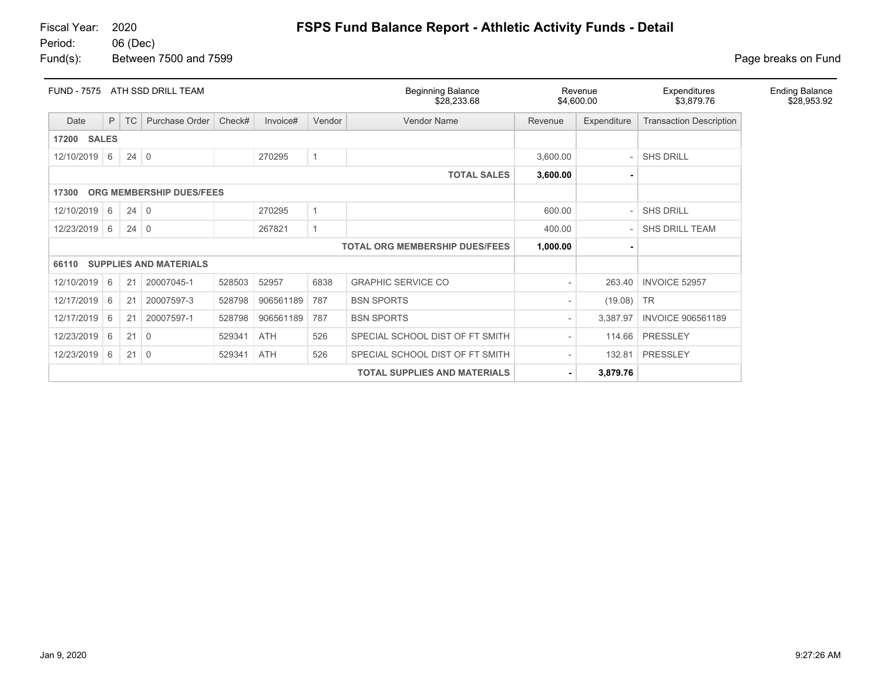# Fiscal Year: 2020 **FSPS Fund Balance Report - Athletic Activity Funds - Detail**

06 (Dec) Fund(s): Between 7500 and 7599 **Page breaks** on Fund

| <b>FUND - 7575</b>                |                                |             | ATH SSD DRILL TEAM            |        |           |              | <b>Beginning Balance</b><br>\$28,233.68 |          | Revenue<br>\$4,600.00 | Expenditures<br>\$3,879.76     | <b>Ending Balance</b><br>\$28,953.92 |
|-----------------------------------|--------------------------------|-------------|-------------------------------|--------|-----------|--------------|-----------------------------------------|----------|-----------------------|--------------------------------|--------------------------------------|
| Date                              | P                              | <b>TC</b>   | Purchase Order                | Check# | Invoice#  | Vendor       | Vendor Name                             | Revenue  | Expenditure           | <b>Transaction Description</b> |                                      |
| <b>SALES</b><br>17200             |                                |             |                               |        |           |              |                                         |          |                       |                                |                                      |
| 12/10/2019 6                      |                                | $24 \mid 0$ |                               |        | 270295    | 1            |                                         | 3,600.00 |                       | <b>SHS DRILL</b>               |                                      |
|                                   | <b>TOTAL SALES</b><br>3,600.00 |             |                               |        |           |              |                                         |          |                       |                                |                                      |
| ORG MEMBERSHIP DUES/FEES<br>17300 |                                |             |                               |        |           |              |                                         |          |                       |                                |                                      |
| 12/10/2019                        | 6                              | $24 \mid 0$ |                               |        | 270295    | $\mathbf{1}$ |                                         | 600.00   |                       | <b>SHS DRILL</b>               |                                      |
| 12/23/2019                        | 6                              | $24 \mid 0$ |                               |        | 267821    |              |                                         | 400.00   |                       | SHS DRILL TEAM                 |                                      |
|                                   |                                |             |                               |        |           |              | <b>TOTAL ORG MEMBERSHIP DUES/FEES</b>   | 1,000.00 |                       |                                |                                      |
| 66110                             |                                |             | <b>SUPPLIES AND MATERIALS</b> |        |           |              |                                         |          |                       |                                |                                      |
| 12/10/2019                        | 6                              | 21          | 20007045-1                    | 528503 | 52957     | 6838         | <b>GRAPHIC SERVICE CO</b>               |          | 263.40                | INVOICE 52957                  |                                      |
| 12/17/2019                        | 6                              | 21          | 20007597-3                    | 528798 | 906561189 | 787          | <b>BSN SPORTS</b>                       |          | (19.08)               | <b>TR</b>                      |                                      |
| 12/17/2019                        | 6                              | 21          | 20007597-1                    | 528798 | 906561189 | 787          | <b>BSN SPORTS</b>                       |          | 3,387.97              | <b>INVOICE 906561189</b>       |                                      |
| 12/23/2019                        | 6                              | 21          | $\overline{0}$                | 529341 | ATH       | 526          | SPECIAL SCHOOL DIST OF FT SMITH         |          | 114.66                | PRESSLEY                       |                                      |
| 12/23/2019                        | 6                              | $21 \mid 0$ |                               | 529341 | ATH       | 526          | SPECIAL SCHOOL DIST OF FT SMITH         |          | 132.81                | PRESSLEY                       |                                      |
|                                   |                                |             |                               |        |           |              | <b>TOTAL SUPPLIES AND MATERIALS</b>     |          | 3,879.76              |                                |                                      |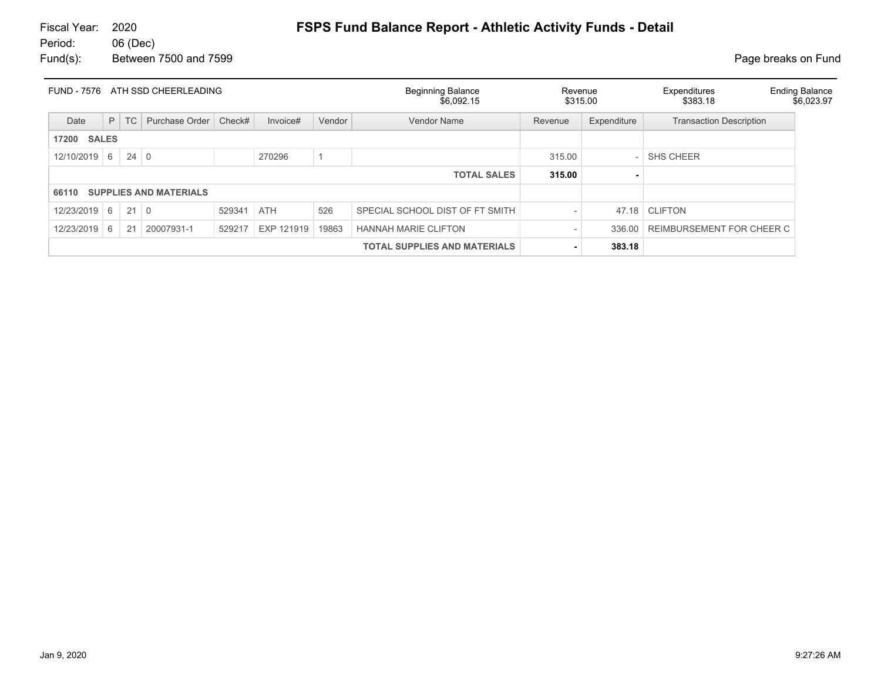| <b>FUND - 7576</b> |              |             | ATH SSD CHEERLEADING          |        |            |        | <b>Beginning Balance</b><br>\$6.092.15 | Revenue<br>\$315.00 |                  | Expenditures<br>\$383.18       | <b>Ending Balance</b><br>\$6,023.97 |
|--------------------|--------------|-------------|-------------------------------|--------|------------|--------|----------------------------------------|---------------------|------------------|--------------------------------|-------------------------------------|
| Date               | P            | TC          | Purchase Order                | Check# | Invoice#   | Vendor | Vendor Name                            | Revenue             | Expenditure      | <b>Transaction Description</b> |                                     |
| 17200              | <b>SALES</b> |             |                               |        |            |        |                                        |                     |                  |                                |                                     |
| 12/10/2019         | 6            | $24 \mid 0$ |                               |        | 270296     |        | 315.00                                 |                     | <b>SHS CHEER</b> |                                |                                     |
|                    |              |             |                               |        |            |        | <b>TOTAL SALES</b>                     | 315.00              |                  |                                |                                     |
| 66110              |              |             | <b>SUPPLIES AND MATERIALS</b> |        |            |        |                                        |                     |                  |                                |                                     |
| 12/23/2019         | 6            | $21$ 0      |                               | 529341 | <b>ATH</b> | 526    | SPECIAL SCHOOL DIST OF FT SMITH        |                     | 47.18            | <b>CLIFTON</b>                 |                                     |
| 12/23/2019         | 6            | 21          | 20007931-1                    | 529217 | EXP 121919 | 19863  | <b>HANNAH MARIE CLIFTON</b>            |                     | 336.00           | REIMBURSEMENT FOR CHEER C      |                                     |
|                    |              |             |                               |        |            |        | 383.18                                 |                     |                  |                                |                                     |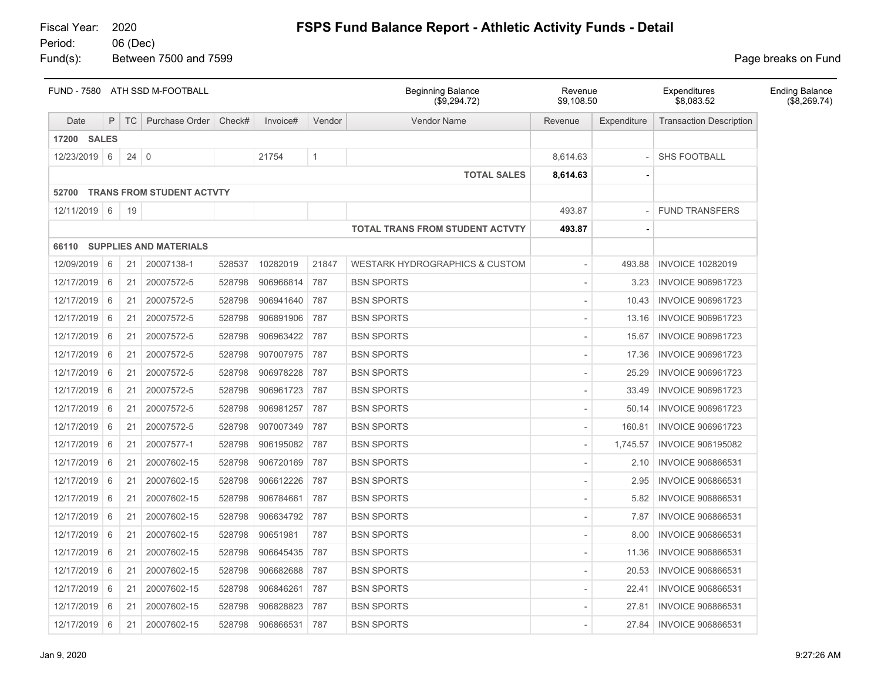Fiscal Year: 2020 **FSPS Fund Balance Report - Athletic Activity Funds - Detail**

06 (Dec) Fund(s): Between 7500 and 7599 **Page breaks** on Fund

|                    | FUND - 7580 ATH SSD M-FOOTBALL |             |                                 |        |           | <b>Beginning Balance</b><br>(\$9,294.72) | Revenue<br>\$9,108.50                     |          | Expenditures<br>\$8,083.52 | <b>Ending Balance</b><br>(\$8,269.74) |  |
|--------------------|--------------------------------|-------------|---------------------------------|--------|-----------|------------------------------------------|-------------------------------------------|----------|----------------------------|---------------------------------------|--|
| Date               | P                              | <b>TC</b>   | Purchase Order                  | Check# | Invoice#  | Vendor                                   | <b>Vendor Name</b>                        | Revenue  | Expenditure                | <b>Transaction Description</b>        |  |
| <b>17200 SALES</b> |                                |             |                                 |        |           |                                          |                                           |          |                            |                                       |  |
| 12/23/2019 6       |                                | $24 \mid 0$ |                                 |        | 21754     | $\mathbf{1}$                             |                                           | 8,614.63 |                            | <b>SHS FOOTBALL</b>                   |  |
|                    |                                |             |                                 |        |           |                                          | <b>TOTAL SALES</b>                        | 8,614.63 |                            |                                       |  |
|                    |                                |             | 52700 TRANS FROM STUDENT ACTVTY |        |           |                                          |                                           |          |                            |                                       |  |
| 12/11/2019 6       |                                | 19          |                                 |        |           |                                          |                                           | 493.87   |                            | <b>FUND TRANSFERS</b>                 |  |
|                    |                                |             |                                 |        |           |                                          | <b>TOTAL TRANS FROM STUDENT ACTVTY</b>    | 493.87   |                            |                                       |  |
|                    |                                |             | 66110 SUPPLIES AND MATERIALS    |        |           |                                          |                                           |          |                            |                                       |  |
| 12/09/2019 6       |                                | 21          | 20007138-1                      | 528537 | 10282019  | 21847                                    | <b>WESTARK HYDROGRAPHICS &amp; CUSTOM</b> |          | 493.88                     | <b>INVOICE 10282019</b>               |  |
| 12/17/2019         | 6                              | 21          | 20007572-5                      | 528798 | 906966814 | 787                                      | <b>BSN SPORTS</b>                         |          | 3.23                       | <b>INVOICE 906961723</b>              |  |
| 12/17/2019         | 6                              | 21          | 20007572-5                      | 528798 | 906941640 | 787                                      | <b>BSN SPORTS</b>                         |          | 10.43                      | <b>INVOICE 906961723</b>              |  |
| 12/17/2019         | 6                              | 21          | 20007572-5                      | 528798 | 906891906 | 787                                      | <b>BSN SPORTS</b>                         |          | 13.16                      | <b>INVOICE 906961723</b>              |  |
| 12/17/2019 6       |                                | 21          | 20007572-5                      | 528798 | 906963422 | 787                                      | <b>BSN SPORTS</b>                         |          | 15.67                      | <b>INVOICE 906961723</b>              |  |
| 12/17/2019         | 6                              | 21          | 20007572-5                      | 528798 | 907007975 | 787                                      | <b>BSN SPORTS</b>                         |          | 17.36                      | <b>INVOICE 906961723</b>              |  |
| 12/17/2019 6       |                                | 21          | 20007572-5                      | 528798 | 906978228 | 787                                      | <b>BSN SPORTS</b>                         |          | 25.29                      | <b>INVOICE 906961723</b>              |  |
| 12/17/2019         | 6                              | 21          | 20007572-5                      | 528798 | 906961723 | 787                                      | <b>BSN SPORTS</b>                         |          | 33.49                      | <b>INVOICE 906961723</b>              |  |
| 12/17/2019         | 6                              | 21          | 20007572-5                      | 528798 | 906981257 | 787                                      | <b>BSN SPORTS</b>                         |          | 50.14                      | <b>INVOICE 906961723</b>              |  |
| 12/17/2019         | 6                              | 21          | 20007572-5                      | 528798 | 907007349 | 787                                      | <b>BSN SPORTS</b>                         |          | 160.81                     | <b>INVOICE 906961723</b>              |  |
| 12/17/2019 6       |                                | 21          | 20007577-1                      | 528798 | 906195082 | 787                                      | <b>BSN SPORTS</b>                         |          | 1,745.57                   | <b>INVOICE 906195082</b>              |  |
| 12/17/2019         | 6                              | 21          | 20007602-15                     | 528798 | 906720169 | 787                                      | <b>BSN SPORTS</b>                         |          | 2.10                       | <b>INVOICE 906866531</b>              |  |
| 12/17/2019         | 6                              | 21          | 20007602-15                     | 528798 | 906612226 | 787                                      | <b>BSN SPORTS</b>                         |          | 2.95                       | <b>INVOICE 906866531</b>              |  |
| 12/17/2019         | 6                              | 21          | 20007602-15                     | 528798 | 906784661 | 787                                      | <b>BSN SPORTS</b>                         |          | 5.82                       | <b>INVOICE 906866531</b>              |  |
| 12/17/2019         | 6                              | 21          | 20007602-15                     | 528798 | 906634792 | 787                                      | <b>BSN SPORTS</b>                         |          | 7.87                       | <b>INVOICE 906866531</b>              |  |
| 12/17/2019         | 6                              | 21          | 20007602-15                     | 528798 | 90651981  | 787                                      | <b>BSN SPORTS</b>                         |          | 8.00                       | <b>INVOICE 906866531</b>              |  |
| 12/17/2019         | 6                              | 21          | 20007602-15                     | 528798 | 906645435 | 787                                      | <b>BSN SPORTS</b>                         |          | 11.36                      | <b>INVOICE 906866531</b>              |  |
| 12/17/2019         | 6                              | 21          | 20007602-15                     | 528798 | 906682688 | 787                                      | <b>BSN SPORTS</b>                         |          | 20.53                      | <b>INVOICE 906866531</b>              |  |
| 12/17/2019         | 6                              | 21          | 20007602-15                     | 528798 | 906846261 | 787                                      | <b>BSN SPORTS</b>                         |          | 22.41                      | <b>INVOICE 906866531</b>              |  |
| 12/17/2019         | 6                              | 21          | 20007602-15                     | 528798 | 906828823 | 787                                      | <b>BSN SPORTS</b>                         |          | 27.81                      | <b>INVOICE 906866531</b>              |  |
| 12/17/2019         | 6                              | 21          | 20007602-15                     | 528798 | 906866531 | 787                                      | <b>BSN SPORTS</b>                         |          | 27.84                      | <b>INVOICE 906866531</b>              |  |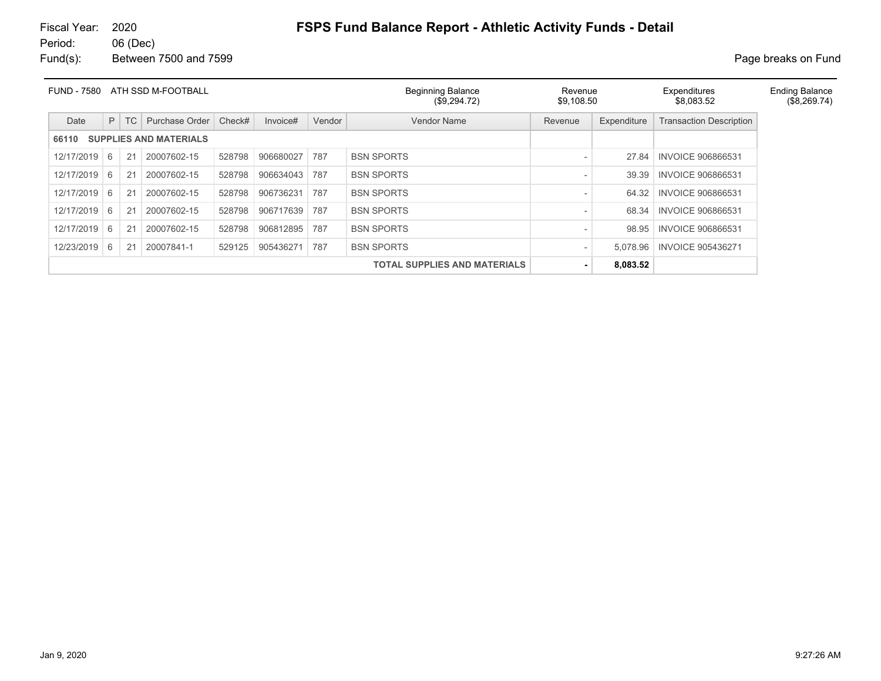# Fiscal Year: 2020 **FSPS Fund Balance Report - Athletic Activity Funds - Detail**

06 (Dec) Fund(s): Between 7500 and 7599 **Page breaks** on Fund

| <b>FUND - 7580</b> |   |    | ATH SSD M-FOOTBALL            |        |           |        | <b>Beginning Balance</b><br>(\$9,294.72) | Revenue<br>\$9,108.50 |             | Expenditures<br>\$8,083.52     | <b>Ending Balance</b> |
|--------------------|---|----|-------------------------------|--------|-----------|--------|------------------------------------------|-----------------------|-------------|--------------------------------|-----------------------|
| Date               | P | TC | Purchase Order                | Check# | Invoice#  | Vendor | Vendor Name                              | Revenue               | Expenditure | <b>Transaction Description</b> |                       |
| 66110              |   |    | <b>SUPPLIES AND MATERIALS</b> |        |           |        |                                          |                       |             |                                |                       |
| 12/17/2019         | 6 | 21 | 20007602-15                   | 528798 | 906680027 | 787    | <b>BSN SPORTS</b>                        |                       | 27.84       | <b>INVOICE 906866531</b>       |                       |
| 12/17/2019         | 6 | 21 | 20007602-15                   | 528798 | 906634043 | 787    | <b>BSN SPORTS</b>                        |                       | 39.39       | <b>INVOICE 906866531</b>       |                       |
| 12/17/2019         | 6 | 21 | 20007602-15                   | 528798 | 906736231 | 787    | <b>BSN SPORTS</b>                        |                       | 64.32       | <b>INVOICE 906866531</b>       |                       |
| 12/17/2019         | 6 | 21 | 20007602-15                   | 528798 | 906717639 | 787    | <b>BSN SPORTS</b>                        |                       | 68.34       | <b>INVOICE 906866531</b>       |                       |
| 12/17/2019         | 6 | 21 | 20007602-15                   | 528798 | 906812895 | 787    | <b>BSN SPORTS</b>                        |                       | 98.95       | <b>INVOICE 906866531</b>       |                       |
| 12/23/2019         | 6 | 21 | 20007841-1                    | 529125 | 905436271 | 787    | <b>BSN SPORTS</b>                        |                       | 5,078.96    | <b>INVOICE 905436271</b>       |                       |
|                    |   |    |                               |        |           |        | <b>TOTAL SUPPLIES AND MATERIALS</b>      |                       | 8,083.52    |                                |                       |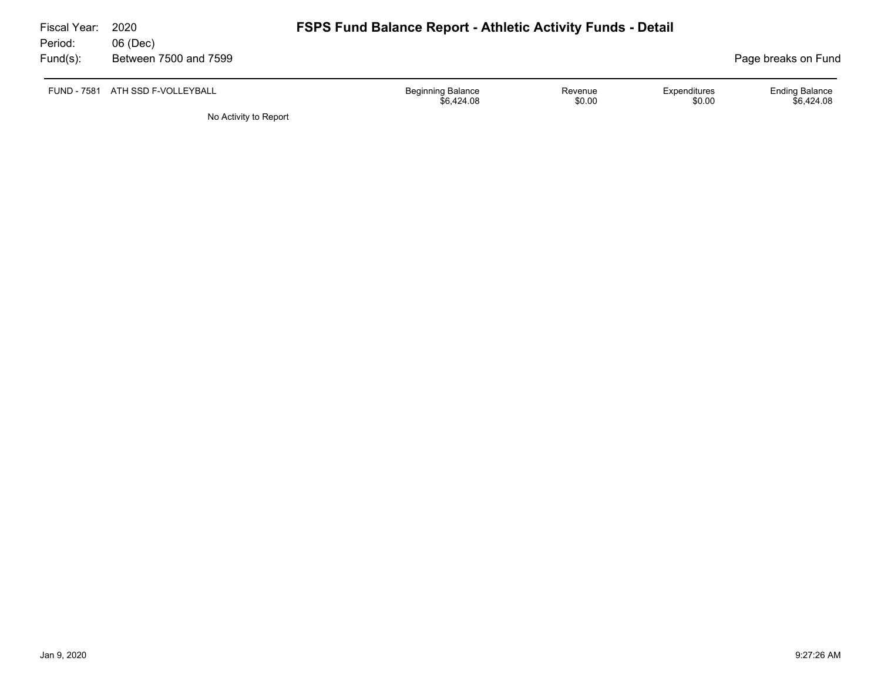| Fiscal Year:<br>Period: | 2020<br>06 (Dec)                 | <b>FSPS Fund Balance Report - Athletic Activity Funds - Detail</b> |                   |                        |                                     |
|-------------------------|----------------------------------|--------------------------------------------------------------------|-------------------|------------------------|-------------------------------------|
| Fund(s):                | Between 7500 and 7599            |                                                                    |                   |                        | Page breaks on Fund                 |
|                         | FUND - 7581 ATH SSD F-VOLLEYBALL | <b>Beginning Balance</b><br>\$6,424.08                             | Revenue<br>\$0.00 | Expenditures<br>\$0.00 | <b>Ending Balance</b><br>\$6.424.08 |

No Activity to Report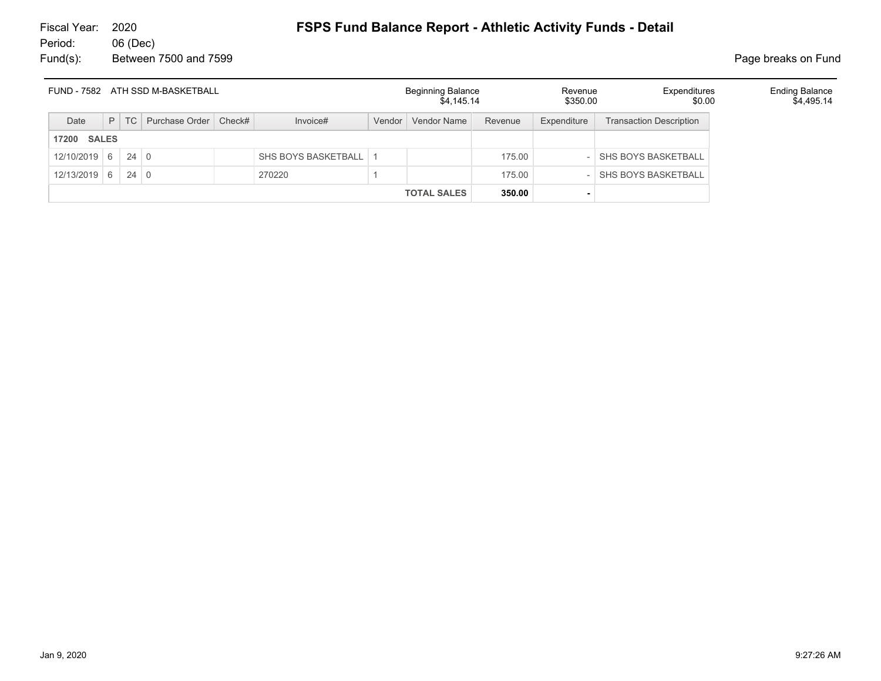|                    |             | FUND - 7582 ATH SSD M-BASKETBALL |                         |        | <b>Beginning Balance</b><br>\$4,145,14 |         | Revenue<br>\$350.00 | Expenditures<br>\$0.00         | <b>Ending Balance</b><br>\$4,495.14 |
|--------------------|-------------|----------------------------------|-------------------------|--------|----------------------------------------|---------|---------------------|--------------------------------|-------------------------------------|
| Date               | $P$ TC      | Purchase Order   Check#          | Invoice#                | Vendor | Vendor Name                            | Revenue | Expenditure         | <b>Transaction Description</b> |                                     |
| <b>17200 SALES</b> |             |                                  |                         |        |                                        |         |                     |                                |                                     |
| $12/10/2019$ 6     | $24 \mid 0$ |                                  | SHS BOYS BASKETBALL   1 |        |                                        | 175.00  |                     | SHS BOYS BASKETBALL            |                                     |
| $12/13/2019$ 6     | $24 \mid 0$ |                                  | 270220                  |        |                                        | 175.00  |                     | <b>SHS BOYS BASKETBALL</b>     |                                     |
|                    |             |                                  |                         |        | <b>TOTAL SALES</b>                     | 350.00  |                     |                                |                                     |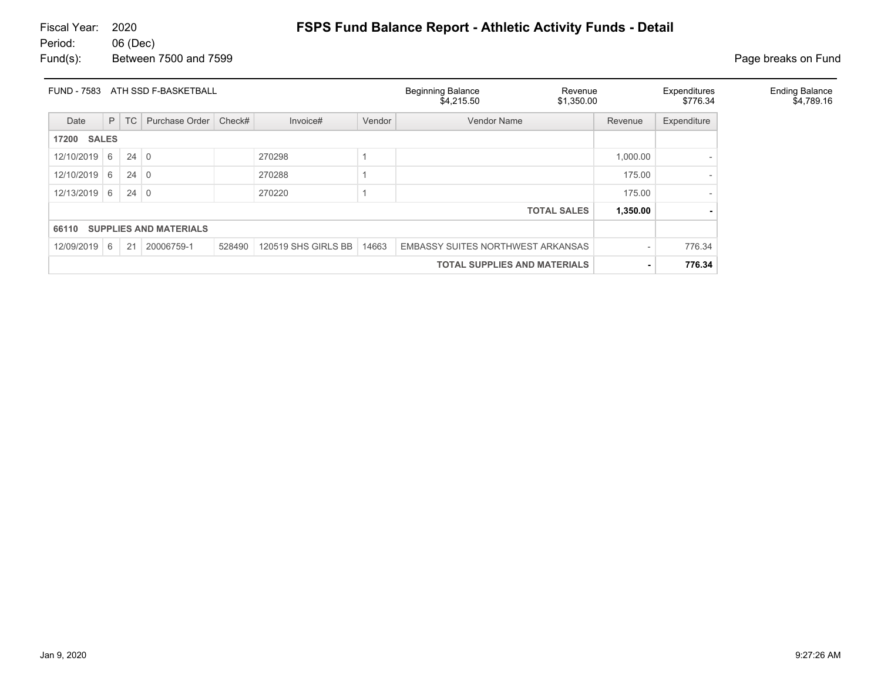# Fiscal Year: 2020 **FSPS Fund Balance Report - Athletic Activity Funds - Detail**

06 (Dec) Fund(s): Between 7500 and 7599 **Page breaks** on Fund

| <b>FUND - 7583</b>    |   |             | ATH SSD F-BASKETBALL          |        |                                     |        | <b>Beginning Balance</b><br>Revenue<br>\$4,215.50<br>\$1,350.00 |  | Expenditures<br>\$776.34 |             | <b>Ending Balance</b><br>\$4,789.16 |
|-----------------------|---|-------------|-------------------------------|--------|-------------------------------------|--------|-----------------------------------------------------------------|--|--------------------------|-------------|-------------------------------------|
| Date                  | P | TC          | Purchase Order                | Check# | Invoice#                            | Vendor | <b>Vendor Name</b>                                              |  | Revenue                  | Expenditure |                                     |
| <b>SALES</b><br>17200 |   |             |                               |        |                                     |        |                                                                 |  |                          |             |                                     |
| 12/10/2019            | 6 | $24 \mid 0$ |                               |        | 270298                              |        |                                                                 |  | 1,000.00                 |             |                                     |
| 12/10/2019            | 6 | $24 \mid 0$ |                               |        | 270288                              |        |                                                                 |  | 175.00                   |             |                                     |
| 12/13/2019            | 6 | $24 \mid 0$ |                               |        | 270220                              |        |                                                                 |  | 175.00                   |             |                                     |
|                       |   |             |                               |        |                                     |        | <b>TOTAL SALES</b>                                              |  | 1,350.00                 |             |                                     |
| 66110                 |   |             | <b>SUPPLIES AND MATERIALS</b> |        |                                     |        |                                                                 |  |                          |             |                                     |
| 12/09/2019            | 6 | 21          | 20006759-1                    | 528490 | 120519 SHS GIRLS BB                 | 14663  | EMBASSY SUITES NORTHWEST ARKANSAS                               |  |                          | 776.34      |                                     |
|                       |   |             |                               |        | <b>TOTAL SUPPLIES AND MATERIALS</b> | ۰      | 776.34                                                          |  |                          |             |                                     |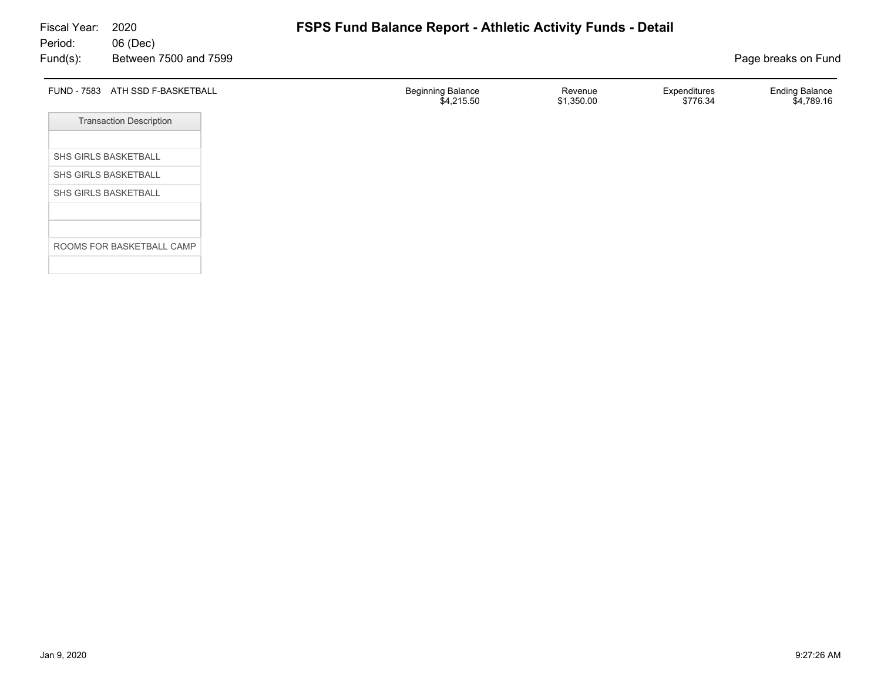| FUND - 7583 ATH SSD F-BASKETBALL | <b>Beginning Balance</b><br>\$4,215.50 | Revenue<br>\$1,350.00 | Expenditures<br>\$776.34 | <b>Ending Balance</b><br>\$4,789.16 |
|----------------------------------|----------------------------------------|-----------------------|--------------------------|-------------------------------------|
| <b>Transaction Description</b>   |                                        |                       |                          |                                     |
| SHS GIRLS BASKETBALL             |                                        |                       |                          |                                     |
| SHS GIRLS BASKETBALL             |                                        |                       |                          |                                     |
| SHS GIRLS BASKETBALL             |                                        |                       |                          |                                     |
|                                  |                                        |                       |                          |                                     |
| ROOMS FOR BASKETBALL CAMP        |                                        |                       |                          |                                     |
|                                  |                                        |                       |                          |                                     |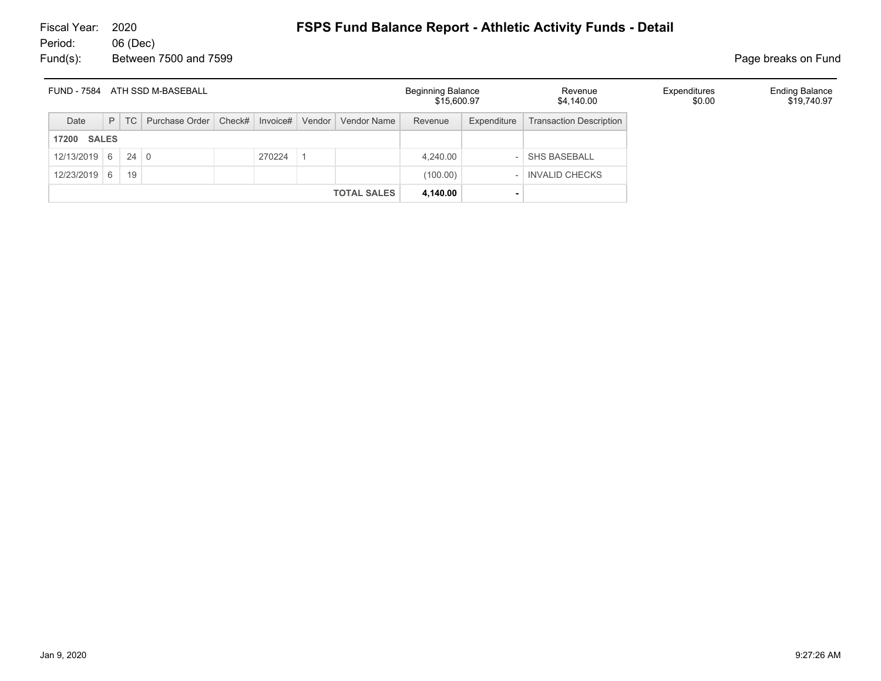| ATH SSD M-BASEBALL<br><b>FUND - 7584</b> |              |             |                         |  |                 |  |                    | <b>Beginning Balance</b><br>\$15,600.97 |             | Revenue<br>\$4,140.00          | Expenditures<br>\$0.00 | <b>Ending Balance</b><br>\$19,740.97 |
|------------------------------------------|--------------|-------------|-------------------------|--|-----------------|--|--------------------|-----------------------------------------|-------------|--------------------------------|------------------------|--------------------------------------|
| Date                                     | P            | TC          | Purchase Order   Check# |  | Invoice# Vendor |  | Vendor Name        | Revenue                                 | Expenditure | <b>Transaction Description</b> |                        |                                      |
| 17200                                    | <b>SALES</b> |             |                         |  |                 |  |                    |                                         |             |                                |                        |                                      |
| $12/13/2019$ 6                           |              | $24 \mid 0$ |                         |  | 270224          |  |                    | 4,240.00                                |             | <b>SHS BASEBALL</b>            |                        |                                      |
| 12/23/2019                               | 6            | 19          |                         |  |                 |  |                    | (100.00)                                |             | <b>INVALID CHECKS</b>          |                        |                                      |
|                                          |              |             |                         |  |                 |  | <b>TOTAL SALES</b> | 4,140.00                                |             |                                |                        |                                      |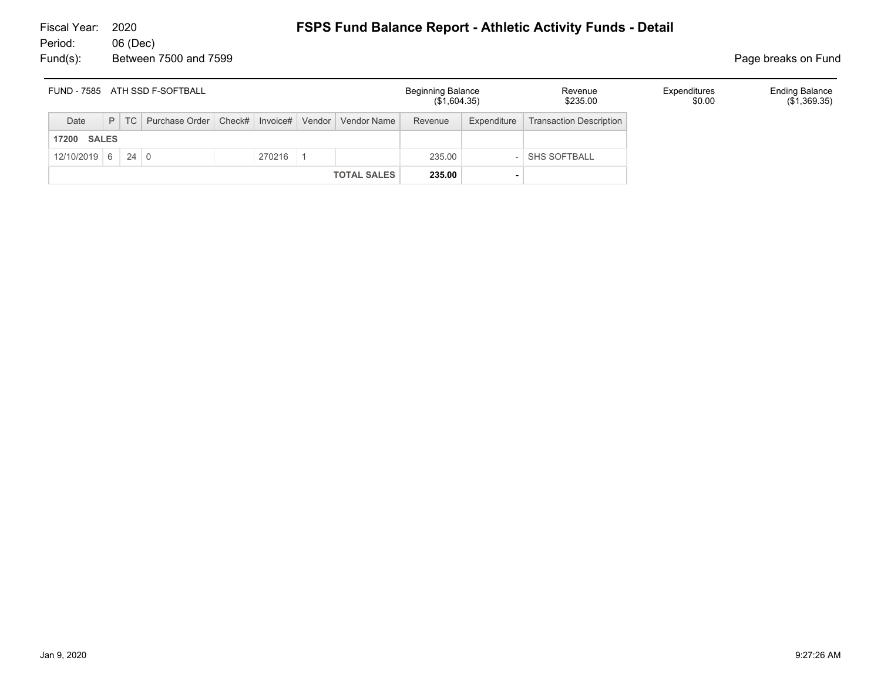| FUND - 7585 ATH SSD F-SOFTBALL |  |  |                                                                    |  |        |  |                    | <b>Beginning Balance</b><br>(\$1,604.35) |             | Revenue<br>\$235.00            | Expenditures<br>\$0.00 | <b>Ending Balance</b><br>$(\$1,369.35)$ |
|--------------------------------|--|--|--------------------------------------------------------------------|--|--------|--|--------------------|------------------------------------------|-------------|--------------------------------|------------------------|-----------------------------------------|
| Date                           |  |  | P   TC   Purchase Order   Check#   Invoice#   Vendor   Vendor Name |  |        |  |                    | Revenue                                  | Expenditure | <b>Transaction Description</b> |                        |                                         |
| <b>SALES</b><br>17200          |  |  |                                                                    |  |        |  |                    |                                          |             |                                |                        |                                         |
| $12/10/2019$ 6 24 0            |  |  |                                                                    |  | 270216 |  |                    | 235.00                                   |             | <b>SHS SOFTBALL</b>            |                        |                                         |
|                                |  |  |                                                                    |  |        |  | <b>TOTAL SALES</b> | 235.00                                   |             |                                |                        |                                         |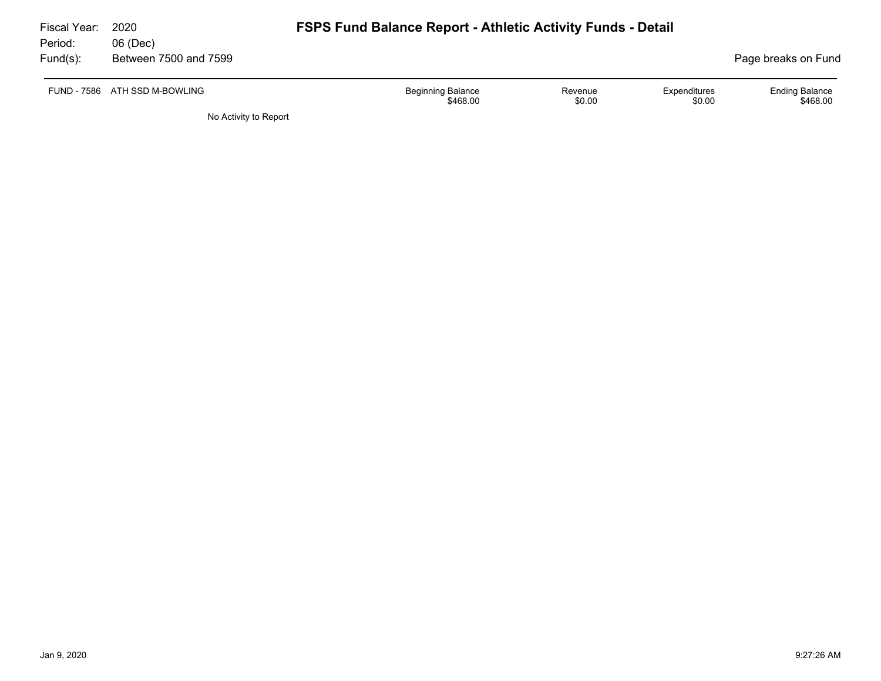| Fiscal Year: | 2020                          | <b>FSPS Fund Balance Report - Athletic Activity Funds - Detail</b> |                   |                        |                                   |  |  |  |
|--------------|-------------------------------|--------------------------------------------------------------------|-------------------|------------------------|-----------------------------------|--|--|--|
| Period:      | 06 (Dec)                      |                                                                    |                   |                        |                                   |  |  |  |
| $Fund(s)$ :  | Between 7500 and 7599         |                                                                    |                   |                        | Page breaks on Fund               |  |  |  |
|              | FUND - 7586 ATH SSD M-BOWLING | <b>Beginning Balance</b><br>\$468.00                               | Revenue<br>\$0.00 | Expenditures<br>\$0.00 | <b>Ending Balance</b><br>\$468.00 |  |  |  |
|              | No Activity to Report         |                                                                    |                   |                        |                                   |  |  |  |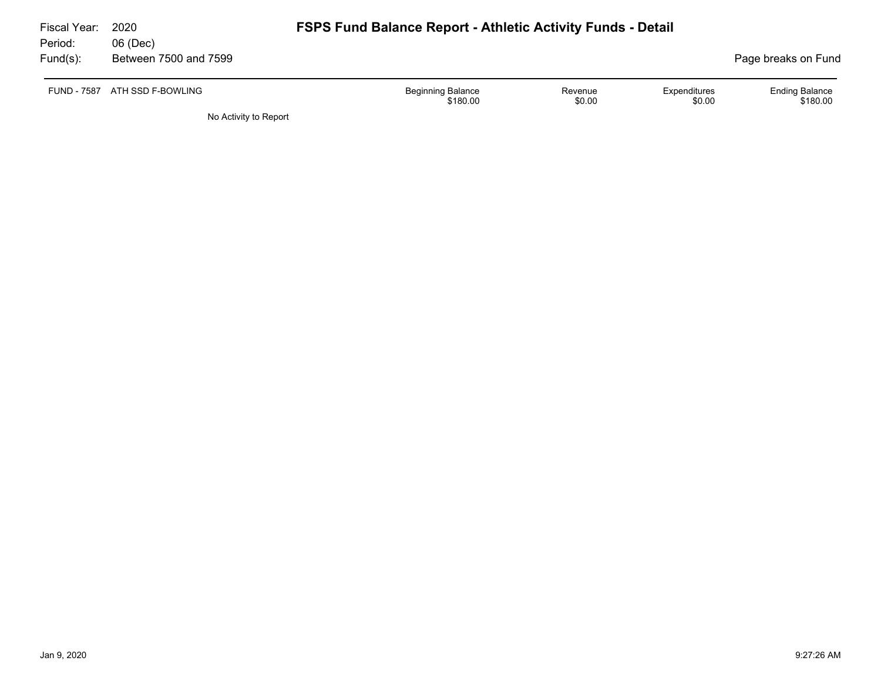| Fiscal Year:       | 2020                  | <b>FSPS Fund Balance Report - Athletic Activity Funds - Detail</b> |                   |                        |                                   |  |  |  |
|--------------------|-----------------------|--------------------------------------------------------------------|-------------------|------------------------|-----------------------------------|--|--|--|
| Period:            | 06 (Dec)              |                                                                    |                   |                        |                                   |  |  |  |
| $Fund(s)$ :        | Between 7500 and 7599 |                                                                    |                   |                        | Page breaks on Fund               |  |  |  |
| <b>FUND - 7587</b> | ATH SSD F-BOWLING     | <b>Beginning Balance</b><br>\$180.00                               | Revenue<br>\$0.00 | Expenditures<br>\$0.00 | <b>Ending Balance</b><br>\$180.00 |  |  |  |
|                    | No Activity to Report |                                                                    |                   |                        |                                   |  |  |  |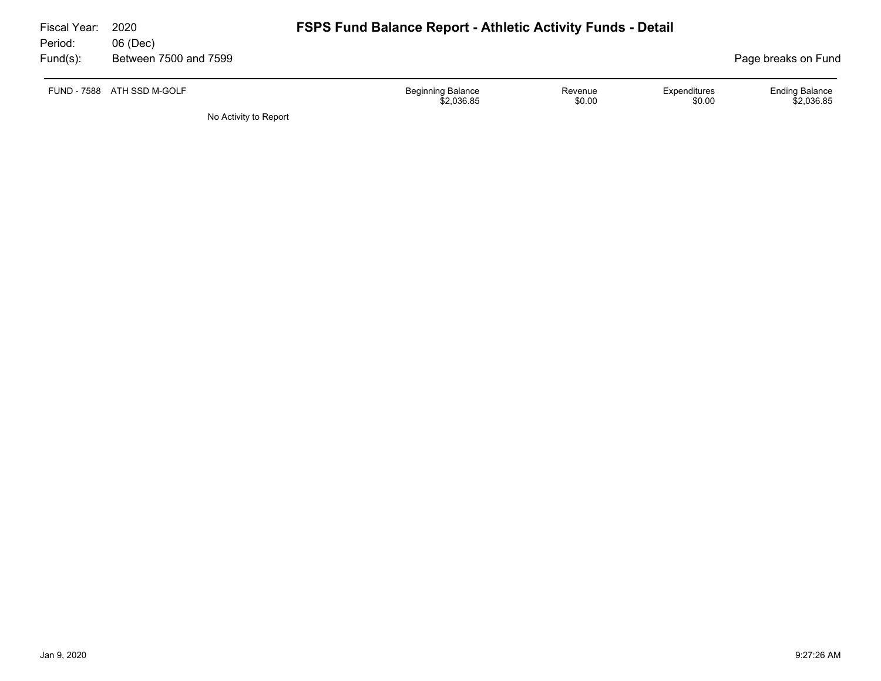| Fiscal Year:<br>Period: | 2020<br>06 (Dec)      | <b>FSPS Fund Balance Report - Athletic Activity Funds - Detail</b>                    |                                     |
|-------------------------|-----------------------|---------------------------------------------------------------------------------------|-------------------------------------|
| $Fund(s)$ :             | Between 7500 and 7599 |                                                                                       | Page breaks on Fund                 |
| <b>FUND - 7588</b>      | ATH SSD M-GOLF        | <b>Beginning Balance</b><br>Expenditures<br>Revenue<br>\$2,036.85<br>\$0.00<br>\$0.00 | <b>Ending Balance</b><br>\$2,036.85 |
|                         | No Activity to Report |                                                                                       |                                     |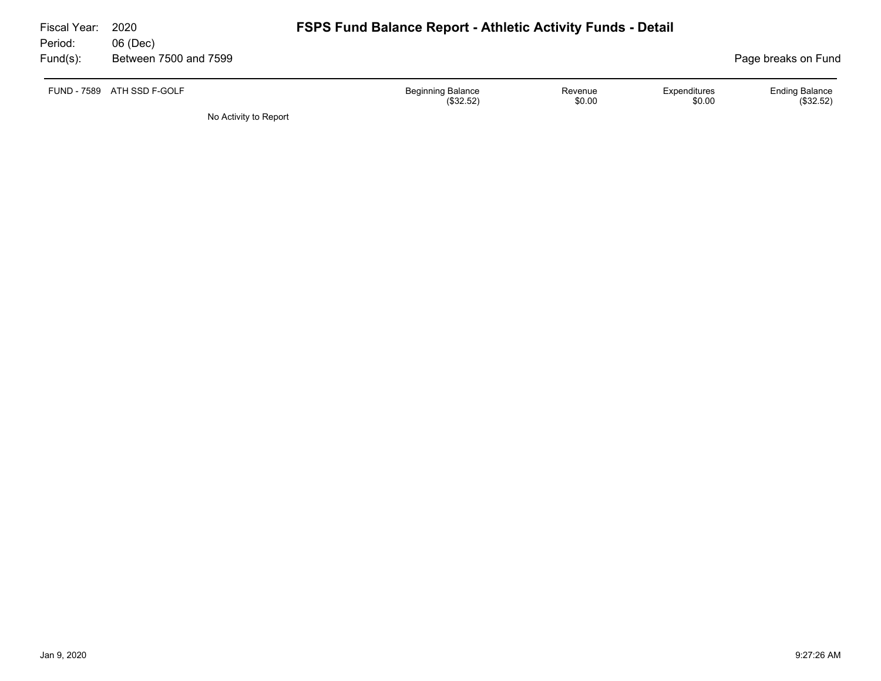| Fiscal Year: | 2020                  | <b>FSPS Fund Balance Report - Athletic Activity Funds - Detail</b> |                   |                        |                                    |
|--------------|-----------------------|--------------------------------------------------------------------|-------------------|------------------------|------------------------------------|
| Period:      | 06 (Dec)              |                                                                    |                   |                        |                                    |
| $Fund(s)$ :  | Between 7500 and 7599 |                                                                    |                   |                        | Page breaks on Fund                |
| FUND - 7589  | ATH SSD F-GOLF        | <b>Beginning Balance</b><br>(\$32.52)                              | Revenue<br>\$0.00 | Expenditures<br>\$0.00 | <b>Ending Balance</b><br>(\$32.52) |
|              | No Activity to Report |                                                                    |                   |                        |                                    |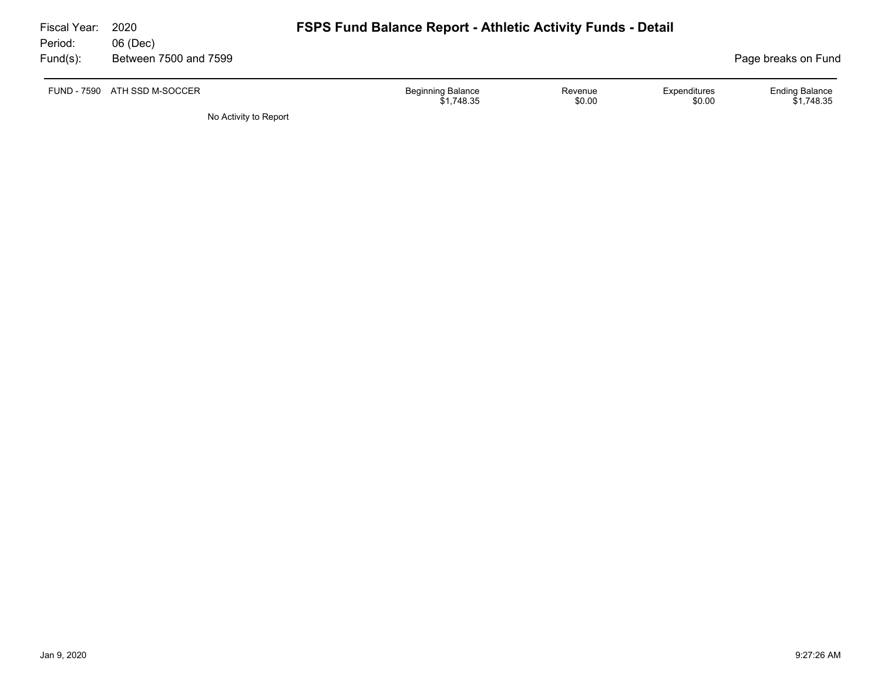| Fiscal Year:<br>Period: | 2020<br>06 (Dec)             | <b>FSPS Fund Balance Report - Athletic Activity Funds - Detail</b>                    |                                     |
|-------------------------|------------------------------|---------------------------------------------------------------------------------------|-------------------------------------|
| $Fund(s)$ :             | Between 7500 and 7599        |                                                                                       | Page breaks on Fund                 |
|                         | FUND - 7590 ATH SSD M-SOCCER | <b>Beginning Balance</b><br>Expenditures<br>Revenue<br>\$0.00<br>\$0.00<br>\$1.748.35 | <b>Ending Balance</b><br>\$1.748.35 |

No Activity to Report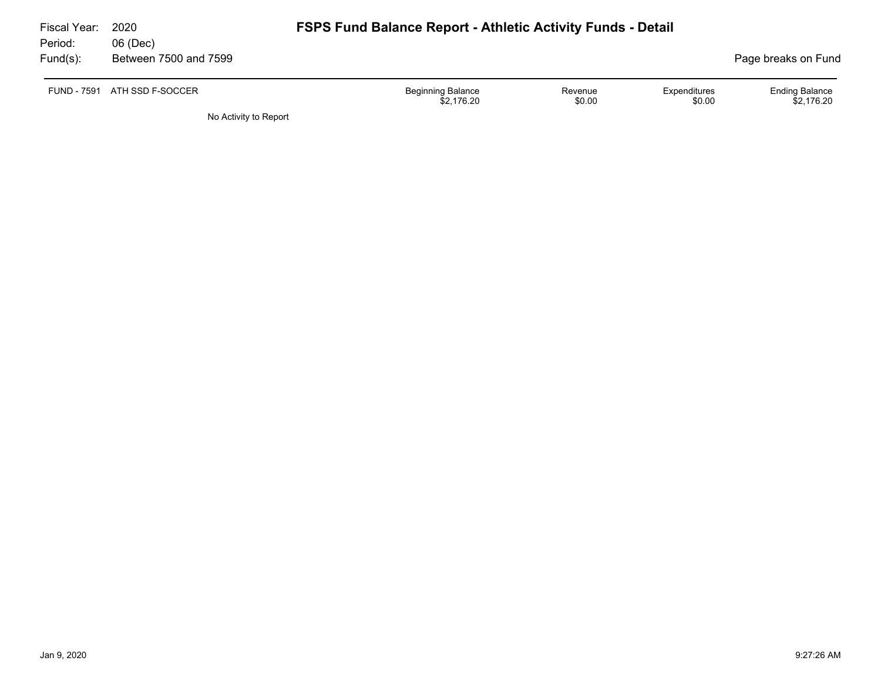| Fiscal Year:<br>Period: | 2020<br>06 (Dec)      | <b>FSPS Fund Balance Report - Athletic Activity Funds - Detail</b>                    |                                     |
|-------------------------|-----------------------|---------------------------------------------------------------------------------------|-------------------------------------|
| $Fund(s)$ :             | Between 7500 and 7599 |                                                                                       | Page breaks on Fund                 |
| <b>FUND - 7591</b>      | ATH SSD F-SOCCER      | <b>Beginning Balance</b><br>Expenditures<br>Revenue<br>\$0.00<br>\$0.00<br>\$2.176.20 | <b>Ending Balance</b><br>\$2,176.20 |
|                         | No Activity to Report |                                                                                       |                                     |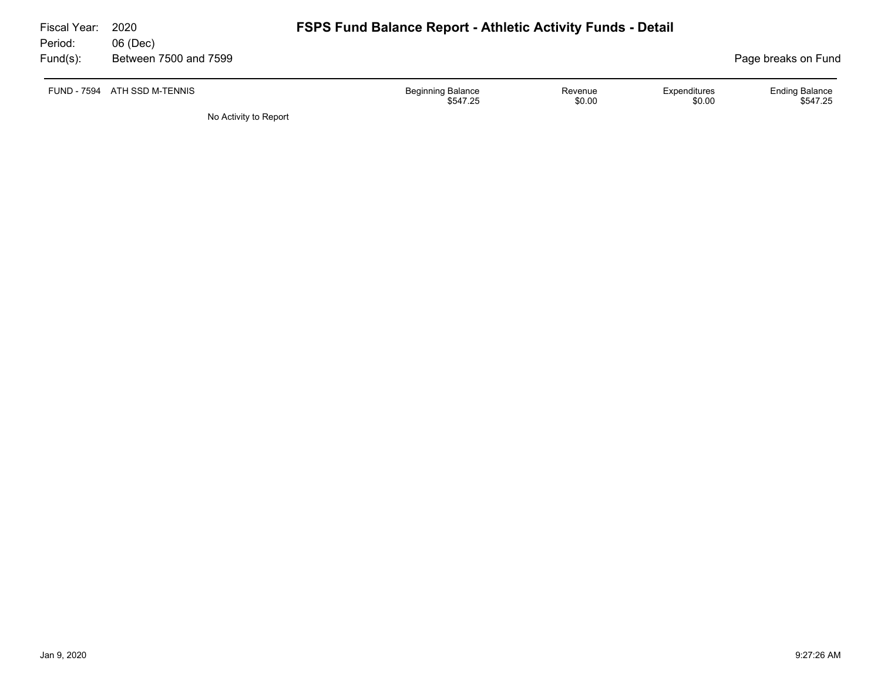| Fiscal Year: | 2020                         | <b>FSPS Fund Balance Report - Athletic Activity Funds - Detail</b> |         |              |                       |  |  |  |  |
|--------------|------------------------------|--------------------------------------------------------------------|---------|--------------|-----------------------|--|--|--|--|
| Period:      | 06 (Dec)                     |                                                                    |         |              |                       |  |  |  |  |
| $Fund(s)$ :  | Between 7500 and 7599        |                                                                    |         |              | Page breaks on Fund   |  |  |  |  |
|              | FUND - 7594 ATH SSD M-TENNIS | <b>Beginning Balance</b>                                           | Revenue | Expenditures | <b>Ending Balance</b> |  |  |  |  |
|              |                              | \$547.25                                                           | \$0.00  | \$0.00       | \$547.25              |  |  |  |  |
|              | No Activity to Report        |                                                                    |         |              |                       |  |  |  |  |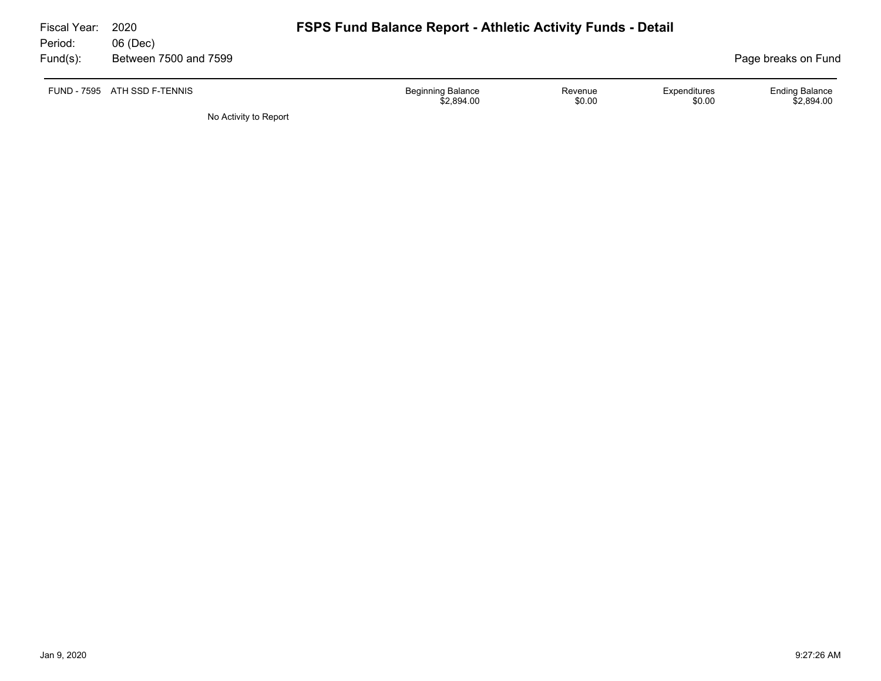| Fiscal Year:<br>Period: | 2020<br>06 (Dec)             | <b>FSPS Fund Balance Report - Athletic Activity Funds - Detail</b> |                   |                        |                                     |  |  |  |  |
|-------------------------|------------------------------|--------------------------------------------------------------------|-------------------|------------------------|-------------------------------------|--|--|--|--|
| Fund(s):                | Between 7500 and 7599        |                                                                    |                   |                        | Page breaks on Fund                 |  |  |  |  |
|                         | FUND - 7595 ATH SSD F-TENNIS | <b>Beginning Balance</b><br>\$2,894.00                             | Revenue<br>\$0.00 | Expenditures<br>\$0.00 | <b>Ending Balance</b><br>\$2,894.00 |  |  |  |  |

No Activity to Report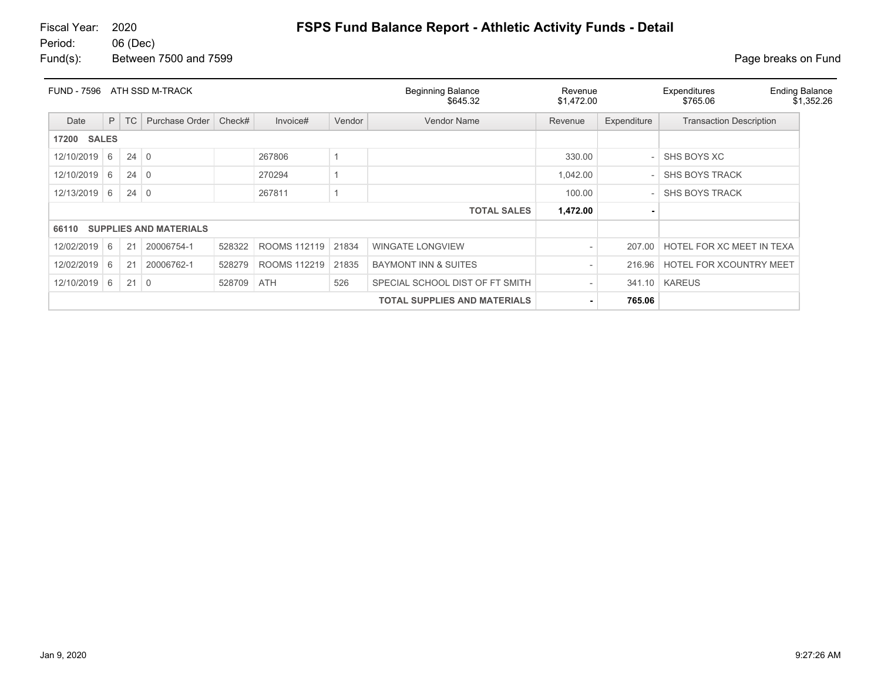# Fiscal Year: 2020 **FSPS Fund Balance Report - Athletic Activity Funds - Detail**

Fund(s): Between 7500 and 7599 **Page breaks** on Fund

| <b>FUND - 7596</b><br>ATH SSD M-TRACK |                                     |             |                               |        |              |        | <b>Beginning Balance</b><br>\$645.32 | Revenue<br>\$1,472.00 |             | Expenditures<br>\$765.06       | <b>Ending Balance</b><br>\$1,352.26 |
|---------------------------------------|-------------------------------------|-------------|-------------------------------|--------|--------------|--------|--------------------------------------|-----------------------|-------------|--------------------------------|-------------------------------------|
| Date                                  | P                                   | <b>TC</b>   | Purchase Order                | Check# | Invoice#     | Vendor | Vendor Name                          | Revenue               | Expenditure | <b>Transaction Description</b> |                                     |
| <b>SALES</b><br>17200                 |                                     |             |                               |        |              |        |                                      |                       |             |                                |                                     |
| 12/10/2019                            | 6                                   | $24 \mid 0$ |                               |        | 267806       |        |                                      | 330.00                |             | SHS BOYS XC                    |                                     |
| 12/10/2019                            | 6                                   | $24 \mid 0$ |                               |        | 270294       |        |                                      | 1,042.00              |             | <b>SHS BOYS TRACK</b>          |                                     |
| 12/13/2019                            | 6                                   | $24 \mid 0$ |                               |        | 267811       |        |                                      | 100.00                |             | <b>SHS BOYS TRACK</b>          |                                     |
|                                       |                                     |             |                               |        |              |        | <b>TOTAL SALES</b>                   | 1,472.00              |             |                                |                                     |
| 66110                                 |                                     |             | <b>SUPPLIES AND MATERIALS</b> |        |              |        |                                      |                       |             |                                |                                     |
| 12/02/2019                            | 6                                   | 21          | 20006754-1                    | 528322 | ROOMS 112119 | 21834  | <b>WINGATE LONGVIEW</b>              |                       | 207.00      | HOTEL FOR XC MEET IN TEXA      |                                     |
| 12/02/2019                            | 6                                   | 21          | 20006762-1                    | 528279 | ROOMS 112219 | 21835  | <b>BAYMONT INN &amp; SUITES</b>      |                       | 216.96      | <b>HOTEL FOR XCOUNTRY MEET</b> |                                     |
| 12/10/2019                            | 6                                   | $21 \mid 0$ |                               | 528709 | ATH          | 526    | SPECIAL SCHOOL DIST OF FT SMITH      |                       | 341.10      | <b>KAREUS</b>                  |                                     |
|                                       | <b>TOTAL SUPPLIES AND MATERIALS</b> |             |                               |        |              |        |                                      |                       | 765.06      |                                |                                     |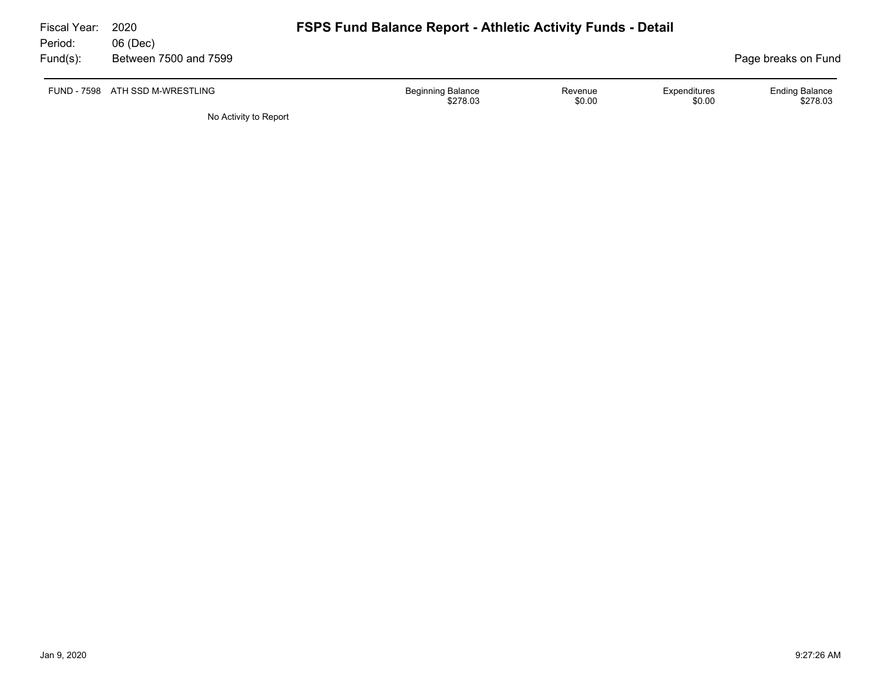| Fiscal Year:<br>Period: | 2020<br>06 (Dec)                | <b>FSPS Fund Balance Report - Athletic Activity Funds - Detail</b> |                        |                                   |
|-------------------------|---------------------------------|--------------------------------------------------------------------|------------------------|-----------------------------------|
| $Fund(s)$ :             | Between 7500 and 7599           |                                                                    |                        | Page breaks on Fund               |
|                         | FUND - 7598 ATH SSD M-WRESTLING | <b>Beginning Balance</b><br>Revenue<br>\$0.00<br>\$278.03          | Expenditures<br>\$0.00 | <b>Ending Balance</b><br>\$278.03 |
|                         | No Activity to Report           |                                                                    |                        |                                   |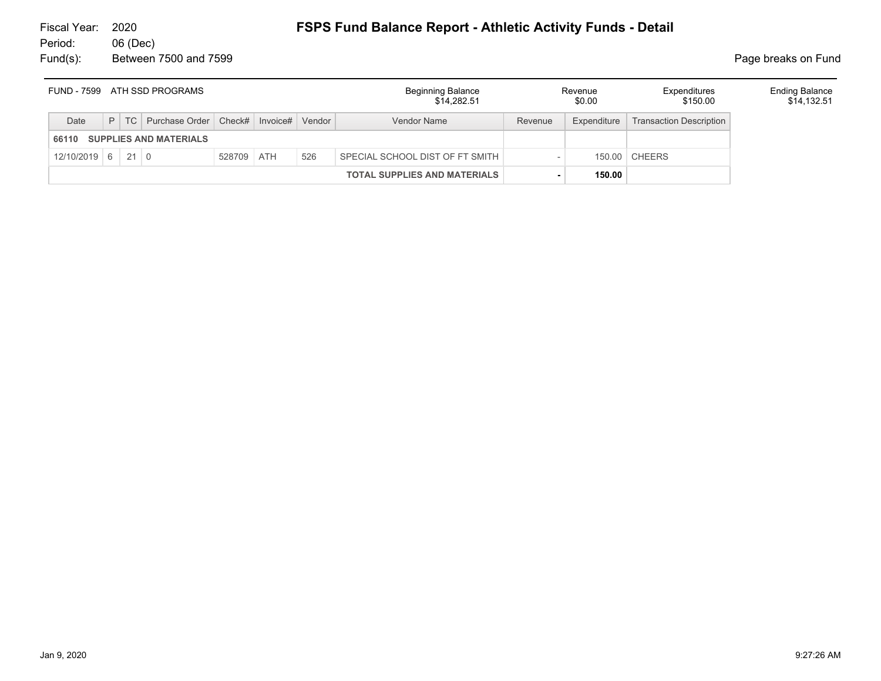| FUND - 7599 ATH SSD PROGRAMS |                                     |  | <b>Beginning Balance</b><br>\$14.282.51              |            | Revenue<br>\$0.00 | Expenditures<br>\$150.00 | <b>Ending Balance</b><br>\$14,132.51 |         |             |                                |  |
|------------------------------|-------------------------------------|--|------------------------------------------------------|------------|-------------------|--------------------------|--------------------------------------|---------|-------------|--------------------------------|--|
| Date                         |                                     |  | P   TC   Purchase Order   Check#   Invoice#   Vendor |            |                   |                          | Vendor Name                          | Revenue | Expenditure | <b>Transaction Description</b> |  |
| 66110 SUPPLIES AND MATERIALS |                                     |  |                                                      |            |                   |                          |                                      |         |             |                                |  |
| $12/10/2019$ 6 21 0          |                                     |  |                                                      | 528709 ATH |                   | 526                      | SPECIAL SCHOOL DIST OF FT SMITH      |         |             | 150.00 CHEERS                  |  |
|                              | <b>TOTAL SUPPLIES AND MATERIALS</b> |  |                                                      |            |                   |                          | 150.00                               |         |             |                                |  |